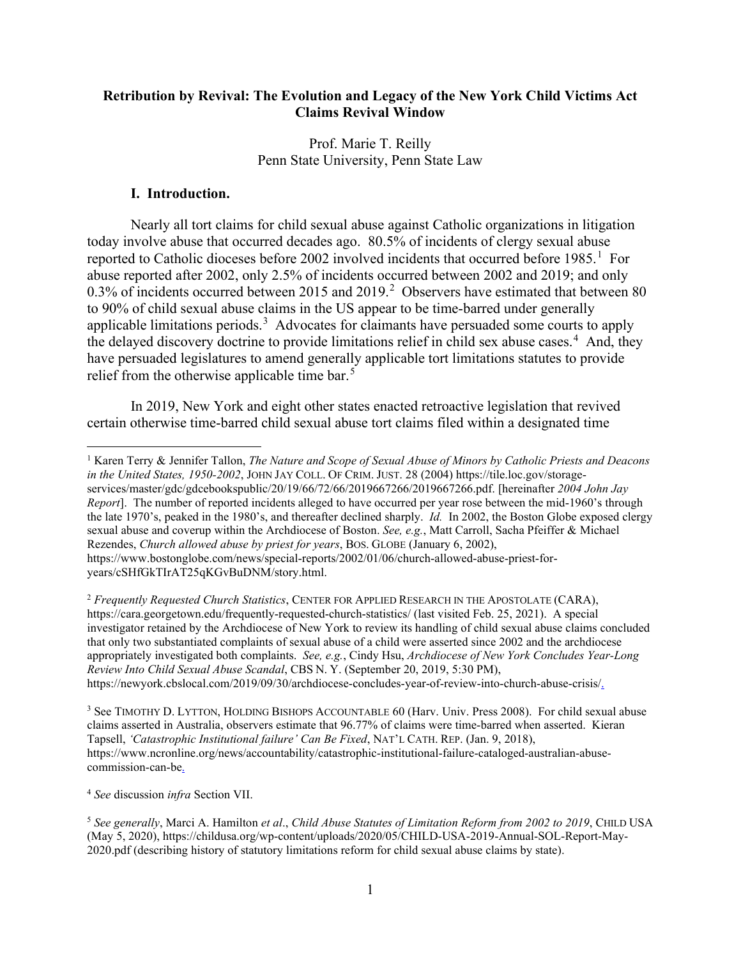# **Retribution by Revival: The Evolution and Legacy of the New York Child Victims Act Claims Revival Window**

Prof. Marie T. Reilly Penn State University, Penn State Law

## **I. Introduction.**

Nearly all tort claims for child sexual abuse against Catholic organizations in litigation today involve abuse that occurred decades ago. 80.5% of incidents of clergy sexual abuse reported to Catholic dioceses before 2002 involved incidents that occurred before  $1985<sup>1</sup>$  $1985<sup>1</sup>$  For abuse reported after 2002, only 2.5% of incidents occurred between 2002 and 2019; and only 0.3% of incidents occurred between [2](#page-0-1)015 and 2019.<sup>2</sup> Observers have estimated that between 80 to 90% of child sexual abuse claims in the US appear to be time-barred under generally applicable limitations periods.<sup>[3](#page-0-2)</sup> Advocates for claimants have persuaded some courts to apply the delayed discovery doctrine to provide limitations relief in child sex abuse cases.<sup>[4](#page-0-3)</sup> And, they have persuaded legislatures to amend generally applicable tort limitations statutes to provide relief from the otherwise applicable time bar.<sup>[5](#page-0-4)</sup>

In 2019, New York and eight other states enacted retroactive legislation that revived certain otherwise time-barred child sexual abuse tort claims filed within a designated time

<span id="page-0-3"></span><sup>4</sup> *See* discussion *infra* Section VII.

<span id="page-0-0"></span><sup>1</sup> Karen Terry & Jennifer Tallon, *The Nature and Scope of Sexual Abuse of Minors by Catholic Priests and Deacons in the United States, 1950-2002*, JOHN JAY COLL. OF CRIM. JUST. 28 (2004) https://tile.loc.gov/storageservices/master/gdc/gdcebookspublic/20/19/66/72/66/2019667266/2019667266.pdf. [hereinafter *2004 John Jay Report*]. The number of reported incidents alleged to have occurred per year rose between the mid-1960's through the late 1970's, peaked in the 1980's, and thereafter declined sharply. *Id.* In 2002, the Boston Globe exposed clergy sexual abuse and coverup within the Archdiocese of Boston. *See, e.g.*, Matt Carroll, Sacha Pfeiffer & Michael Rezendes, *Church allowed abuse by priest for years*, BOS. GLOBE (January 6, 2002), https://www.bostonglobe.com/news/special-reports/2002/01/06/church-allowed-abuse-priest-foryears/cSHfGkTIrAT25qKGvBuDNM/story.html.

<span id="page-0-1"></span><sup>2</sup> *Frequently Requested Church Statistics*, CENTER FOR APPLIED RESEARCH IN THE APOSTOLATE (CARA), https://cara.georgetown.edu/frequently-requested-church-statistics/ (last visited Feb. 25, 2021). A special investigator retained by the Archdiocese of New York to review its handling of child sexual abuse claims concluded that only two substantiated complaints of sexual abuse of a child were asserted since 2002 and the archdiocese appropriately investigated both complaints. *See, e.g.*, Cindy Hsu, *Archdiocese of New York Concludes Year-Long Review Into Child Sexual Abuse Scandal*, CBS N. Y. (September 20, 2019, 5:30 PM), https://newyork.cbslocal.com/2019/09/30/archdiocese-concludes-year-of-review-into-church-abuse-crisis/.

<span id="page-0-2"></span><sup>3</sup> See TIMOTHY D. LYTTON, HOLDING BISHOPS ACCOUNTABLE 60 (Harv. Univ. Press 2008). For child sexual abuse claims asserted in Australia, observers estimate that 96.77% of claims were time-barred when asserted. Kieran Tapsell, *'Catastrophic Institutional failure' Can Be Fixed*, NAT'L CATH. REP. (Jan. 9, 2018), https://www.ncronline.org/news/accountability/catastrophic-institutional-failure-cataloged-australian-abusecommission-can-be.

<span id="page-0-4"></span><sup>5</sup> *See generally*, Marci A. Hamilton *et al*., *Child Abuse Statutes of Limitation Reform from 2002 to 2019*, CHILD USA (May 5, 2020), https://childusa.org/wp-content/uploads/2020/05/CHILD-USA-2019-Annual-SOL-Report-May-2020.pdf (describing history of statutory limitations reform for child sexual abuse claims by state).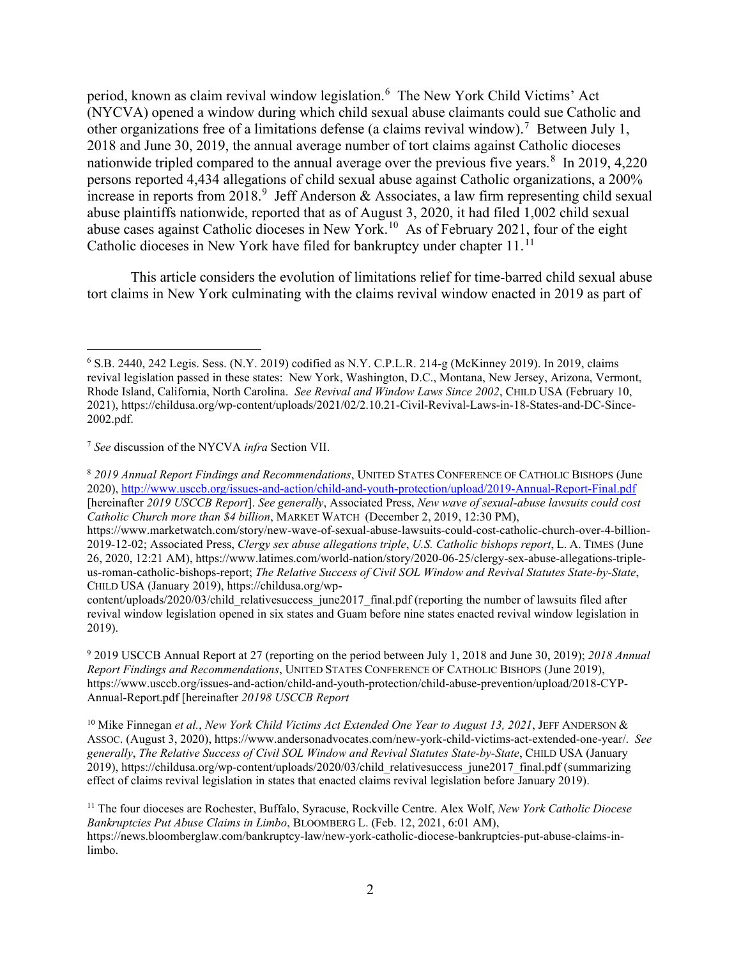period, known as claim revival window legislation.[6](#page-1-0) The New York Child Victims' Act (NYCVA) opened a window during which child sexual abuse claimants could sue Catholic and other organizations free of a limitations defense (a claims revival window).<sup>[7](#page-1-1)</sup> Between July 1, 2018 and June 30, 2019, the annual average number of tort claims against Catholic dioceses nationwide tripled compared to the annual average over the previous five years.<sup>[8](#page-1-2)</sup> In 2019, 4,220 persons reported 4,434 allegations of child sexual abuse against Catholic organizations, a 200% increase in reports from 2018.<sup>[9](#page-1-3)</sup> Jeff Anderson & Associates, a law firm representing child sexual abuse plaintiffs nationwide, reported that as of August 3, 2020, it had filed 1,002 child sexual abuse cases against Catholic dioceses in New York.[10](#page-1-4) As of February 2021, four of the eight Catholic dioceses in New York have filed for bankruptcy under chapter [11](#page-1-5).<sup>11</sup>

This article considers the evolution of limitations relief for time-barred child sexual abuse tort claims in New York culminating with the claims revival window enacted in 2019 as part of

<span id="page-1-0"></span><sup>6</sup> S.B. 2440, 242 Legis. Sess. (N.Y. 2019) codified as N.Y. C.P.L.R. 214-g (McKinney 2019). In 2019, claims revival legislation passed in these states: New York, Washington, D.C., Montana, New Jersey, Arizona, Vermont, Rhode Island, California, North Carolina. *See Revival and Window Laws Since 2002*, CHILD USA (February 10, 2021), https://childusa.org/wp-content/uploads/2021/02/2.10.21-Civil-Revival-Laws-in-18-States-and-DC-Since-2002.pdf.

<span id="page-1-1"></span><sup>7</sup> *See* discussion of the NYCVA *infra* Section VII.

<span id="page-1-2"></span><sup>8</sup> *2019 Annual Report Findings and Recommendations*, UNITED STATES CONFERENCE OF CATHOLIC BISHOPS (June 2020),<http://www.usccb.org/issues-and-action/child-and-youth-protection/upload/2019-Annual-Report-Final.pdf> [hereinafter *2019 USCCB Report*]. *See generally*, Associated Press, *New wave of sexual-abuse lawsuits could cost Catholic Church more than \$4 billion*, MARKET WATCH (December 2, 2019, 12:30 PM),

https://www.marketwatch.com/story/new-wave-of-sexual-abuse-lawsuits-could-cost-catholic-church-over-4-billion-2019-12-02; Associated Press, *Clergy sex abuse allegations triple*, *U.S. Catholic bishops report*, L. A. TIMES (June 26, 2020, 12:21 AM), https://www.latimes.com/world-nation/story/2020-06-25/clergy-sex-abuse-allegations-tripleus-roman-catholic-bishops-report; *The Relative Success of Civil SOL Window and Revival Statutes State-by-State*, CHILD USA (January 2019), https://childusa.org/wp-

content/uploads/2020/03/child\_relativesuccess\_june2017\_final.pdf (reporting the number of lawsuits filed after revival window legislation opened in six states and Guam before nine states enacted revival window legislation in 2019).

<span id="page-1-3"></span><sup>9</sup> 2019 USCCB Annual Report at 27 (reporting on the period between July 1, 2018 and June 30, 2019); *2018 Annual Report Findings and Recommendations*, UNITED STATES CONFERENCE OF CATHOLIC BISHOPS (June 2019), https://www.usccb.org/issues-and-action/child-and-youth-protection/child-abuse-prevention/upload/2018-CYP-Annual-Report.pdf [hereinafter *20198 USCCB Report*

<span id="page-1-4"></span><sup>10</sup> Mike Finnegan *et al.*, *New York Child Victims Act Extended One Year to August 13, 2021*, JEFF ANDERSON & ASSOC. (August 3, 2020), https://www.andersonadvocates.com/new-york-child-victims-act-extended-one-year/. *See generally*, *The Relative Success of Civil SOL Window and Revival Statutes State-by-State*, CHILD USA (January 2019), https://childusa.org/wp-content/uploads/2020/03/child\_relativesuccess\_june2017\_final.pdf (summarizing effect of claims revival legislation in states that enacted claims revival legislation before January 2019).

<span id="page-1-5"></span><sup>11</sup> The four dioceses are Rochester, Buffalo, Syracuse, Rockville Centre. Alex Wolf, *New York Catholic Diocese Bankruptcies Put Abuse Claims in Limbo*, BLOOMBERG L. (Feb. 12, 2021, 6:01 AM), https://news.bloomberglaw.com/bankruptcy-law/new-york-catholic-diocese-bankruptcies-put-abuse-claims-inlimbo.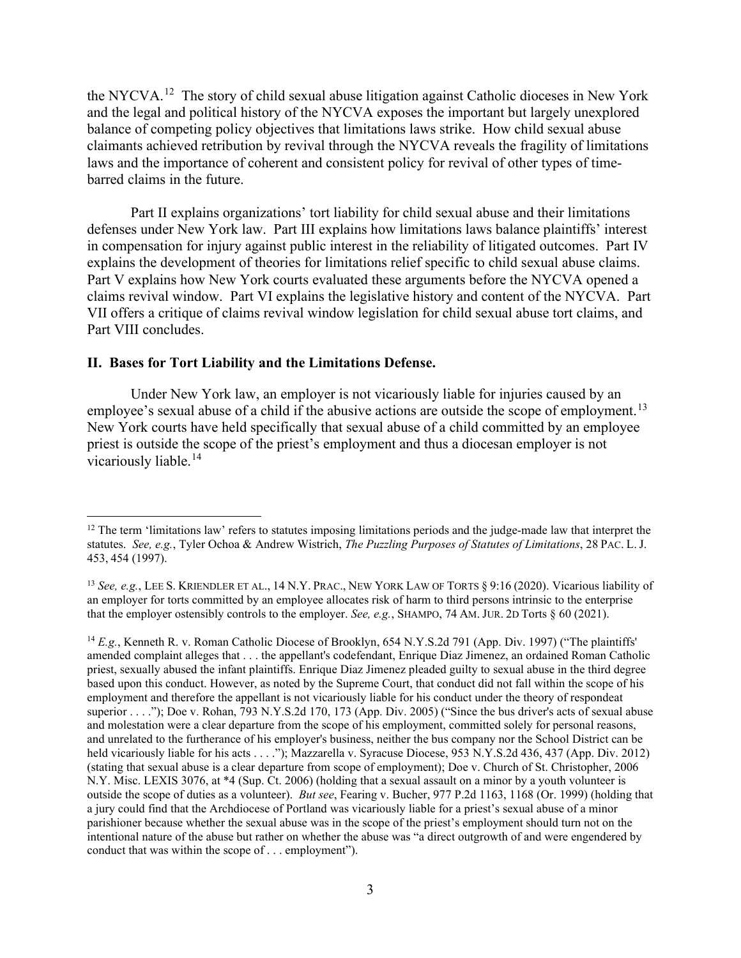the NYCVA.<sup>[12](#page-2-0)</sup> The story of child sexual abuse litigation against Catholic dioceses in New York and the legal and political history of the NYCVA exposes the important but largely unexplored balance of competing policy objectives that limitations laws strike. How child sexual abuse claimants achieved retribution by revival through the NYCVA reveals the fragility of limitations laws and the importance of coherent and consistent policy for revival of other types of timebarred claims in the future.

Part II explains organizations' tort liability for child sexual abuse and their limitations defenses under New York law. Part III explains how limitations laws balance plaintiffs' interest in compensation for injury against public interest in the reliability of litigated outcomes. Part IV explains the development of theories for limitations relief specific to child sexual abuse claims. Part V explains how New York courts evaluated these arguments before the NYCVA opened a claims revival window. Part VI explains the legislative history and content of the NYCVA. Part VII offers a critique of claims revival window legislation for child sexual abuse tort claims, and Part VIII concludes.

#### **II. Bases for Tort Liability and the Limitations Defense.**

Under New York law, an employer is not vicariously liable for injuries caused by an employee's sexual abuse of a child if the abusive actions are outside the scope of employment.<sup>[13](#page-2-1)</sup> New York courts have held specifically that sexual abuse of a child committed by an employee priest is outside the scope of the priest's employment and thus a diocesan employer is not vicariously liable.<sup>[14](#page-2-2)</sup>

<span id="page-2-0"></span> $12$  The term 'limitations law' refers to statutes imposing limitations periods and the judge-made law that interpret the statutes. *See, e.g.*, Tyler Ochoa & Andrew Wistrich, *The Puzzling Purposes of Statutes of Limitations*, 28 PAC. L. J. 453, 454 (1997).

<span id="page-2-1"></span><sup>13</sup> *See, e.g.*, LEE S. KRIENDLER ET AL., 14 N.Y. PRAC., NEW YORK LAW OF TORTS § 9:16 (2020). Vicarious liability of an employer for torts committed by an employee allocates risk of harm to third persons intrinsic to the enterprise that the employer ostensibly controls to the employer. *See, e.g.*, SHAMPO, 74 AM. JUR. 2D Torts § 60 (2021).

<span id="page-2-2"></span><sup>&</sup>lt;sup>14</sup> *E.g.*, Kenneth R. v. Roman Catholic Diocese of Brooklyn, 654 N.Y.S.2d 791 (App. Div. 1997) ("The plaintiffs" amended complaint alleges that . . . the appellant's codefendant, Enrique Diaz Jimenez, an ordained Roman Catholic priest, sexually abused the infant plaintiffs. Enrique Diaz Jimenez pleaded guilty to sexual abuse in the third degree based upon this conduct. However, as noted by the Supreme Court, that conduct did not fall within the scope of his employment and therefore the appellant is not vicariously liable for his conduct under the theory of respondeat superior . . . ."); Doe v. Rohan, 793 N.Y.S.2d 170, 173 (App. Div. 2005) ("Since the bus driver's acts of sexual abuse and molestation were a clear departure from the scope of his employment, committed solely for personal reasons, and unrelated to the furtherance of his employer's business, neither the bus company nor the School District can be held vicariously liable for his acts . . . ."); Mazzarella v. Syracuse Diocese, 953 N.Y.S.2d 436, 437 (App. Div. 2012) (stating that sexual abuse is a clear departure from scope of employment); Doe v. Church of St. Christopher, 2006 N.Y. Misc. LEXIS 3076, at \*4 (Sup. Ct. 2006) (holding that a sexual assault on a minor by a youth volunteer is outside the scope of duties as a volunteer). *But see*, Fearing v. Bucher, 977 P.2d 1163, 1168 (Or. 1999) (holding that a jury could find that the Archdiocese of Portland was vicariously liable for a priest's sexual abuse of a minor parishioner because whether the sexual abuse was in the scope of the priest's employment should turn not on the intentional nature of the abuse but rather on whether the abuse was "a direct outgrowth of and were engendered by conduct that was within the scope of . . . employment").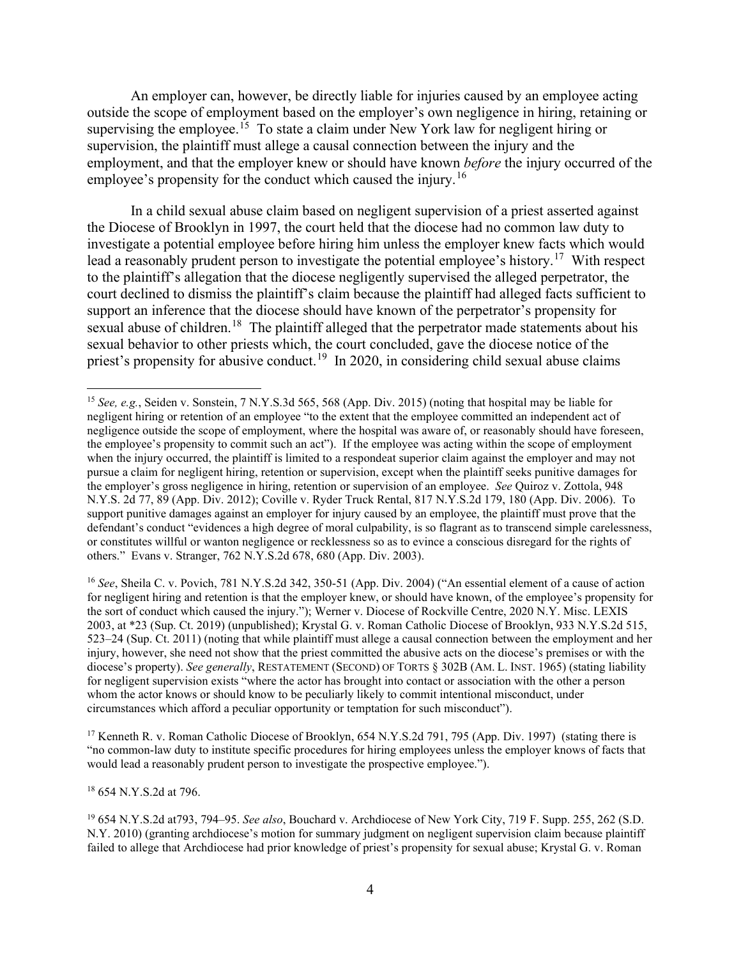An employer can, however, be directly liable for injuries caused by an employee acting outside the scope of employment based on the employer's own negligence in hiring, retaining or supervising the employee.<sup>[15](#page-3-0)</sup> To state a claim under New York law for negligent hiring or supervision, the plaintiff must allege a causal connection between the injury and the employment, and that the employer knew or should have known *before* the injury occurred of the employee's propensity for the conduct which caused the injury.<sup>16</sup>

In a child sexual abuse claim based on negligent supervision of a priest asserted against the Diocese of Brooklyn in 1997, the court held that the diocese had no common law duty to investigate a potential employee before hiring him unless the employer knew facts which would lead a reasonably prudent person to investigate the potential employee's history.<sup>[17](#page-3-2)</sup> With respect to the plaintiff's allegation that the diocese negligently supervised the alleged perpetrator, the court declined to dismiss the plaintiff's claim because the plaintiff had alleged facts sufficient to support an inference that the diocese should have known of the perpetrator's propensity for sexual abuse of children.<sup>18</sup> The plaintiff alleged that the perpetrator made statements about his sexual behavior to other priests which, the court concluded, gave the diocese notice of the priest's propensity for abusive conduct.<sup>[19](#page-3-4)</sup> In 2020, in considering child sexual abuse claims

<span id="page-3-1"></span><sup>16</sup> *See*, Sheila C. v. Povich, 781 N.Y.S.2d 342, 350-51 (App. Div. 2004) ("An essential element of a cause of action for negligent hiring and retention is that the employer knew, or should have known, of the employee's propensity for the sort of conduct which caused the injury."); Werner v. Diocese of Rockville Centre, 2020 N.Y. Misc. LEXIS 2003, at \*23 (Sup. Ct. 2019) (unpublished); Krystal G. v. Roman Catholic Diocese of Brooklyn, 933 N.Y.S.2d 515, 523–24 (Sup. Ct. 2011) (noting that while plaintiff must allege a causal connection between the employment and her injury, however, she need not show that the priest committed the abusive acts on the diocese's premises or with the diocese's property). *See generally*, RESTATEMENT (SECOND) OF TORTS § 302B (AM. L. INST. 1965) (stating liability for negligent supervision exists "where the actor has brought into contact or association with the other a person whom the actor knows or should know to be peculiarly likely to commit intentional misconduct, under circumstances which afford a peculiar opportunity or temptation for such misconduct").

<span id="page-3-2"></span><sup>17</sup> Kenneth R. v. Roman Catholic Diocese of Brooklyn, 654 N.Y.S.2d 791, 795 (App. Div. 1997) (stating there is "no common-law duty to institute specific procedures for hiring employees unless the employer knows of facts that would lead a reasonably prudent person to investigate the prospective employee.").

<span id="page-3-3"></span><sup>18</sup> 654 N.Y.S.2d at 796.

<span id="page-3-4"></span><sup>19</sup> 654 N.Y.S.2d at793, 794–95. *See also*, Bouchard v. Archdiocese of New York City, 719 F. Supp. 255, 262 (S.D. N.Y. 2010) (granting archdiocese's motion for summary judgment on negligent supervision claim because plaintiff failed to allege that Archdiocese had prior knowledge of priest's propensity for sexual abuse; Krystal G. v. Roman

<span id="page-3-0"></span><sup>15</sup> *See, e.g.*, Seiden v. Sonstein, 7 N.Y.S.3d 565, 568 (App. Div. 2015) (noting that hospital may be liable for negligent hiring or retention of an employee "to the extent that the employee committed an independent act of negligence outside the scope of employment, where the hospital was aware of, or reasonably should have foreseen, the employee's propensity to commit such an act"). If the employee was acting within the scope of employment when the injury occurred, the plaintiff is limited to a respondeat superior claim against the employer and may not pursue a claim for negligent hiring, retention or supervision, except when the plaintiff seeks punitive damages for the employer's gross negligence in hiring, retention or supervision of an employee. *See* Quiroz v. Zottola, 948 N.Y.S. 2d 77, 89 (App. Div. 2012); Coville v. Ryder Truck Rental, 817 N.Y.S.2d 179, 180 (App. Div. 2006). To support punitive damages against an employer for injury caused by an employee, the plaintiff must prove that the defendant's conduct "evidences a high degree of moral culpability, is so flagrant as to transcend simple carelessness, or constitutes willful or wanton negligence or recklessness so as to evince a conscious disregard for the rights of others." Evans v. Stranger, 762 N.Y.S.2d 678, 680 (App. Div. 2003).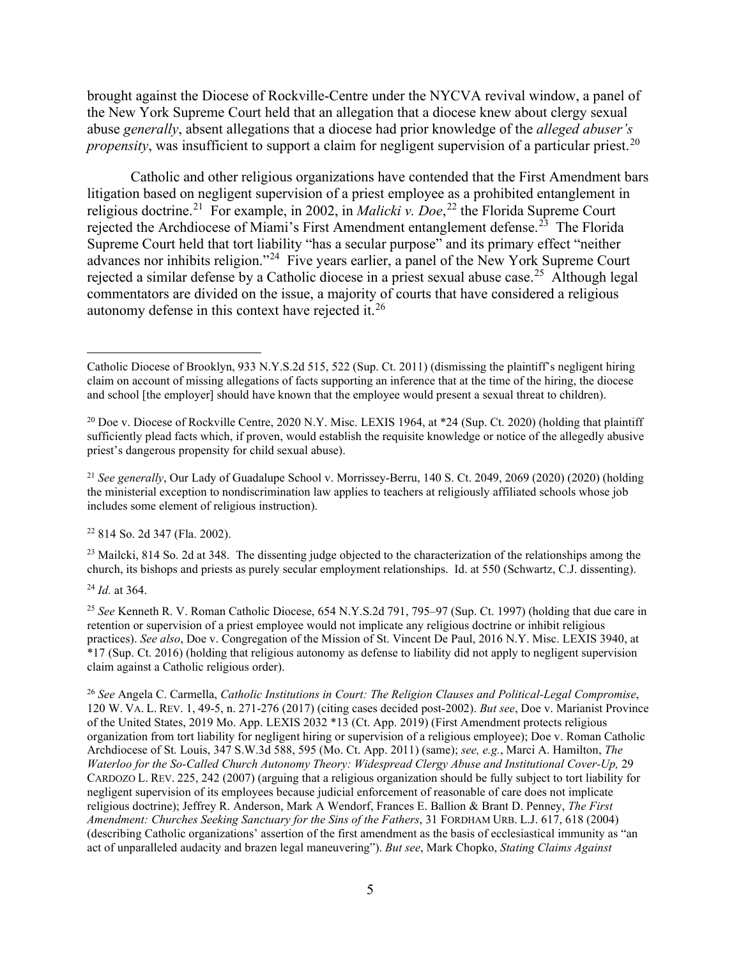brought against the Diocese of Rockville-Centre under the NYCVA revival window, a panel of the New York Supreme Court held that an allegation that a diocese knew about clergy sexual abuse *generally*, absent allegations that a diocese had prior knowledge of the *alleged abuser's propensity*, was insufficient to support a claim for negligent supervision of a particular priest.<sup>20</sup>

Catholic and other religious organizations have contended that the First Amendment bars litigation based on negligent supervision of a priest employee as a prohibited entanglement in religious doctrine.<sup>[21](#page-4-1)</sup> For example, in 2002, in *Malicki v. Doe*,<sup>[22](#page-4-2)</sup> the Florida Supreme Court rejected the Archdiocese of Miami's First Amendment entanglement defense.<sup>[23](#page-4-3)</sup> The Florida Supreme Court held that tort liability "has a secular purpose" and its primary effect "neither advances nor inhibits religion."[24](#page-4-4) Five years earlier, a panel of the New York Supreme Court rejected a similar defense by a Catholic diocese in a priest sexual abuse case.<sup>[25](#page-4-5)</sup> Although legal commentators are divided on the issue, a majority of courts that have considered a religious autonomy defense in this context have rejected it.[26](#page-4-6)

<span id="page-4-2"></span><sup>22</sup> 814 So. 2d 347 (Fla. 2002).

<span id="page-4-3"></span> $^{23}$  Mailcki, 814 So. 2d at 348. The dissenting judge objected to the characterization of the relationships among the church, its bishops and priests as purely secular employment relationships. Id. at 550 (Schwartz, C.J. dissenting).

<span id="page-4-4"></span><sup>24</sup> *Id.* at 364.

<span id="page-4-5"></span><sup>25</sup> *See* Kenneth R. V. Roman Catholic Diocese, 654 N.Y.S.2d 791, 795–97 (Sup. Ct. 1997) (holding that due care in retention or supervision of a priest employee would not implicate any religious doctrine or inhibit religious practices). *See also*, Doe v. Congregation of the Mission of St. Vincent De Paul, 2016 N.Y. Misc. LEXIS 3940, at \*17 (Sup. Ct. 2016) (holding that religious autonomy as defense to liability did not apply to negligent supervision claim against a Catholic religious order).

<span id="page-4-6"></span><sup>26</sup> *See* Angela C. Carmella, *Catholic Institutions in Court: The Religion Clauses and Political-Legal Compromise*, 120 W. VA. L. REV. 1, 49-5, n. 271-276 (2017) (citing cases decided post-2002). *But see*, Doe v. Marianist Province of the United States, 2019 Mo. App. LEXIS 2032 \*13 (Ct. App. 2019) (First Amendment protects religious organization from tort liability for negligent hiring or supervision of a religious employee); Doe v. Roman Catholic Archdiocese of St. Louis, 347 S.W.3d 588, 595 (Mo. Ct. App. 2011) (same); *see, e.g.*, Marci A. Hamilton, *The Waterloo for the So-Called Church Autonomy Theory: Widespread Clergy Abuse and Institutional Cover-Up,* 29 CARDOZO L. REV. 225, 242 (2007) (arguing that a religious organization should be fully subject to tort liability for negligent supervision of its employees because judicial enforcement of reasonable of care does not implicate religious doctrine); Jeffrey R. Anderson, Mark A Wendorf, Frances E. Ballion & Brant D. Penney, *The First Amendment: Churches Seeking Sanctuary for the Sins of the Fathers*, 31 FORDHAM URB. L.J. 617, 618 (2004) (describing Catholic organizations' assertion of the first amendment as the basis of ecclesiastical immunity as "an act of unparalleled audacity and brazen legal maneuvering"). *But see*, Mark Chopko, *Stating Claims Against* 

Catholic Diocese of Brooklyn, 933 N.Y.S.2d 515, 522 (Sup. Ct. 2011) (dismissing the plaintiff's negligent hiring claim on account of missing allegations of facts supporting an inference that at the time of the hiring, the diocese and school [the employer] should have known that the employee would present a sexual threat to children).

<span id="page-4-0"></span><sup>&</sup>lt;sup>20</sup> Doe v. Diocese of Rockville Centre, 2020 N.Y. Misc. LEXIS 1964, at \*24 (Sup. Ct. 2020) (holding that plaintiff sufficiently plead facts which, if proven, would establish the requisite knowledge or notice of the allegedly abusive priest's dangerous propensity for child sexual abuse).

<span id="page-4-1"></span><sup>&</sup>lt;sup>21</sup> *See generally*, Our Lady of Guadalupe School v. Morrissey-Berru, 140 S. Ct. 2049, 2069 (2020) (2020) (holding the ministerial exception to nondiscrimination law applies to teachers at religiously affiliated schools whose job includes some element of religious instruction).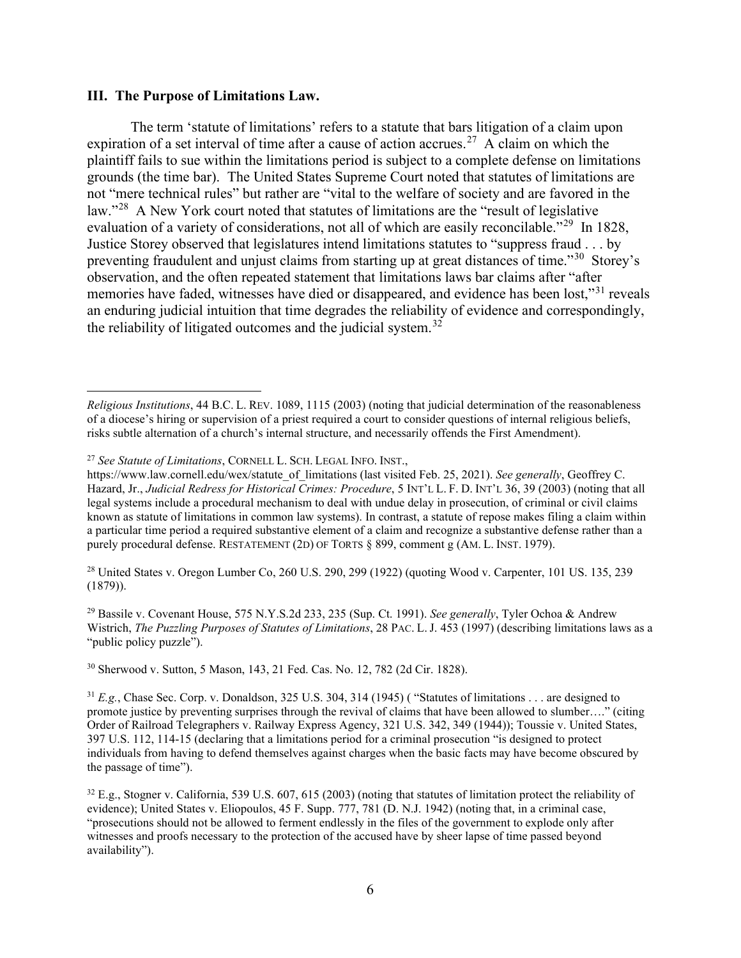## **III. The Purpose of Limitations Law.**

The term 'statute of limitations' refers to a statute that bars litigation of a claim upon expiration of a set interval of time after a cause of action accrues.<sup>[27](#page-5-0)</sup> A claim on which the plaintiff fails to sue within the limitations period is subject to a complete defense on limitations grounds (the time bar). The United States Supreme Court noted that statutes of limitations are not "mere technical rules" but rather are "vital to the welfare of society and are favored in the law."<sup>[28](#page-5-1)</sup> A New York court noted that statutes of limitations are the "result of legislative" evaluation of a variety of considerations, not all of which are easily reconcilable."<sup>29</sup> In 1828, Justice Storey observed that legislatures intend limitations statutes to "suppress fraud . . . by preventing fraudulent and unjust claims from starting up at great distances of time."[30](#page-5-3) Storey's observation, and the often repeated statement that limitations laws bar claims after "after memories have faded, witnesses have died or disappeared, and evidence has been lost,"<sup>[31](#page-5-4)</sup> reveals an enduring judicial intuition that time degrades the reliability of evidence and correspondingly, the reliability of litigated outcomes and the judicial system.<sup>[32](#page-5-5)</sup>

<span id="page-5-1"></span><sup>28</sup> United States v. Oregon Lumber Co, 260 U.S. 290, 299 (1922) (quoting Wood v. Carpenter, 101 US. 135, 239 (1879)).

<span id="page-5-2"></span><sup>29</sup> Bassile v. Covenant House, 575 N.Y.S.2d 233, 235 (Sup. Ct. 1991). *See generally*, Tyler Ochoa & Andrew Wistrich, *The Puzzling Purposes of Statutes of Limitations*, 28 PAC. L. J. 453 (1997) (describing limitations laws as a "*public policy puzzle*").

<span id="page-5-3"></span><sup>30</sup> Sherwood v. Sutton, 5 Mason, 143, 21 Fed. Cas. No. 12, 782 (2d Cir. 1828).

*Religious Institutions*, 44 B.C. L. REV. 1089, 1115 (2003) (noting that judicial determination of the reasonableness of a diocese's hiring or supervision of a priest required a court to consider questions of internal religious beliefs, risks subtle alternation of a church's internal structure, and necessarily offends the First Amendment).

<span id="page-5-0"></span><sup>27</sup> *See Statute of Limitations*, CORNELL L. SCH. LEGAL INFO. INST.,

https://www.law.cornell.edu/wex/statute\_of\_limitations (last visited Feb. 25, 2021). *See generally*, Geoffrey C. Hazard, Jr., *Judicial Redress for Historical Crimes: Procedure*, 5 INT'L L. F. D. INT'L 36, 39 (2003) (noting that all legal systems include a procedural mechanism to deal with undue delay in prosecution, of criminal or civil claims known as statute of limitations in common law systems). In contrast, a statute of repose makes filing a claim within a particular time period a required substantive element of a claim and recognize a substantive defense rather than a purely procedural defense. RESTATEMENT (2D) OF TORTS § 899, comment g (AM. L. INST. 1979).

<span id="page-5-4"></span><sup>&</sup>lt;sup>31</sup> *E.g.*, Chase Sec. Corp. v. Donaldson, 325 U.S. 304, 314 (1945) ( "Statutes of limitations . . . are designed to promote justice by preventing surprises through the revival of claims that have been allowed to slumber…." (citing Order of Railroad Telegraphers v. Railway Express Agency, 321 U.S. 342, 349 (1944)); Toussie v. United States, 397 U.S. 112, 114-15 (declaring that a limitations period for a criminal prosecution "is designed to protect individuals from having to defend themselves against charges when the basic facts may have become obscured by the passage of time").

<span id="page-5-5"></span> $32$  E.g., Stogner v. California, 539 U.S. 607, 615 (2003) (noting that statutes of limitation protect the reliability of evidence); United States v. Eliopoulos, 45 F. Supp. 777, 781 (D. N.J. 1942) (noting that, in a criminal case, "prosecutions should not be allowed to ferment endlessly in the files of the government to explode only after witnesses and proofs necessary to the protection of the accused have by sheer lapse of time passed beyond availability").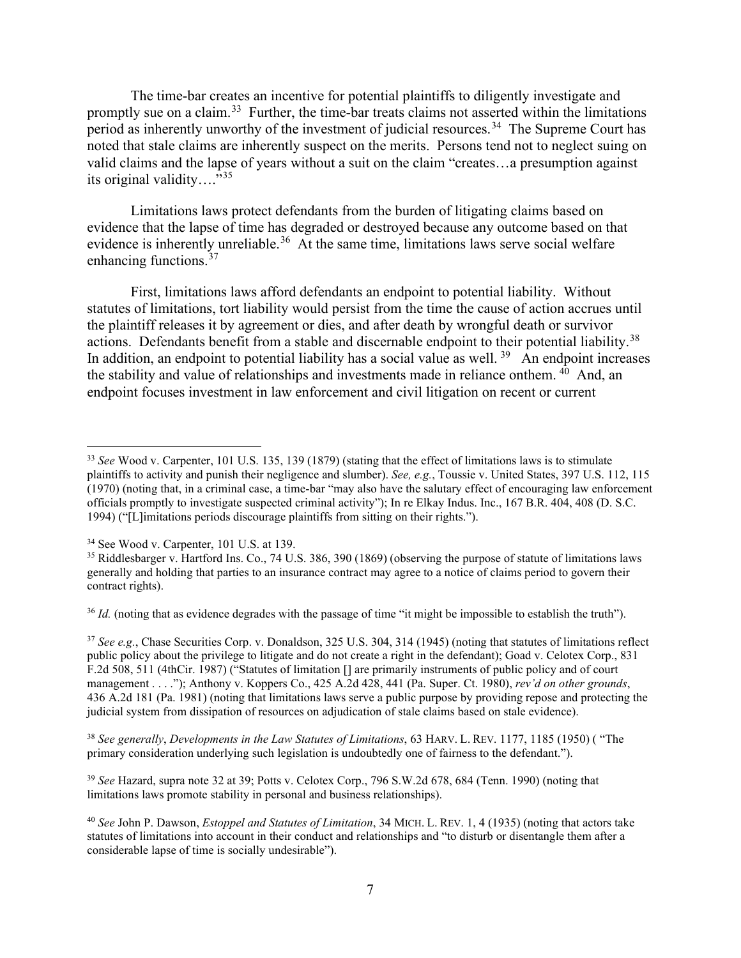The time-bar creates an incentive for potential plaintiffs to diligently investigate and promptly sue on a claim.<sup>33</sup> Further, the time-bar treats claims not asserted within the limitations period as inherently unworthy of the investment of judicial resources.<sup>[34](#page-6-1)</sup> The Supreme Court has noted that stale claims are inherently suspect on the merits. Persons tend not to neglect suing on valid claims and the lapse of years without a suit on the claim "creates…a presumption against its original validity....<sup>"[35](#page-6-2)</sup>

Limitations laws protect defendants from the burden of litigating claims based on evidence that the lapse of time has degraded or destroyed because any outcome based on that evidence is inherently unreliable.<sup>[36](#page-6-3)</sup> At the same time, limitations laws serve social welfare enhancing functions.<sup>37</sup>

First, limitations laws afford defendants an endpoint to potential liability. Without statutes of limitations, tort liability would persist from the time the cause of action accrues until the plaintiff releases it by agreement or dies, and after death by wrongful death or survivor actions. Defendants benefit from a stable and discernable endpoint to their potential liability.<sup>[38](#page-6-5)</sup> In addition, an endpoint to potential liability has a social value as well.<sup>39</sup> An endpoint increases the stability and value of relationships and investments made in reliance onthem.  $40$  And, an endpoint focuses investment in law enforcement and civil litigation on recent or current

<span id="page-6-3"></span><sup>36</sup> *Id.* (noting that as evidence degrades with the passage of time "it might be impossible to establish the truth").

<span id="page-6-4"></span><sup>37</sup> *See e.g.*, Chase Securities Corp. v. Donaldson, 325 U.S. 304, 314 (1945) (noting that statutes of limitations reflect public policy about the privilege to litigate and do not create a right in the defendant); Goad v. Celotex Corp., 831 F.2d 508, 511 (4thCir. 1987) ("Statutes of limitation [] are primarily instruments of public policy and of court management . . . ."); Anthony v. Koppers Co., 425 A.2d 428, 441 (Pa. Super. Ct. 1980), *rev'd on other grounds*, 436 A.2d 181 (Pa. 1981) (noting that limitations laws serve a public purpose by providing repose and protecting the judicial system from dissipation of resources on adjudication of stale claims based on stale evidence).

<span id="page-6-5"></span><sup>38</sup> *See generally*, *Developments in the Law Statutes of Limitations*, 63 HARV. L. REV. 1177, 1185 (1950) ( "The primary consideration underlying such legislation is undoubtedly one of fairness to the defendant.").

<span id="page-6-6"></span><sup>39</sup> *See* Hazard, supra note 32 at 39; Potts v. Celotex Corp., 796 S.W.2d 678, 684 (Tenn. 1990) (noting that limitations laws promote stability in personal and business relationships).

<span id="page-6-0"></span><sup>33</sup> *See* Wood v. Carpenter, 101 U.S. 135, 139 (1879) (stating that the effect of limitations laws is to stimulate plaintiffs to activity and punish their negligence and slumber). *See, e.g.*, Toussie v. United States, 397 U.S. 112, 115 (1970) (noting that, in a criminal case, a time-bar "may also have the salutary effect of encouraging law enforcement officials promptly to investigate suspected criminal activity"); In re Elkay Indus. Inc., 167 B.R. 404, 408 (D. S.C. 1994) ("[L]imitations periods discourage plaintiffs from sitting on their rights.").

<span id="page-6-2"></span>

<span id="page-6-1"></span> $34$  See Wood v. Carpenter, 101 U.S. at 139.<br> $35$  Riddlesbarger v. Hartford Ins. Co., 74 U.S. 386, 390 (1869) (observing the purpose of statute of limitations laws generally and holding that parties to an insurance contract may agree to a notice of claims period to govern their contract rights).

<span id="page-6-7"></span><sup>40</sup> *See* John P. Dawson, *Estoppel and Statutes of Limitation*, 34 MICH. L. REV. 1, 4 (1935) (noting that actors take statutes of limitations into account in their conduct and relationships and "to disturb or disentangle them after a considerable lapse of time is socially undesirable").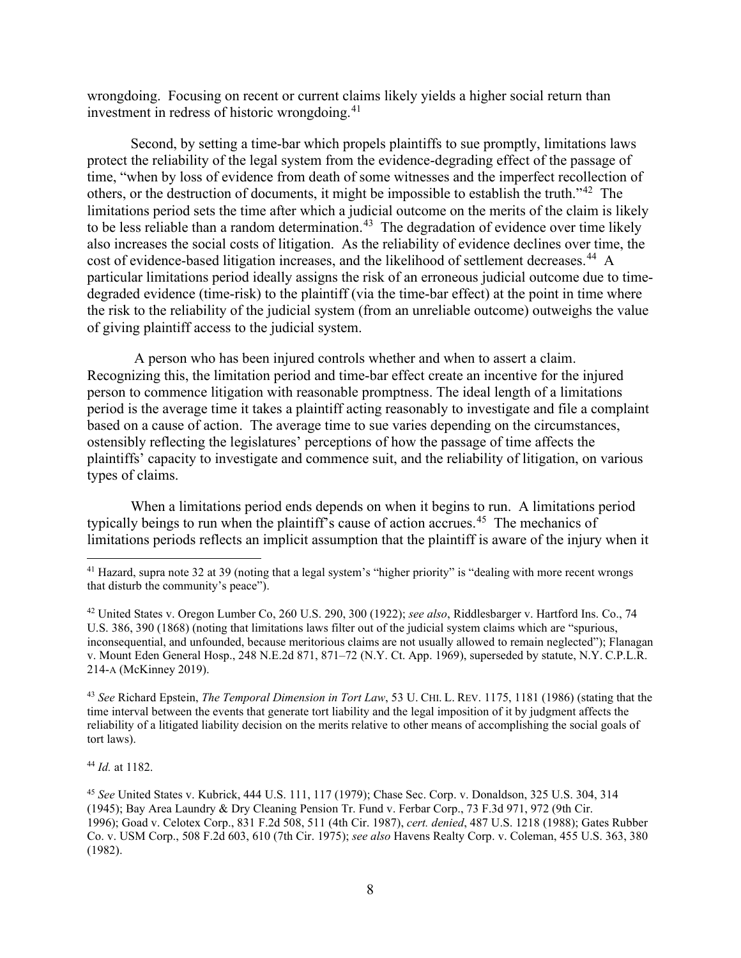wrongdoing. Focusing on recent or current claims likely yields a higher social return than investment in redress of historic wrongdoing.<sup>[41](#page-7-0)</sup>

Second, by setting a time-bar which propels plaintiffs to sue promptly, limitations laws protect the reliability of the legal system from the evidence-degrading effect of the passage of time, "when by loss of evidence from death of some witnesses and the imperfect recollection of others, or the destruction of documents, it might be impossible to establish the truth."[42](#page-7-1) The limitations period sets the time after which a judicial outcome on the merits of the claim is likely to be less reliable than a random determination.<sup>43</sup> The degradation of evidence over time likely also increases the social costs of litigation. As the reliability of evidence declines over time, the cost of evidence-based litigation increases, and the likelihood of settlement decreases.<sup>[44](#page-7-3)</sup> A particular limitations period ideally assigns the risk of an erroneous judicial outcome due to timedegraded evidence (time-risk) to the plaintiff (via the time-bar effect) at the point in time where the risk to the reliability of the judicial system (from an unreliable outcome) outweighs the value of giving plaintiff access to the judicial system.

A person who has been injured controls whether and when to assert a claim. Recognizing this, the limitation period and time-bar effect create an incentive for the injured person to commence litigation with reasonable promptness. The ideal length of a limitations period is the average time it takes a plaintiff acting reasonably to investigate and file a complaint based on a cause of action. The average time to sue varies depending on the circumstances, ostensibly reflecting the legislatures' perceptions of how the passage of time affects the plaintiffs' capacity to investigate and commence suit, and the reliability of litigation, on various types of claims.

When a limitations period ends depends on when it begins to run. A limitations period typically beings to run when the plaintiff's cause of action accrues.<sup>[45](#page-7-4)</sup> The mechanics of limitations periods reflects an implicit assumption that the plaintiff is aware of the injury when it

<span id="page-7-1"></span><sup>42</sup> United States v. Oregon Lumber Co, 260 U.S. 290, 300 (1922); *see also*, Riddlesbarger v. Hartford Ins. Co., 74 U.S. 386, 390 (1868) (noting that limitations laws filter out of the judicial system claims which are "spurious, inconsequential, and unfounded, because meritorious claims are not usually allowed to remain neglected"); Flanagan v. Mount Eden General Hosp., 248 N.E.2d 871, 871–72 (N.Y. Ct. App. 1969), superseded by statute, N.Y. C.P.L.R. 214-A (McKinney 2019).

<span id="page-7-2"></span><sup>43</sup> *See* Richard Epstein, *The Temporal Dimension in Tort Law*, 53 U. CHI. L. REV. 1175, 1181 (1986) (stating that the time interval between the events that generate tort liability and the legal imposition of it by judgment affects the reliability of a litigated liability decision on the merits relative to other means of accomplishing the social goals of tort laws).

<span id="page-7-3"></span><sup>44</sup> *Id.* at 1182.

<span id="page-7-4"></span><sup>45</sup> *See* United States v. Kubrick, 444 U.S. 111, 117 (1979); Chase Sec. Corp. v. Donaldson, 325 U.S. 304, 314 (1945); Bay Area Laundry & Dry Cleaning Pension Tr. Fund v. Ferbar Corp., 73 F.3d 971, 972 (9th Cir. 1996); Goad v. Celotex Corp., 831 F.2d 508, 511 (4th Cir. 1987), *cert. denied*, 487 U.S. 1218 (1988); Gates Rubber Co. v. USM Corp., 508 F.2d 603, 610 (7th Cir. 1975); *see also* Havens Realty Corp. v. Coleman, 455 U.S. 363, 380 (1982).

<span id="page-7-0"></span><sup>&</sup>lt;sup>41</sup> Hazard, supra note 32 at 39 (noting that a legal system's "higher priority" is "dealing with more recent wrongs that disturb the community's peace").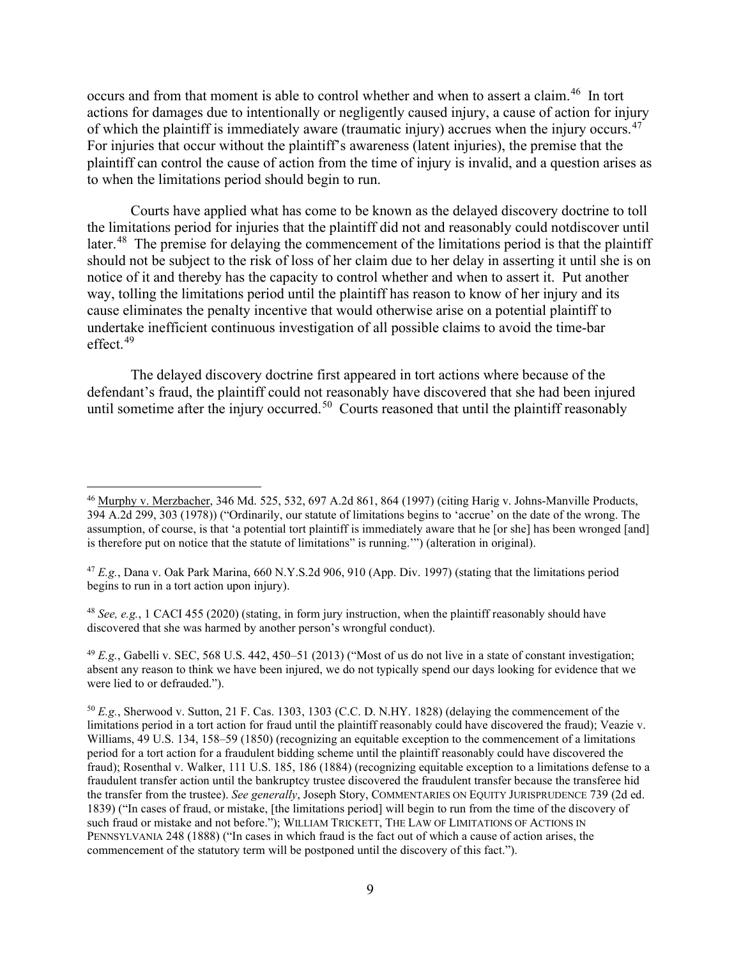occurs and from that moment is able to control whether and when to assert a claim.<sup>[46](#page-8-0)</sup> In tort actions for damages due to intentionally or negligently caused injury, a cause of action for injury of which the plaintiff is immediately aware (traumatic injury) accrues when the injury occurs.<sup>47</sup> For injuries that occur without the plaintiff's awareness (latent injuries), the premise that the plaintiff can control the cause of action from the time of injury is invalid, and a question arises as to when the limitations period should begin to run.

Courts have applied what has come to be known as the delayed discovery doctrine to toll the limitations period for injuries that the plaintiff did not and reasonably could notdiscover until later.<sup>[48](#page-8-2)</sup> The premise for delaying the commencement of the limitations period is that the plaintiff should not be subject to the risk of loss of her claim due to her delay in asserting it until she is on notice of it and thereby has the capacity to control whether and when to assert it. Put another way, tolling the limitations period until the plaintiff has reason to know of her injury and its cause eliminates the penalty incentive that would otherwise arise on a potential plaintiff to undertake inefficient continuous investigation of all possible claims to avoid the time-bar effect. [49](#page-8-3)

The delayed discovery doctrine first appeared in tort actions where because of the defendant's fraud, the plaintiff could not reasonably have discovered that she had been injured until sometime after the injury occurred.<sup>50</sup> Courts reasoned that until the plaintiff reasonably

<span id="page-8-2"></span><sup>48</sup> *See, e.g.*, 1 CACI 455 (2020) (stating, in form jury instruction, when the plaintiff reasonably should have discovered that she was harmed by another person's wrongful conduct).

<span id="page-8-3"></span> $^{49}$  *E.g.*, Gabelli v. SEC, 568 U.S. 442, 450–51 (2013) ("Most of us do not live in a state of constant investigation; absent any reason to think we have been injured, we do not typically spend our days looking for evidence that we were lied to or defrauded.").

<span id="page-8-0"></span><sup>46</sup> Murphy v. Merzbacher, 346 Md. 525, 532, 697 A.2d 861, 864 (1997) (citing Harig v. Johns-Manville Products, 394 A.2d 299, 303 (1978)) ("Ordinarily, our statute of limitations begins to 'accrue' on the date of the wrong. The assumption, of course, is that 'a potential tort plaintiff is immediately aware that he [or she] has been wronged [and] is therefore put on notice that the statute of limitations" is running.'") (alteration in original).

<span id="page-8-1"></span><sup>47</sup> *E.g.*, Dana v. Oak Park Marina, 660 N.Y.S.2d 906, 910 (App. Div. 1997) (stating that the limitations period begins to run in a tort action upon injury).

<span id="page-8-4"></span><sup>50</sup> *E.g.*, Sherwood v. Sutton, 21 F. Cas. 1303, 1303 (C.C. D. N.HY. 1828) (delaying the commencement of the limitations period in a tort action for fraud until the plaintiff reasonably could have discovered the fraud); Veazie v. Williams, 49 U.S. 134, 158–59 (1850) (recognizing an equitable exception to the commencement of a limitations period for a tort action for a fraudulent bidding scheme until the plaintiff reasonably could have discovered the fraud); Rosenthal v. Walker, 111 U.S. 185, 186 (1884) (recognizing equitable exception to a limitations defense to a fraudulent transfer action until the bankruptcy trustee discovered the fraudulent transfer because the transferee hid the transfer from the trustee). *See generally*, Joseph Story, COMMENTARIES ON EQUITY JURISPRUDENCE 739 (2d ed. 1839) ("In cases of fraud, or mistake, [the limitations period] will begin to run from the time of the discovery of such fraud or mistake and not before."); WILLIAM TRICKETT, THE LAW OF LIMITATIONS OF ACTIONS IN PENNSYLVANIA 248 (1888) ("In cases in which fraud is the fact out of which a cause of action arises, the commencement of the statutory term will be postponed until the discovery of this fact.").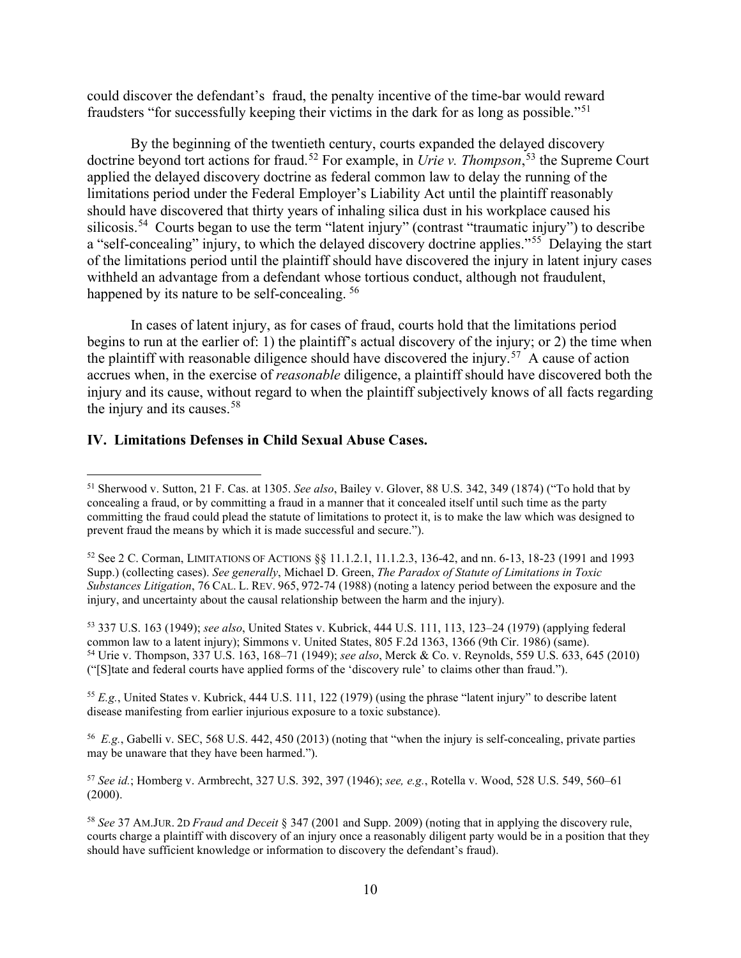could discover the defendant's fraud, the penalty incentive of the time-bar would reward fraudsters "for successfully keeping their victims in the dark for as long as possible."[51](#page-9-0) 

By the beginning of the twentieth century, courts expanded the delayed discovery doctrine beyond tort actions for fraud.<sup>[52](#page-9-1)</sup> For example, in *Urie v. Thompson*,<sup>[53](#page-9-2)</sup> the Supreme Court applied the delayed discovery doctrine as federal common law to delay the running of the limitations period under the Federal Employer's Liability Act until the plaintiff reasonably should have discovered that thirty years of inhaling silica dust in his workplace caused his silicosis.<sup>[54](#page-9-3)</sup> Courts began to use the term "latent injury" (contrast "traumatic injury") to describe a "self-concealing" injury, to which the delayed discovery doctrine applies."<sup>55</sup> Delaying the start of the limitations period until the plaintiff should have discovered the injury in latent injury cases withheld an advantage from a defendant whose tortious conduct, although not fraudulent, happened by its nature to be self-concealing.<sup>[56](#page-9-5)</sup>

In cases of latent injury, as for cases of fraud, courts hold that the limitations period begins to run at the earlier of: 1) the plaintiff's actual discovery of the injury; or 2) the time when the plaintiff with reasonable diligence should have discovered the injury.<sup>57</sup> A cause of action accrues when, in the exercise of *reasonable* diligence, a plaintiff should have discovered both the injury and its cause, without regard to when the plaintiff subjectively knows of all facts regarding the injury and its causes. $58$ 

# **IV. Limitations Defenses in Child Sexual Abuse Cases.**

<span id="page-9-3"></span><span id="page-9-2"></span><sup>53</sup> 337 U.S. 163 (1949); *see also*, United States v. Kubrick, 444 U.S. 111, 113, 123–24 (1979) (applying federal common law to a latent injury); Simmons v. United States, 805 F.2d 1363, 1366 (9th Cir. 1986) (same). <sup>54</sup> Urie v. Thompson, 337 U.S. 163, 168–71 (1949); *see also*, Merck & Co. v. Reynolds, 559 U.S. 633, 645 (2010) ("[S]tate and federal courts have applied forms of the 'discovery rule' to claims other than fraud.").

<span id="page-9-4"></span><sup>55</sup> *E.g.*, United States v. Kubrick, 444 U.S. 111, 122 (1979) (using the phrase "latent injury" to describe latent disease manifesting from earlier injurious exposure to a toxic substance).

<span id="page-9-5"></span>56 *E.g.*, Gabelli v. SEC, 568 U.S. 442, 450 (2013) (noting that "when the injury is self-concealing, private parties may be unaware that they have been harmed.").

<span id="page-9-6"></span><sup>57</sup> *See id.*; Homberg v. Armbrecht, 327 U.S. 392, 397 (1946); *see, e.g.*, Rotella v. Wood, 528 U.S. 549, 560–61  $(2000).$ 

<span id="page-9-0"></span><sup>51</sup> Sherwood v. Sutton, 21 F. Cas. at 1305. *See also*, Bailey v. Glover, 88 U.S. 342, 349 (1874) ("To hold that by concealing a fraud, or by committing a fraud in a manner that it concealed itself until such time as the party committing the fraud could plead the statute of limitations to protect it, is to make the law which was designed to prevent fraud the means by which it is made successful and secure.").

<span id="page-9-1"></span><sup>52</sup> See 2 C. Corman, LIMITATIONS OF ACTIONS §§ 11.1.2.1, 11.1.2.3, 136-42, and nn. 6-13, 18-23 (1991 and 1993 Supp.) (collecting cases). *See generally*, Michael D. Green, *The Paradox of Statute of Limitations in Toxic Substances Litigation*, 76 CAL. L. REV. 965, 972-74 (1988) (noting a latency period between the exposure and the injury, and uncertainty about the causal relationship between the harm and the injury).

<span id="page-9-7"></span><sup>58</sup> *See* 37 AM.JUR. 2D *Fraud and Deceit* § 347 (2001 and Supp. 2009) (noting that in applying the discovery rule, courts charge a plaintiff with discovery of an injury once a reasonably diligent party would be in a position that they should have sufficient knowledge or information to discovery the defendant's fraud).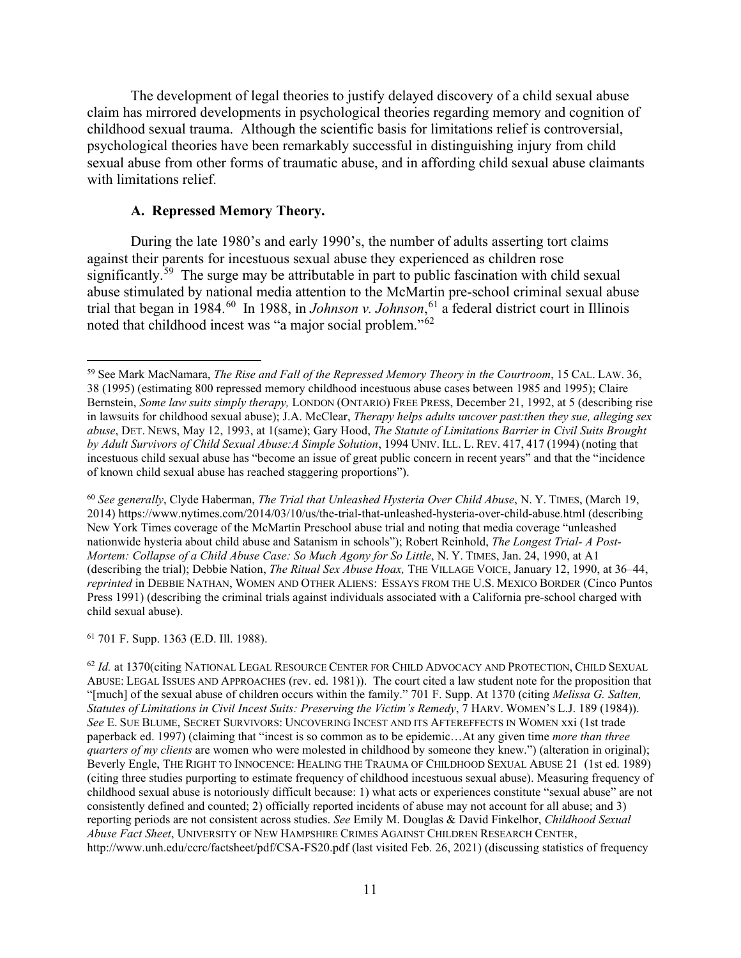The development of legal theories to justify delayed discovery of a child sexual abuse claim has mirrored developments in psychological theories regarding memory and cognition of childhood sexual trauma. Although the scientific basis for limitations relief is controversial, psychological theories have been remarkably successful in distinguishing injury from child sexual abuse from other forms of traumatic abuse, and in affording child sexual abuse claimants with limitations relief.

### **A. Repressed Memory Theory.**

During the late 1980's and early 1990's, the number of adults asserting tort claims against their parents for incestuous sexual abuse they experienced as children rose significantly.<sup>59</sup> The surge may be attributable in part to public fascination with child sexual abuse stimulated by national media attention to the McMartin pre-school criminal sexual abuse trial that began in 1984.<sup>[60](#page-10-1)</sup> In 1988, in *Johnson v. Johnson*, <sup>[61](#page-10-2)</sup> a federal district court in Illinois noted that childhood incest was "a major social problem."[62](#page-10-3)

<span id="page-10-1"></span><sup>60</sup> *See generally*, Clyde Haberman, *The Trial that Unleashed Hysteria Over Child Abuse*, N. Y. TIMES, (March 19, 2014) https://www.nytimes.com/2014/03/10/us/the-trial-that-unleashed-hysteria-over-child-abuse.html (describing New York Times coverage of the McMartin Preschool abuse trial and noting that media coverage "unleashed nationwide hysteria about child abuse and Satanism in schools"); Robert Reinhold, *The Longest Trial- A Post-Mortem: Collapse of a Child Abuse Case: So Much Agony for So Little*, N.Y. TIMES, Jan. 24, 1990, at A1 (describing the trial); Debbie Nation, *The Ritual Sex Abuse Hoax,* THE VILLAGE VOICE, January 12, 1990, at 36–44, *reprinted* in DEBBIE NATHAN, WOMEN AND OTHER ALIENS: ESSAYS FROM THE U.S. MEXICO BORDER (Cinco Puntos Press 1991) (describing the criminal trials against individuals associated with a California pre-school charged with child sexual abuse).

<span id="page-10-2"></span><sup>61</sup> 701 F. Supp. 1363 (E.D. Ill. 1988).

<span id="page-10-3"></span><sup>62</sup> *Id.* at 1370(citing NATIONAL LEGAL RESOURCE CENTER FOR CHILD ADVOCACY AND PROTECTION, CHILD SEXUAL ABUSE: LEGAL ISSUES AND APPROACHES (rev. ed. 1981)). The court cited a law student note for the proposition that "[much] of the sexual abuse of children occurs within the family." 701 F. Supp. At 1370 (citing *Melissa G. Salten, Statutes of Limitations in Civil Incest Suits: Preserving the Victim's Remedy*, 7 HARV. WOMEN'S L.J. 189 (1984)). *See* E. SUE BLUME, SECRET SURVIVORS: UNCOVERING INCEST AND ITS AFTEREFFECTS IN WOMEN xxi (1st trade paperback ed. 1997) (claiming that "incest is so common as to be epidemic…At any given time *more than three quarters of my clients* are women who were molested in childhood by someone they knew.") (alteration in original); Beverly Engle, THE RIGHT TO INNOCENCE: HEALING THE TRAUMA OF CHILDHOOD SEXUAL ABUSE 21 (1st ed. 1989) (citing three studies purporting to estimate frequency of childhood incestuous sexual abuse). Measuring frequency of childhood sexual abuse is notoriously difficult because: 1) what acts or experiences constitute "sexual abuse" are not consistently defined and counted; 2) officially reported incidents of abuse may not account for all abuse; and 3) reporting periods are not consistent across studies. *See* Emily M. Douglas & David Finkelhor, *Childhood Sexual Abuse Fact Sheet*, UNIVERSITY OF NEW HAMPSHIRE CRIMES AGAINST CHILDREN RESEARCH CENTER, http://www.unh.edu/ccrc/factsheet/pdf/CSA-FS20.pdf (last visited Feb. 26, 2021) (discussing statistics of frequency

<span id="page-10-0"></span><sup>59</sup> See Mark MacNamara, *The Rise and Fall of the Repressed Memory Theory in the Courtroom*, 15 CAL. LAW. 36, 38 (1995) (estimating 800 repressed memory childhood incestuous abuse cases between 1985 and 1995); Claire Bernstein, *Some law suits simply therapy,* LONDON (ONTARIO) FREE PRESS, December 21, 1992, at 5 (describing rise in lawsuits for childhood sexual abuse); J.A. McClear, *Therapy helps adults uncover past:then they sue, alleging sex abuse*, DET. NEWS, May 12, 1993, at 1(same); Gary Hood, *The Statute of Limitations Barrier in Civil Suits Brought by Adult Survivors of Child Sexual Abuse:A Simple Solution*, 1994 UNIV. ILL. L. REV. 417, 417 (1994) (noting that incestuous child sexual abuse has "become an issue of great public concern in recent years" and that the "incidence of known child sexual abuse has reached staggering proportions").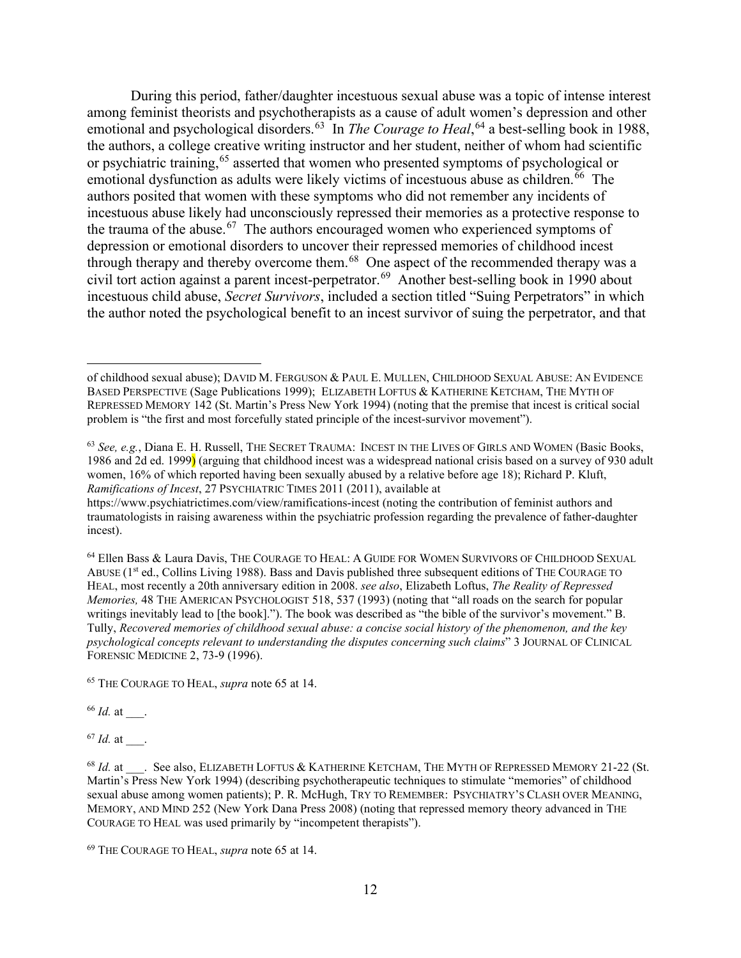During this period, father/daughter incestuous sexual abuse was a topic of intense interest among feminist theorists and psychotherapists as a cause of adult women's depression and other emotional and psychological disorders.<sup>[63](#page-11-0)</sup> In *The Courage to Heal*,<sup>[64](#page-11-1)</sup> a best-selling book in 1988, the authors, a college creative writing instructor and her student, neither of whom had scientific or psychiatric training,<sup>[65](#page-11-2)</sup> asserted that women who presented symptoms of psychological or emotional dysfunction as adults were likely victims of incestuous abuse as children.<sup>[66](#page-11-3)</sup> The authors posited that women with these symptoms who did not remember any incidents of incestuous abuse likely had unconsciously repressed their memories as a protective response to the trauma of the abuse.<sup>67</sup> The authors encouraged women who experienced symptoms of depression or emotional disorders to uncover their repressed memories of childhood incest through therapy and thereby overcome them.<sup>68</sup> One aspect of the recommended therapy was a civil tort action against a parent incest-perpetrator.<sup>69</sup> Another best-selling book in 1990 about incestuous child abuse, *Secret Survivors*, included a section titled "Suing Perpetrators" in which the author noted the psychological benefit to an incest survivor of suing the perpetrator, and that

<span id="page-11-1"></span><sup>64</sup> Ellen Bass & Laura Davis, THE COURAGE TO HEAL: A GUIDE FOR WOMEN SURVIVORS OF CHILDHOOD SEXUAL ABUSE (1st ed., Collins Living 1988). Bass and Davis published three subsequent editions of THE COURAGE TO HEAL, most recently a 20th anniversary edition in 2008. *see also*, Elizabeth Loftus, *The Reality of Repressed Memories,* 48 THE AMERICAN PSYCHOLOGIST 518, 537 (1993) (noting that "all roads on the search for popular writings inevitably lead to [the book]."). The book was described as "the bible of the survivor's movement." B. Tully, *Recovered memories of childhood sexual abuse: a concise social history of the phenomenon, and the key psychological concepts relevant to understanding the disputes concerning such claims*" 3 JOURNAL OF CLINICAL FORENSIC MEDICINE 2, 73-9 (1996).

<span id="page-11-2"></span><sup>65</sup> THE COURAGE TO HEAL, *supra* note 65 at 14.

<span id="page-11-3"></span><sup>66</sup> *Id.* at \_\_\_.

<span id="page-11-4"></span><sup>67</sup> *Id.* at \_\_\_.

of childhood sexual abuse); DAVID M. FERGUSON & PAUL E. MULLEN, CHILDHOOD SEXUAL ABUSE: AN EVIDENCE BASED PERSPECTIVE (Sage Publications 1999); ELIZABETH LOFTUS & KATHERINE KETCHAM, THE MYTH OF REPRESSED MEMORY 142 (St. Martin's Press New York 1994) (noting that the premise that incest is critical social problem is "the first and most forcefully stated principle of the incest-survivor movement").

<span id="page-11-0"></span><sup>63</sup> *See, e.g.*, Diana E. H. Russell, THE SECRET TRAUMA: INCEST IN THE LIVES OF GIRLS AND WOMEN (Basic Books, 1986 and 2d ed. 1999) (arguing that childhood incest was a widespread national crisis based on a survey of 930 adult women, 16% of which reported having been sexually abused by a relative before age 18); Richard P. Kluft, *Ramifications of Incest*, 27 PSYCHIATRIC TIMES 2011 (2011), available at

https://www.psychiatrictimes.com/view/ramifications-incest (noting the contribution of feminist authors and traumatologists in raising awareness within the psychiatric profession regarding the prevalence of father-daughter incest).

<span id="page-11-5"></span><sup>&</sup>lt;sup>68</sup> *Id.* at \_\_\_. See also, ELIZABETH LOFTUS & KATHERINE KETCHAM. THE MYTH OF REPRESSED MEMORY 21-22 (St. Martin's Press New York 1994) (describing psychotherapeutic techniques to stimulate "memories" of childhood sexual abuse among women patients); P. R. McHugh, TRY TO REMEMBER: PSYCHIATRY'S CLASH OVER MEANING, MEMORY, AND MIND 252 (New York Dana Press 2008) (noting that repressed memory theory advanced in THE COURAGE TO HEAL was used primarily by "incompetent therapists").

<span id="page-11-6"></span><sup>69</sup> THE COURAGE TO HEAL, *supra* note 65 at 14.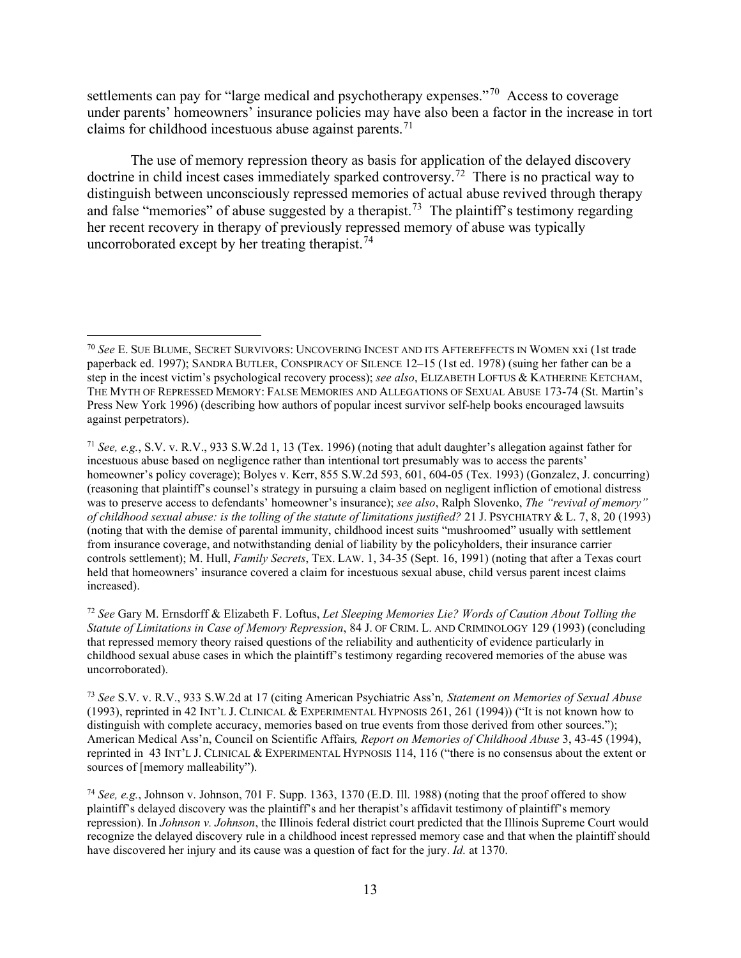settlements can pay for "large medical and psychotherapy expenses."<sup>[70](#page-12-0)</sup> Access to coverage under parents' homeowners' insurance policies may have also been a factor in the increase in tort claims for childhood incestuous abuse against parents.<sup>71</sup>

The use of memory repression theory as basis for application of the delayed discovery doctrine in child incest cases immediately sparked controversy.<sup>72</sup> There is no practical way to distinguish between unconsciously repressed memories of actual abuse revived through therapy and false "memories" of abuse suggested by a therapist.<sup>73</sup> The plaintiff's testimony regarding her recent recovery in therapy of previously repressed memory of abuse was typically uncorroborated except by her treating therapist.<sup>74</sup>

<span id="page-12-0"></span><sup>70</sup> *See* E. SUE BLUME, SECRET SURVIVORS: UNCOVERING INCEST AND ITS AFTEREFFECTS IN WOMEN xxi (1st trade paperback ed. 1997); SANDRA BUTLER, CONSPIRACY OF SILENCE 12–15 (1st ed. 1978) (suing her father can be a step in the incest victim's psychological recovery process); *see also*, ELIZABETH LOFTUS & KATHERINE KETCHAM, THE MYTH OF REPRESSED MEMORY: FALSE MEMORIES AND ALLEGATIONS OF SEXUAL ABUSE 173-74 (St. Martin's Press New York 1996) (describing how authors of popular incest survivor self-help books encouraged lawsuits against perpetrators).

<span id="page-12-1"></span><sup>71</sup> *See, e.g.*, S.V. v. R.V., 933 S.W.2d 1, 13 (Tex. 1996) (noting that adult daughter's allegation against father for incestuous abuse based on negligence rather than intentional tort presumably was to access the parents' homeowner's policy coverage); Bolyes v. Kerr, 855 S.W.2d 593, 601, 604-05 (Tex. 1993) (Gonzalez, J. concurring) (reasoning that plaintiff's counsel's strategy in pursuing a claim based on negligent infliction of emotional distress was to preserve access to defendants' homeowner's insurance); *see also*, Ralph Slovenko, *The "revival of memory" of childhood sexual abuse: is the tolling of the statute of limitations justified?* 21 J. PSYCHIATRY & L. 7, 8, 20 (1993) (noting that with the demise of parental immunity, childhood incest suits "mushroomed" usually with settlement from insurance coverage, and notwithstanding denial of liability by the policyholders, their insurance carrier controls settlement); M. Hull, *Family Secrets*, TEX. LAW. 1, 34-35 (Sept. 16, 1991) (noting that after a Texas court held that homeowners' insurance covered a claim for incestuous sexual abuse, child versus parent incest claims increased).

<span id="page-12-2"></span><sup>72</sup> *See* Gary M. Ernsdorff & Elizabeth F. Loftus, *Let Sleeping Memories Lie? Words of Caution About Tolling the Statute of Limitations in Case of Memory Repression*, 84 J. OF CRIM. L. AND CRIMINOLOGY 129 (1993) (concluding that repressed memory theory raised questions of the reliability and authenticity of evidence particularly in childhood sexual abuse cases in which the plaintiff's testimony regarding recovered memories of the abuse was uncorroborated).

<span id="page-12-3"></span><sup>73</sup> *See* S.V. v. R.V., 933 S.W.2d at 17 (citing American Psychiatric Ass'n*, Statement on Memories of Sexual Abuse* (1993), reprinted in 42 INT'L J. CLINICAL & EXPERIMENTAL HYPNOSIS 261, 261 (1994)) ("It is not known how to distinguish with complete accuracy, memories based on true events from those derived from other sources."); American Medical Ass'n, Council on Scientific Affairs*, Report on Memories of Childhood Abuse* 3, 43-45 (1994), reprinted in 43 INT'L J. CLINICAL & EXPERIMENTAL HYPNOSIS 114, 116 ("there is no consensus about the extent or sources of [memory malleability").

<span id="page-12-4"></span><sup>74</sup> *See, e.g.*, Johnson v. Johnson, 701 F. Supp. 1363, 1370 (E.D. Ill. 1988) (noting that the proof offered to show plaintiff's delayed discovery was the plaintiff's and her therapist's affidavit testimony of plaintiff's memory repression). In *Johnson v. Johnson*, the Illinois federal district court predicted that the Illinois Supreme Court would recognize the delayed discovery rule in a childhood incest repressed memory case and that when the plaintiff should have discovered her injury and its cause was a question of fact for the jury. *Id.* at 1370.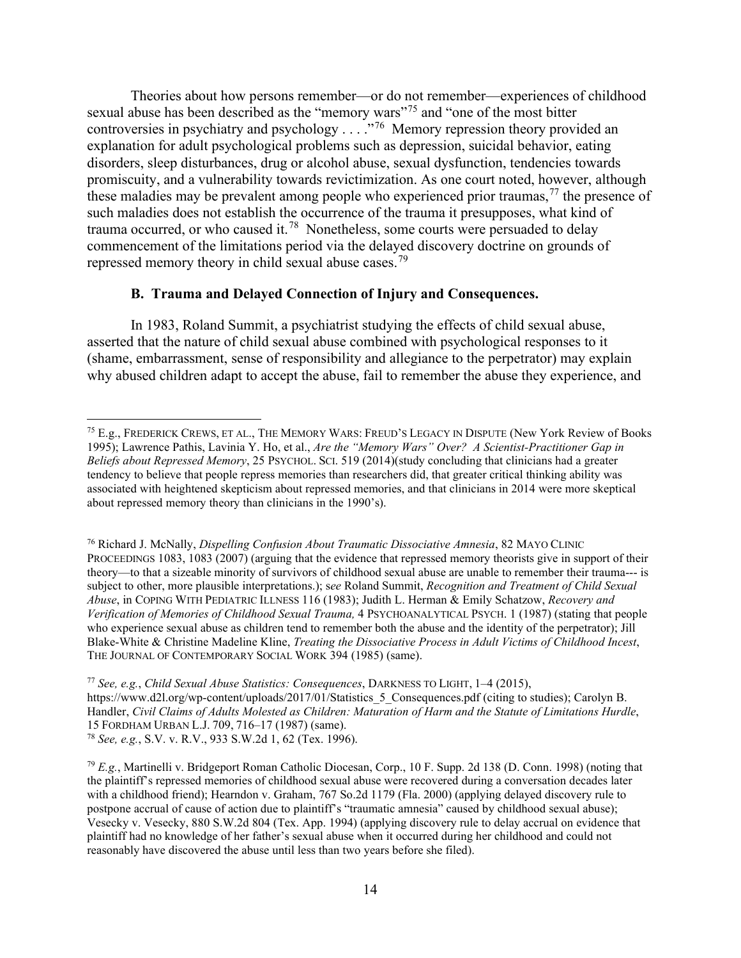Theories about how persons remember—or do not remember—experiences of childhood sexual abuse has been described as the "memory wars"<sup>[75](#page-13-0)</sup> and "one of the most bitter" controversies in psychiatry and psychology . . . ."[76](#page-13-1) Memory repression theory provided an explanation for adult psychological problems such as depression, suicidal behavior, eating disorders, sleep disturbances, drug or alcohol abuse, sexual dysfunction, tendencies towards promiscuity, and a vulnerability towards revictimization. As one court noted, however, although these maladies may be prevalent among people who experienced prior traumas,  $77$  the presence of such maladies does not establish the occurrence of the trauma it presupposes, what kind of trauma occurred, or who caused it.<sup>[78](#page-13-3)</sup> Nonetheless, some courts were persuaded to delay commencement of the limitations period via the delayed discovery doctrine on grounds of repressed memory theory in child sexual abuse cases.<sup>[79](#page-13-4)</sup>

## **B. Trauma and Delayed Connection of Injury and Consequences.**

In 1983, Roland Summit, a psychiatrist studying the effects of child sexual abuse, asserted that the nature of child sexual abuse combined with psychological responses to it (shame, embarrassment, sense of responsibility and allegiance to the perpetrator) may explain why abused children adapt to accept the abuse, fail to remember the abuse they experience, and

<span id="page-13-1"></span><sup>76</sup> Richard J. McNally, *Dispelling Confusion About Traumatic Dissociative Amnesia*, 82 MAYO CLINIC PROCEEDINGS 1083, 1083 (2007) (arguing that the evidence that repressed memory theorists give in support of their theory—to that a sizeable minority of survivors of childhood sexual abuse are unable to remember their trauma--- is subject to other, more plausible interpretations.); s*ee* Roland Summit, *Recognition and Treatment of Child Sexual Abuse*, in COPING WITH PEDIATRIC ILLNESS 116 (1983); Judith L. Herman & Emily Schatzow, *Recovery and Verification of Memories of Childhood Sexual Trauma,* 4 PSYCHOANALYTICAL PSYCH. 1 (1987) (stating that people who experience sexual abuse as children tend to remember both the abuse and the identity of the perpetrator); Jill Blake-White & Christine Madeline Kline, *Treating the Dissociative Process in Adult Victims of Childhood Incest*, THE JOURNAL OF CONTEMPORARY SOCIAL WORK 394 (1985) (same).

<span id="page-13-0"></span><sup>75</sup> E.g., FREDERICK CREWS, ET AL., THE MEMORY WARS: FREUD'S LEGACY IN DISPUTE (New York Review of Books 1995); Lawrence Pathis, Lavinia Y. Ho, et al., *Are the "Memory Wars" Over? A Scientist-Practitioner Gap in Beliefs about Repressed Memory*, 25 PSYCHOL. SCI. 519 (2014)(study concluding that clinicians had a greater tendency to believe that people repress memories than researchers did, that greater critical thinking ability was associated with heightened skepticism about repressed memories, and that clinicians in 2014 were more skeptical about repressed memory theory than clinicians in the 1990's).

<span id="page-13-2"></span><sup>77</sup> *See, e.g.*, *Child Sexual Abuse Statistics: Consequences*, DARKNESS TO LIGHT, 1–4 (2015), https://www.d2l.org/wp-content/uploads/2017/01/Statistics 5 Consequences.pdf (citing to studies); Carolyn B. Handler, *Civil Claims of Adults Molested as Children: Maturation of Harm and the Statute of Limitations Hurdle*, 15 FORDHAM URBAN L.J. 709, 716–17 (1987) (same). <sup>78</sup> *See, e.g.*, S.V. v. R.V., 933 S.W.2d 1, 62 (Tex. 1996).

<span id="page-13-4"></span><span id="page-13-3"></span><sup>79</sup> *E.g.*, Martinelli v. Bridgeport Roman Catholic Diocesan, Corp., 10 F. Supp. 2d 138 (D. Conn. 1998) (noting that the plaintiff's repressed memories of childhood sexual abuse were recovered during a conversation decades later with a childhood friend); Hearndon v. Graham, 767 So.2d 1179 (Fla. 2000) (applying delayed discovery rule to postpone accrual of cause of action due to plaintiff's "traumatic amnesia" caused by childhood sexual abuse); Vesecky v. Vesecky, 880 S.W.2d 804 (Tex. App. 1994) (applying discovery rule to delay accrual on evidence that plaintiff had no knowledge of her father's sexual abuse when it occurred during her childhood and could not reasonably have discovered the abuse until less than two years before she filed).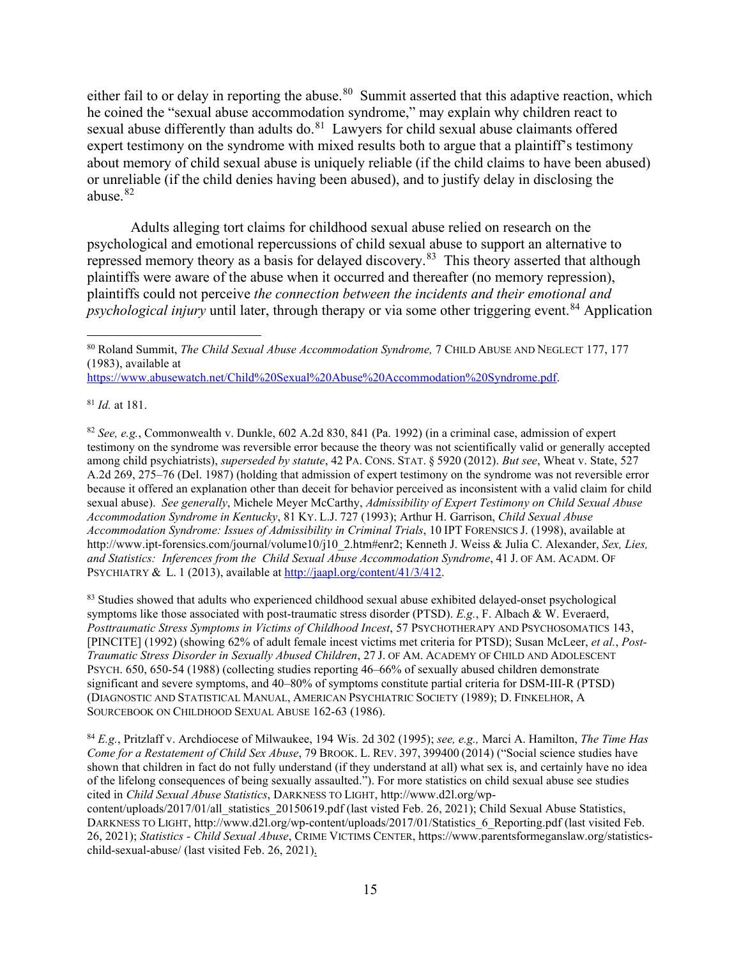either fail to or delay in reporting the abuse.<sup>80</sup> Summit asserted that this adaptive reaction, which he coined the "sexual abuse accommodation syndrome," may explain why children react to sexual abuse differently than adults do.<sup>81</sup> Lawyers for child sexual abuse claimants offered expert testimony on the syndrome with mixed results both to argue that a plaintiff's testimony about memory of child sexual abuse is uniquely reliable (if the child claims to have been abused) or unreliable (if the child denies having been abused), and to justify delay in disclosing the abuse.[82](#page-14-2)

Adults alleging tort claims for childhood sexual abuse relied on research on the psychological and emotional repercussions of child sexual abuse to support an alternative to repressed memory theory as a basis for delayed discovery.<sup>83</sup> This theory asserted that although plaintiffs were aware of the abuse when it occurred and thereafter (no memory repression), plaintiffs could not perceive *the connection between the incidents and their emotional and psychological injury* until later, through therapy or via some other triggering event.<sup>[84](#page-14-4)</sup> Application

[https://www.abusewatch.net/Child%20Sexual%20Abuse%20Accommodation%20Syndrome.pdf.](https://www.abusewatch.net/Child%20Sexual%20Abuse%20Accommodation%20Syndrome.pdf)

<span id="page-14-1"></span><sup>81</sup> *Id.* at 181.

<span id="page-14-2"></span><sup>82</sup> *See, e.g.*, Commonwealth v. Dunkle, 602 A.2d 830, 841 (Pa. 1992) (in a criminal case, admission of expert testimony on the syndrome was reversible error because the theory was not scientifically valid or generally accepted among child psychiatrists), *superseded by statute*, 42 PA. CONS. STAT. § 5920 (2012). *But see*, Wheat v. State, 527 A.2d 269, 275–76 (Del. 1987) (holding that admission of expert testimony on the syndrome was not reversible error because it offered an explanation other than deceit for behavior perceived as inconsistent with a valid claim for child sexual abuse). *See generally*, Michele Meyer McCarthy, *Admissibility of Expert Testimony on Child Sexual Abuse Accommodation Syndrome in Kentucky*, 81 KY. L.J. 727 (1993); Arthur H. Garrison, *Child Sexual Abuse Accommodation Syndrome: Issues of Admissibility in Criminal Trials*, 10 IPT FORENSICS J. (1998), available at http://www.ipt-forensics.com/journal/volume10/j10\_2.htm#enr2; Kenneth J. Weiss & Julia C. Alexander, *Sex, Lies, and Statistics: Inferences from the Child Sexual Abuse Accommodation Syndrome*, 41 J. OF AM. ACADM. OF PSYCHIATRY & L. 1 (2013), available at [http://jaapl.org/content/41/3/412.](http://jaapl.org/content/41/3/412)

<span id="page-14-3"></span><sup>83</sup> Studies showed that adults who experienced childhood sexual abuse exhibited delayed-onset psychological symptoms like those associated with post-traumatic stress disorder (PTSD). *E.g.*, F. Albach & W. Everaerd, *Posttraumatic Stress Symptoms in Victims of Childhood Incest*, 57 PSYCHOTHERAPY AND PSYCHOSOMATICS 143, [PINCITE] (1992) (showing 62% of adult female incest victims met criteria for PTSD); Susan McLeer, *et al.*, *Post-Traumatic Stress Disorder in Sexually Abused Children*, 27 J. OF AM. ACADEMY OF CHILD AND ADOLESCENT PSYCH. 650, 650-54 (1988) (collecting studies reporting 46–66% of sexually abused children demonstrate significant and severe symptoms, and 40–80% of symptoms constitute partial criteria for DSM-III-R (PTSD) (DIAGNOSTIC AND STATISTICAL MANUAL, AMERICAN PSYCHIATRIC SOCIETY (1989); D. FINKELHOR, A SOURCEBOOK ON CHILDHOOD SEXUAL ABUSE 162-63 (1986).

<span id="page-14-4"></span><sup>84</sup> *E.g.*, Pritzlaff v. Archdiocese of Milwaukee, 194 Wis. 2d 302 (1995); *see, e.g.,* Marci A. Hamilton, *The Time Has Come for a Restatement of Child Sex Abuse*, 79 BROOK. L. REV. 397, 399400 (2014) ("Social science studies have shown that children in fact do not fully understand (if they understand at all) what sex is, and certainly have no idea of the lifelong consequences of being sexually assaulted."). For more statistics on child sexual abuse see studies cited in *Child Sexual Abuse Statistics*, DARKNESS TO LIGHT, http://www.d2l.org/wpcontent/uploads/2017/01/all\_statistics\_20150619.pdf (last visted Feb. 26, 2021); Child Sexual Abuse Statistics, DARKNESS TO LIGHT, http://www.d2l.org/wp-content/uploads/2017/01/Statistics 6 Reporting.pdf (last visited Feb. 26, 2021); *Statistics - Child Sexual Abuse*, CRIME VICTIMS CENTER, https://www.parentsformeganslaw.org/statisticschild-sexual-abuse/ (last visited Feb. 26, 2021).

<span id="page-14-0"></span><sup>80</sup> Roland Summit, *The Child Sexual Abuse Accommodation Syndrome,* 7 CHILD ABUSE AND NEGLECT 177, 177 (1983), available at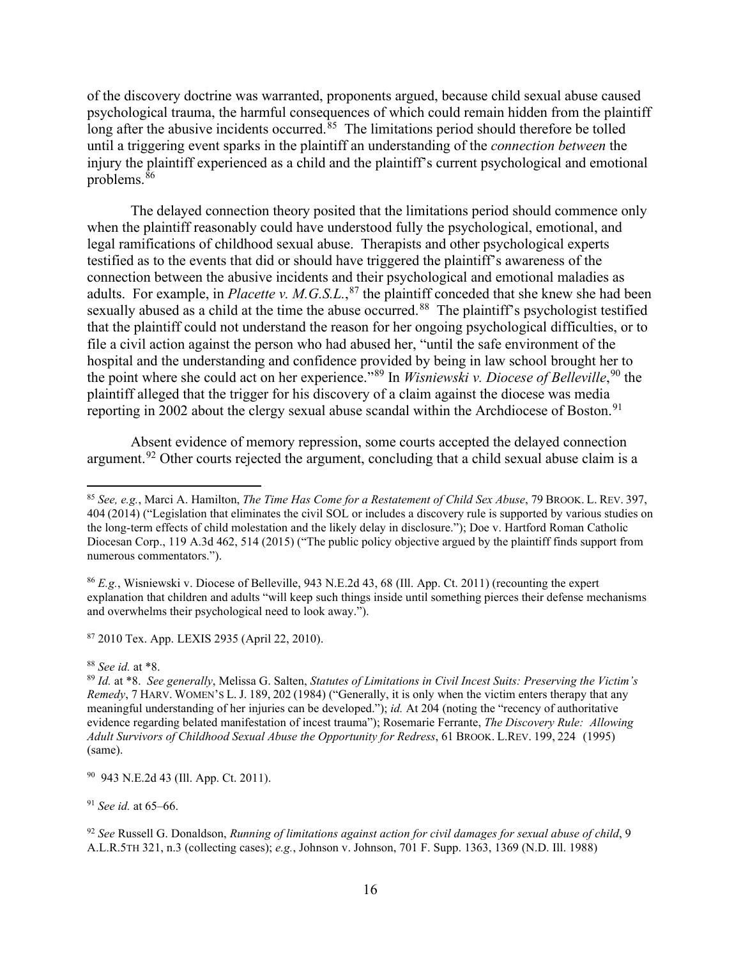of the discovery doctrine was warranted, proponents argued, because child sexual abuse caused psychological trauma, the harmful consequences of which could remain hidden from the plaintiff long after the abusive incidents occurred.<sup>[85](#page-15-0)</sup> The limitations period should therefore be tolled until a triggering event sparks in the plaintiff an understanding of the *connection between* the injury the plaintiff experienced as a child and the plaintiff's current psychological and emotional problems.[86](#page-15-1)

The delayed connection theory posited that the limitations period should commence only when the plaintiff reasonably could have understood fully the psychological, emotional, and legal ramifications of childhood sexual abuse. Therapists and other psychological experts testified as to the events that did or should have triggered the plaintiff's awareness of the connection between the abusive incidents and their psychological and emotional maladies as adults. For example, in *Placette v. M.G.S.L.*, [87](#page-15-2) the plaintiff conceded that she knew she had been sexually abused as a child at the time the abuse occurred.<sup>88</sup> The plaintiff's psychologist testified that the plaintiff could not understand the reason for her ongoing psychological difficulties, or to file a civil action against the person who had abused her, "until the safe environment of the hospital and the understanding and confidence provided by being in law school brought her to the point where she could act on her experience."[89](#page-15-4) In *Wisniewski v. Diocese of Belleville*, [90](#page-15-5) the plaintiff alleged that the trigger for his discovery of a claim against the diocese was media reporting in 2002 about the clergy sexual abuse scandal within the Archdiocese of Boston.<sup>[91](#page-15-6)</sup>

Absent evidence of memory repression, some courts accepted the delayed connection argument.<sup>[92](#page-15-7)</sup> Other courts rejected the argument, concluding that a child sexual abuse claim is a

<span id="page-15-2"></span><sup>87</sup> 2010 Tex. App. LEXIS 2935 (April 22, 2010).

<span id="page-15-0"></span><sup>85</sup> *See, e.g.*, Marci A. Hamilton, *The Time Has Come for a Restatement of Child Sex Abuse*, 79 BROOK. L. REV. 397, 404 (2014) ("Legislation that eliminates the civil SOL or includes a discovery rule is supported by various studies on the long-term effects of child molestation and the likely delay in disclosure."); Doe v. Hartford Roman Catholic Diocesan Corp., 119 A.3d 462, 514 (2015) ("The public policy objective argued by the plaintiff finds support from numerous commentators.").

<span id="page-15-1"></span><sup>86</sup> *E.g.*, Wisniewski v. Diocese of Belleville, 943 N.E.2d 43, 68 (Ill. App. Ct. 2011) (recounting the expert explanation that children and adults "will keep such things inside until something pierces their defense mechanisms and overwhelms their psychological need to look away.").

<span id="page-15-4"></span><span id="page-15-3"></span><sup>88</sup> *See id.* at \*8. 89 *Id.* at \*8. *See generally*, Melissa G. Salten, *Statutes of Limitations in Civil Incest Suits: Preserving the Victim's Remedy*, 7 HARV. WOMEN'S L. J. 189, 202 (1984) ("Generally, it is only when the victim enters therapy that any meaningful understanding of her injuries can be developed."); *id.* At 204 (noting the "recency of authoritative evidence regarding belated manifestation of incest trauma"); Rosemarie Ferrante, *The Discovery Rule: Allowing Adult Survivors of Childhood Sexual Abuse the Opportunity for Redress*, 61 BROOK. L.REV. 199, 224 (1995) (same).

<span id="page-15-5"></span><sup>90</sup> 943 N.E.2d 43 (Ill. App. Ct. 2011).

<span id="page-15-6"></span><sup>91</sup> *See id.* at 65–66.

<span id="page-15-7"></span><sup>92</sup> *See* Russell G. Donaldson, *Running of limitations against action for civil damages for sexual abuse of child*, 9 A.L.R.5TH 321, n.3 (collecting cases); *e.g.*, Johnson v. Johnson, 701 F. Supp. 1363, 1369 (N.D. Ill. 1988)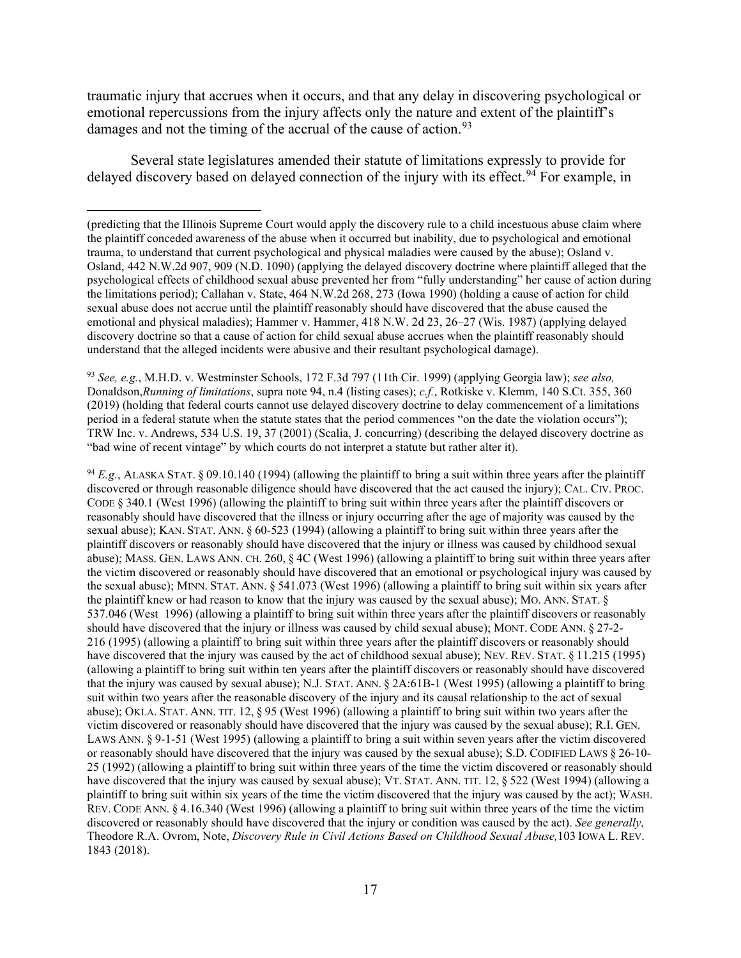traumatic injury that accrues when it occurs, and that any delay in discovering psychological or emotional repercussions from the injury affects only the nature and extent of the plaintiff's damages and not the timing of the accrual of the cause of action.<sup>[93](#page-16-0)</sup>

Several state legislatures amended their statute of limitations expressly to provide for delayed discovery based on delayed connection of the injury with its effect.<sup>[94](#page-16-1)</sup> For example, in

<span id="page-16-0"></span><sup>93</sup> *See, e.g.*, M.H.D. v. Westminster Schools, 172 F.3d 797 (11th Cir. 1999) (applying Georgia law); *see also,*  Donaldson,*Running of limitations*, supra note 94, n.4 (listing cases); *c.f.*, Rotkiske v. Klemm, 140 S.Ct. 355, 360 (2019) (holding that federal courts cannot use delayed discovery doctrine to delay commencement of a limitations period in a federal statute when the statute states that the period commences "on the date the violation occurs"); TRW Inc. v. Andrews, 534 U.S. 19, 37 (2001) (Scalia, J. concurring) (describing the delayed discovery doctrine as "bad wine of recent vintage" by which courts do not interpret a statute but rather alter it).

<span id="page-16-1"></span> $94 E.g., ALASKA STAT. § 09.10.140 (1994)$  (allowing the plaintiff to bring a suit within three years after the plaintiff discovered or through reasonable diligence should have discovered that the act caused the injury); CAL. CIV. PROC. CODE § 340.1 (West 1996) (allowing the plaintiff to bring suit within three years after the plaintiff discovers or reasonably should have discovered that the illness or injury occurring after the age of majority was caused by the sexual abuse); KAN. STAT. ANN. § 60-523 (1994) (allowing a plaintiff to bring suit within three years after the plaintiff discovers or reasonably should have discovered that the injury or illness was caused by childhood sexual abuse); MASS. GEN. LAWS ANN. CH. 260, § 4C (West 1996) (allowing a plaintiff to bring suit within three years after the victim discovered or reasonably should have discovered that an emotional or psychological injury was caused by the sexual abuse); MINN. STAT. ANN. § 541.073 (West 1996) (allowing a plaintiff to bring suit within six years after the plaintiff knew or had reason to know that the injury was caused by the sexual abuse); MO. ANN. STAT. § 537.046 (West 1996) (allowing a plaintiff to bring suit within three years after the plaintiff discovers or reasonably should have discovered that the injury or illness was caused by child sexual abuse); MONT. CODE ANN. § 27-2- 216 (1995) (allowing a plaintiff to bring suit within three years after the plaintiff discovers or reasonably should have discovered that the injury was caused by the act of childhood sexual abuse); NEV. REV. STAT. § 11.215 (1995) (allowing a plaintiff to bring suit within ten years after the plaintiff discovers or reasonably should have discovered that the injury was caused by sexual abuse); N.J. STAT. ANN. § 2A:61B-1 (West 1995) (allowing a plaintiff to bring suit within two years after the reasonable discovery of the injury and its causal relationship to the act of sexual abuse); OKLA. STAT. ANN. TIT. 12, § 95 (West 1996) (allowing a plaintiff to bring suit within two years after the victim discovered or reasonably should have discovered that the injury was caused by the sexual abuse); R.I. GEN. LAWS ANN. § 9-1-51 (West 1995) (allowing a plaintiff to bring a suit within seven years after the victim discovered or reasonably should have discovered that the injury was caused by the sexual abuse); S.D. CODIFIED LAWS § 26-10- 25 (1992) (allowing a plaintiff to bring suit within three years of the time the victim discovered or reasonably should have discovered that the injury was caused by sexual abuse); VT. STAT. ANN. TIT. 12, § 522 (West 1994) (allowing a plaintiff to bring suit within six years of the time the victim discovered that the injury was caused by the act); WASH. REV. CODE ANN. § 4.16.340 (West 1996) (allowing a plaintiff to bring suit within three years of the time the victim discovered or reasonably should have discovered that the injury or condition was caused by the act). *See generally*, Theodore R.A. Ovrom, Note, *Discovery Rule in Civil Actions Based on Childhood Sexual Abuse,*103 IOWA L. REV. 1843 (2018).

<sup>(</sup>predicting that the Illinois Supreme Court would apply the discovery rule to a child incestuous abuse claim where the plaintiff conceded awareness of the abuse when it occurred but inability, due to psychological and emotional trauma, to understand that current psychological and physical maladies were caused by the abuse); Osland v. Osland, 442 N.W.2d 907, 909 (N.D. 1090) (applying the delayed discovery doctrine where plaintiff alleged that the psychological effects of childhood sexual abuse prevented her from "fully understanding" her cause of action during the limitations period); Callahan v. State, 464 N.W.2d 268, 273 (Iowa 1990) (holding a cause of action for child sexual abuse does not accrue until the plaintiff reasonably should have discovered that the abuse caused the emotional and physical maladies); Hammer v. Hammer, 418 N.W. 2d 23, 26–27 (Wis. 1987) (applying delayed discovery doctrine so that a cause of action for child sexual abuse accrues when the plaintiff reasonably should understand that the alleged incidents were abusive and their resultant psychological damage).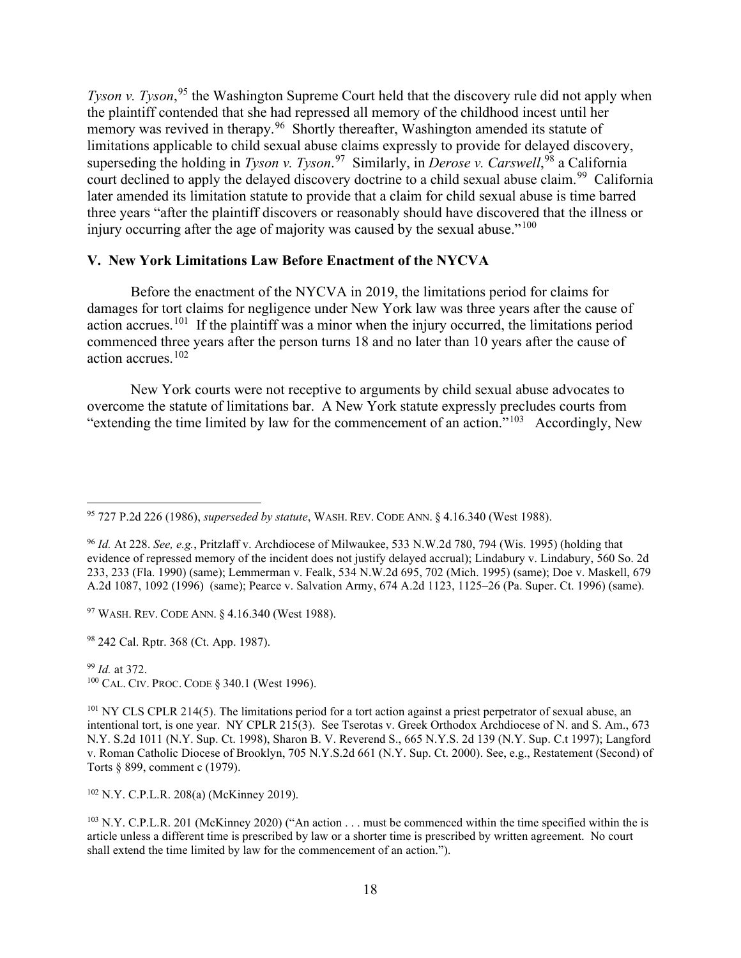*Tyson v. Tyson*,<sup>[95](#page-17-0)</sup> the Washington Supreme Court held that the discovery rule did not apply when the plaintiff contended that she had repressed all memory of the childhood incest until her memory was revived in therapy.<sup>96</sup> Shortly thereafter, Washington amended its statute of limitations applicable to child sexual abuse claims expressly to provide for delayed discovery, superseding the holding in *Tyson v. Tyson*. [97](#page-17-2) Similarly, in *Derose v. Carswell*, [98](#page-17-3) a California court declined to apply the delayed discovery doctrine to a child sexual abuse claim.<sup>[99](#page-17-4)</sup> California later amended its limitation statute to provide that a claim for child sexual abuse is time barred three years "after the plaintiff discovers or reasonably should have discovered that the illness or injury occurring after the age of majority was caused by the sexual abuse."<sup>[100](#page-17-5)</sup>

## **V. New York Limitations Law Before Enactment of the NYCVA**

Before the enactment of the NYCVA in 2019, the limitations period for claims for damages for tort claims for negligence under New York law was three years after the cause of action accrues.<sup>[101](#page-17-6)</sup> If the plaintiff was a minor when the injury occurred, the limitations period commenced three years after the person turns 18 and no later than 10 years after the cause of action accrues.[102](#page-17-7)

New York courts were not receptive to arguments by child sexual abuse advocates to overcome the statute of limitations bar. A New York statute expressly precludes courts from "extending the time limited by law for the commencement of an action."<sup>[103](#page-17-8)</sup> Accordingly, New

<span id="page-17-2"></span><sup>97</sup> WASH. REV. CODE ANN. § 4.16.340 (West 1988).

<span id="page-17-3"></span><sup>98</sup> 242 Cal. Rptr. 368 (Ct. App. 1987).

<span id="page-17-5"></span><span id="page-17-4"></span><sup>99</sup> *Id.* at 372. <sup>100</sup> CAL. CIV. PROC. CODE § 340.1 (West 1996).

<span id="page-17-7"></span><sup>102</sup> N.Y. C.P.L.R. 208(a) (McKinney 2019).

<span id="page-17-8"></span> $103$  N.Y. C.P.L.R. 201 (McKinney 2020) ("An action . . . must be commenced within the time specified within the is article unless a different time is prescribed by law or a shorter time is prescribed by written agreement. No court shall extend the time limited by law for the commencement of an action.").

<span id="page-17-0"></span><sup>95</sup> 727 P.2d 226 (1986), *superseded by statute*, WASH. REV. CODE ANN. § 4.16.340 (West 1988).

<span id="page-17-1"></span><sup>96</sup> *Id.* At 228. *See, e.g.*, Pritzlaff v. Archdiocese of Milwaukee, 533 N.W.2d 780, 794 (Wis. 1995) (holding that evidence of repressed memory of the incident does not justify delayed accrual); Lindabury v. Lindabury, 560 So. 2d 233, 233 (Fla. 1990) (same); Lemmerman v. Fealk, 534 N.W.2d 695, 702 (Mich. 1995) (same); Doe v. Maskell, 679 A.2d 1087, 1092 (1996) (same); Pearce v. Salvation Army, 674 A.2d 1123, 1125–26 (Pa. Super. Ct. 1996) (same).

<span id="page-17-6"></span> $101$  NY CLS CPLR 214(5). The limitations period for a tort action against a priest perpetrator of sexual abuse, an intentional tort, is one year. NY CPLR 215(3). See Tserotas v. Greek Orthodox Archdiocese of N. and S. Am., 673 N.Y. S.2d 1011 (N.Y. Sup. Ct. 1998), Sharon B. V. Reverend S., 665 N.Y.S. 2d 139 (N.Y. Sup. C.t 1997); Langford v. Roman Catholic Diocese of Brooklyn, 705 N.Y.S.2d 661 (N.Y. Sup. Ct. 2000). See, e.g., Restatement (Second) of Torts § 899, comment c (1979).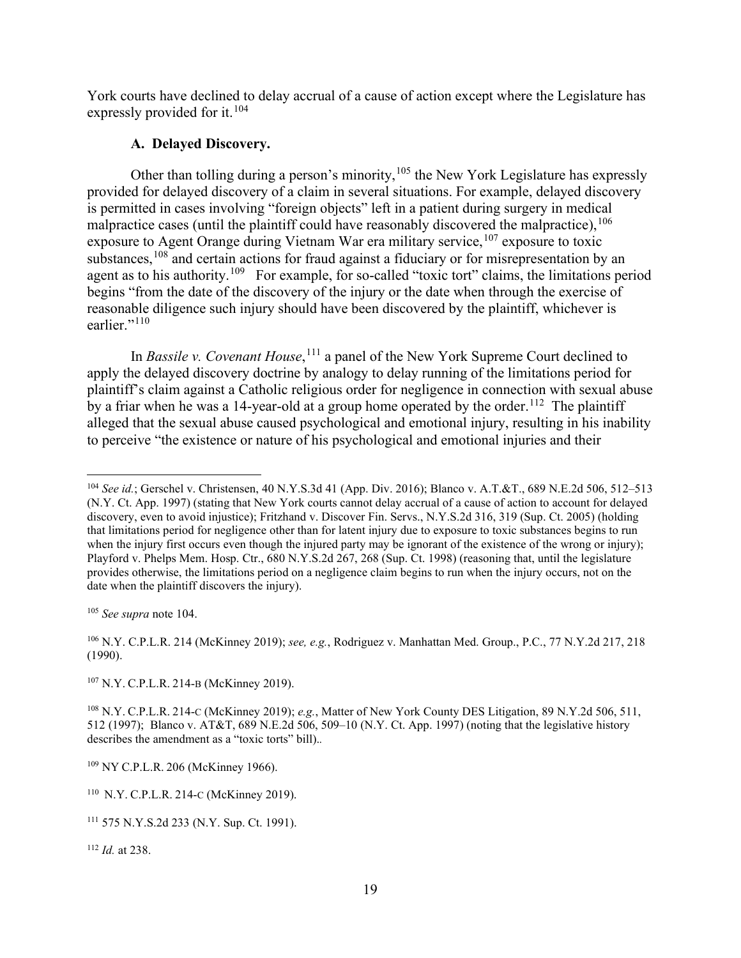York courts have declined to delay accrual of a cause of action except where the Legislature has expressly provided for it.  $104$ 

## **A. Delayed Discovery.**

Other than tolling during a person's minority,  $105$  the New York Legislature has expressly provided for delayed discovery of a claim in several situations. For example, delayed discovery is permitted in cases involving "foreign objects" left in a patient during surgery in medical malpractice cases (until the plaintiff could have reasonably discovered the malpractice),  $^{106}$  $^{106}$  $^{106}$ exposure to Agent Orange during Vietnam War era military service,  $107$  exposure to toxic substances,<sup>[108](#page-18-4)</sup> and certain actions for fraud against a fiduciary or for misrepresentation by an agent as to his authority.<sup>[109](#page-18-5)</sup> For example, for so-called "toxic tort" claims, the limitations period begins "from the date of the discovery of the injury or the date when through the exercise of reasonable diligence such injury should have been discovered by the plaintiff, whichever is earlier."<sup>[110](#page-18-6)</sup>

In *Bassile v. Covenant House*, [111](#page-18-7) a panel of the New York Supreme Court declined to apply the delayed discovery doctrine by analogy to delay running of the limitations period for plaintiff's claim against a Catholic religious order for negligence in connection with sexual abuse by a friar when he was a 14-year-old at a group home operated by the order.<sup>112</sup> The plaintiff alleged that the sexual abuse caused psychological and emotional injury, resulting in his inability to perceive "the existence or nature of his psychological and emotional injuries and their

<span id="page-18-1"></span><sup>105</sup> *See supra* note 104.

<span id="page-18-2"></span><sup>106</sup> N.Y. C.P.L.R. 214 (McKinney 2019); *see, e.g.*, Rodriguez v. Manhattan Med. Group., P.C., 77 N.Y.2d 217, 218 (1990).

<span id="page-18-3"></span><sup>107</sup> N.Y. C.P.L.R. 214-B (McKinney 2019).

<span id="page-18-4"></span><sup>108</sup> N.Y. C.P.L.R. 214-C (McKinney 2019); *e.g.*, Matter of New York County DES Litigation, 89 N.Y.2d 506, 511, 512 (1997); Blanco v. AT&T, 689 N.E.2d 506, 509–10 (N.Y. Ct. App. 1997) (noting that the legislative history describes the amendment as a "toxic torts" bill).*.* 

<span id="page-18-8"></span><sup>112</sup> *Id.* at 238.

<span id="page-18-0"></span><sup>104</sup> *See id.*; Gerschel v. Christensen, 40 N.Y.S.3d 41 (App. Div. 2016); Blanco v. A.T.&T., 689 N.E.2d 506, 512–513 (N.Y. Ct. App. 1997) (stating that New York courts cannot delay accrual of a cause of action to account for delayed discovery, even to avoid injustice); Fritzhand v. Discover Fin. Servs., N.Y.S.2d 316, 319 (Sup. Ct. 2005) (holding that limitations period for negligence other than for latent injury due to exposure to toxic substances begins to run when the injury first occurs even though the injured party may be ignorant of the existence of the wrong or injury); Playford v. Phelps Mem. Hosp. Ctr., 680 N.Y.S.2d 267, 268 (Sup. Ct. 1998) (reasoning that, until the legislature provides otherwise, the limitations period on a negligence claim begins to run when the injury occurs, not on the date when the plaintiff discovers the injury).

<span id="page-18-5"></span><sup>&</sup>lt;sup>109</sup> NY C.P.L.R. 206 (McKinney 1966).

<span id="page-18-6"></span><sup>110</sup> N.Y. C.P.L.R. 214-C (McKinney 2019).

<span id="page-18-7"></span><sup>111</sup> 575 N.Y.S.2d 233 (N.Y. Sup. Ct. 1991).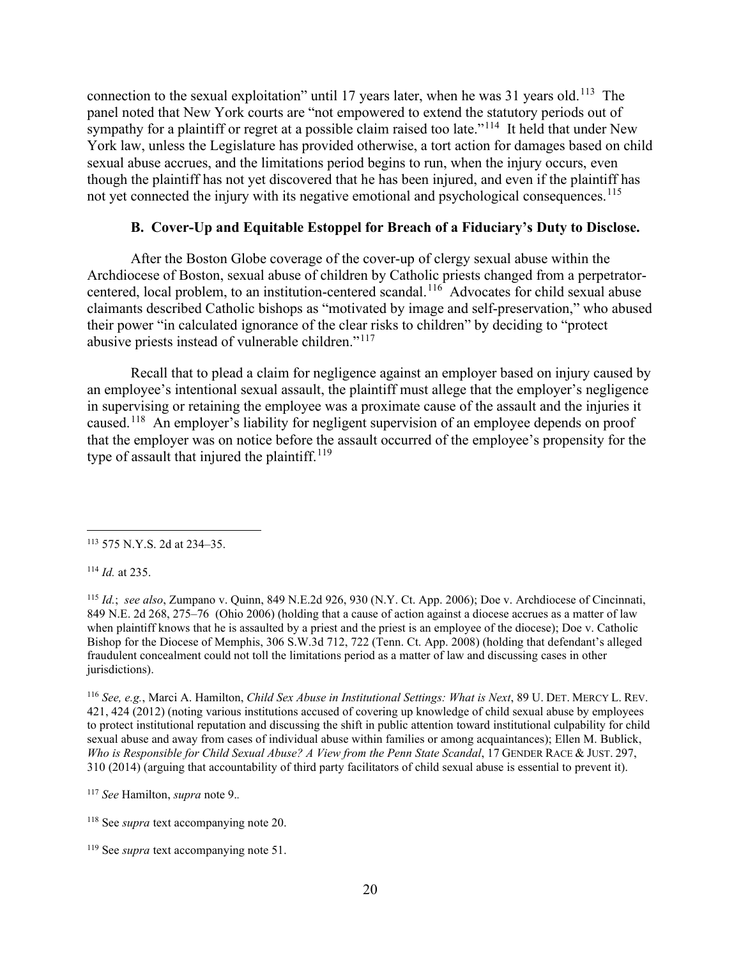connection to the sexual exploitation" until 17 years later, when he was 31 years old.<sup>113</sup> The panel noted that New York courts are "not empowered to extend the statutory periods out of sympathy for a plaintiff or regret at a possible claim raised too late."<sup>114</sup> It held that under New York law, unless the Legislature has provided otherwise, a tort action for damages based on child sexual abuse accrues, and the limitations period begins to run, when the injury occurs, even though the plaintiff has not yet discovered that he has been injured, and even if the plaintiff has not yet connected the injury with its negative emotional and psychological consequences.<sup>[115](#page-19-2)</sup>

# **B. Cover-Up and Equitable Estoppel for Breach of a Fiduciary's Duty to Disclose.**

After the Boston Globe coverage of the cover-up of clergy sexual abuse within the Archdiocese of Boston, sexual abuse of children by Catholic priests changed from a perpetrator-centered, local problem, to an institution-centered scandal.<sup>[116](#page-19-3)</sup> Advocates for child sexual abuse claimants described Catholic bishops as "motivated by image and self-preservation," who abused their power "in calculated ignorance of the clear risks to children" by deciding to "protect abusive priests instead of vulnerable children."[117](#page-19-4) 

Recall that to plead a claim for negligence against an employer based on injury caused by an employee's intentional sexual assault, the plaintiff must allege that the employer's negligence in supervising or retaining the employee was a proximate cause of the assault and the injuries it caused.[118](#page-19-5) An employer's liability for negligent supervision of an employee depends on proof that the employer was on notice before the assault occurred of the employee's propensity for the type of assault that injured the plaintiff.<sup>[119](#page-19-6)</sup>

<span id="page-19-1"></span><sup>114</sup> *Id.* at 235.

<span id="page-19-3"></span><sup>116</sup> *See, e.g.*, Marci A. Hamilton, *Child Sex Abuse in Institutional Settings: What is Next*, 89 U. DET. MERCY L. REV. 421, 424 (2012) (noting various institutions accused of covering up knowledge of child sexual abuse by employees to protect institutional reputation and discussing the shift in public attention toward institutional culpability for child sexual abuse and away from cases of individual abuse within families or among acquaintances); Ellen M. Bublick, *Who is Responsible for Child Sexual Abuse? A View from the Penn State Scandal*, 17 GENDER RACE & JUST. 297, 310 (2014) (arguing that accountability of third party facilitators of child sexual abuse is essential to prevent it).

<span id="page-19-0"></span><sup>113</sup> 575 N.Y.S. 2d at 234–35.

<span id="page-19-2"></span><sup>115</sup> *Id.*; *see also*, Zumpano v. Quinn, 849 N.E.2d 926, 930 (N.Y. Ct. App. 2006); Doe v. Archdiocese of Cincinnati, 849 N.E. 2d 268, 275–76 (Ohio 2006) (holding that a cause of action against a diocese accrues as a matter of law when plaintiff knows that he is assaulted by a priest and the priest is an employee of the diocese); Doe v. Catholic Bishop for the Diocese of Memphis, 306 S.W.3d 712, 722 (Tenn. Ct. App. 2008) (holding that defendant's alleged fraudulent concealment could not toll the limitations period as a matter of law and discussing cases in other jurisdictions).

<span id="page-19-4"></span><sup>117</sup> *See* Hamilton, *supra* note 9.*.*

<span id="page-19-5"></span><sup>118</sup> See *supra* text accompanying note 20.

<span id="page-19-6"></span><sup>&</sup>lt;sup>119</sup> See *supra* text accompanying note 51.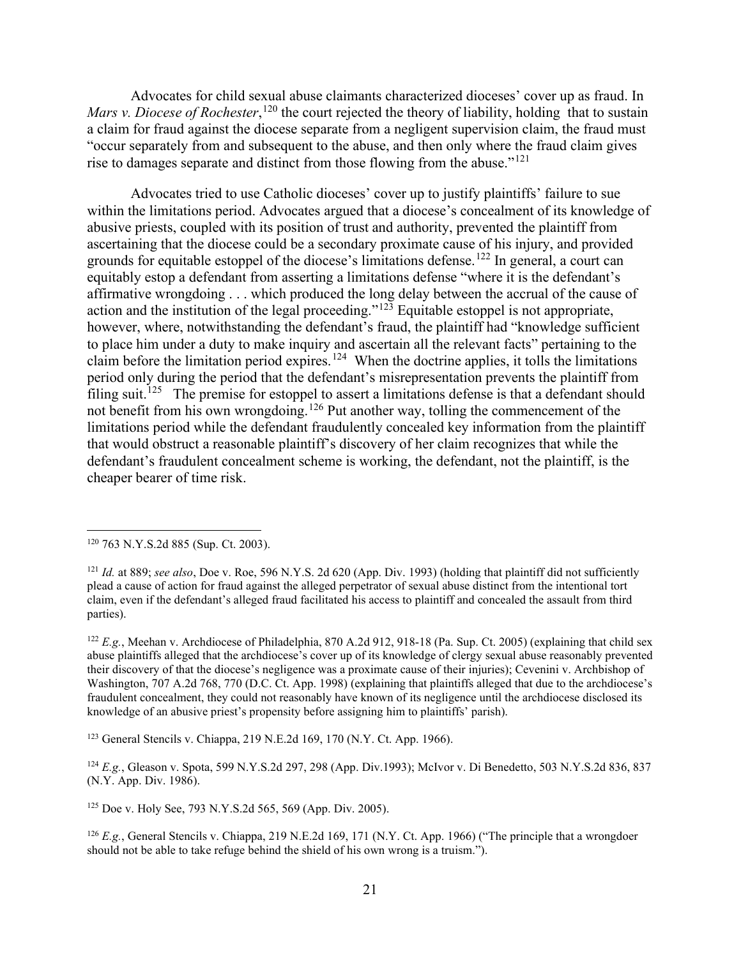Advocates for child sexual abuse claimants characterized dioceses' cover up as fraud. In *Mars v. Diocese of Rochester*,<sup>[120](#page-20-0)</sup> the court rejected the theory of liability, holding that to sustain a claim for fraud against the diocese separate from a negligent supervision claim, the fraud must "occur separately from and subsequent to the abuse, and then only where the fraud claim gives rise to damages separate and distinct from those flowing from the abuse."<sup>[121](#page-20-1)</sup>

Advocates tried to use Catholic dioceses' cover up to justify plaintiffs' failure to sue within the limitations period. Advocates argued that a diocese's concealment of its knowledge of abusive priests, coupled with its position of trust and authority, prevented the plaintiff from ascertaining that the diocese could be a secondary proximate cause of his injury, and provided grounds for equitable estoppel of the diocese's limitations defense.<sup>[122](#page-20-2)</sup> In general, a court can equitably estop a defendant from asserting a limitations defense "where it is the defendant's affirmative wrongdoing . . . which produced the long delay between the accrual of the cause of action and the institution of the legal proceeding." $12\overline{3}$  Equitable estoppel is not appropriate, however, where, notwithstanding the defendant's fraud, the plaintiff had "knowledge sufficient to place him under a duty to make inquiry and ascertain all the relevant facts" pertaining to the claim before the limitation period expires.<sup>124</sup> When the doctrine applies, it tolls the limitations period only during the period that the defendant's misrepresentation prevents the plaintiff from filing suit.<sup>[125](#page-20-5)</sup> The premise for estoppel to assert a limitations defense is that a defendant should not benefit from his own wrongdoing.[126](#page-20-6) Put another way, tolling the commencement of the limitations period while the defendant fraudulently concealed key information from the plaintiff that would obstruct a reasonable plaintiff's discovery of her claim recognizes that while the defendant's fraudulent concealment scheme is working, the defendant, not the plaintiff, is the cheaper bearer of time risk.

<span id="page-20-3"></span><sup>123</sup> General Stencils v. Chiappa, 219 N.E.2d 169, 170 (N.Y. Ct. App. 1966).

<span id="page-20-4"></span><sup>124</sup> *E.g.*, Gleason v. Spota, 599 N.Y.S.2d 297, 298 (App. Div.1993); McIvor v. Di Benedetto, 503 N.Y.S.2d 836, 837 (N.Y. App. Div. 1986).

<span id="page-20-5"></span><sup>125</sup> Doe v. Holy See, 793 N.Y.S.2d 565, 569 (App. Div. 2005).

<span id="page-20-6"></span><sup>126</sup> *E.g.*, General Stencils v. Chiappa, 219 N.E.2d 169, 171 (N.Y. Ct. App. 1966) ("The principle that a wrongdoer should not be able to take refuge behind the shield of his own wrong is a truism.").

<span id="page-20-0"></span><sup>120</sup> 763 N.Y.S.2d 885 (Sup. Ct. 2003).

<span id="page-20-1"></span> $121$  *Id.* at 889; *see also*, Doe v. Roe, 596 N.Y.S. 2d 620 (App. Div. 1993) (holding that plaintiff did not sufficiently plead a cause of action for fraud against the alleged perpetrator of sexual abuse distinct from the intentional tort claim, even if the defendant's alleged fraud facilitated his access to plaintiff and concealed the assault from third parties).

<span id="page-20-2"></span><sup>&</sup>lt;sup>122</sup> *E.g.*, Meehan v. Archdiocese of Philadelphia, 870 A.2d 912, 918-18 (Pa. Sup. Ct. 2005) (explaining that child sex abuse plaintiffs alleged that the archdiocese's cover up of its knowledge of clergy sexual abuse reasonably prevented their discovery of that the diocese's negligence was a proximate cause of their injuries); Cevenini v. Archbishop of Washington, 707 A.2d 768, 770 (D.C. Ct. App. 1998) (explaining that plaintiffs alleged that due to the archdiocese's fraudulent concealment, they could not reasonably have known of its negligence until the archdiocese disclosed its knowledge of an abusive priest's propensity before assigning him to plaintiffs' parish).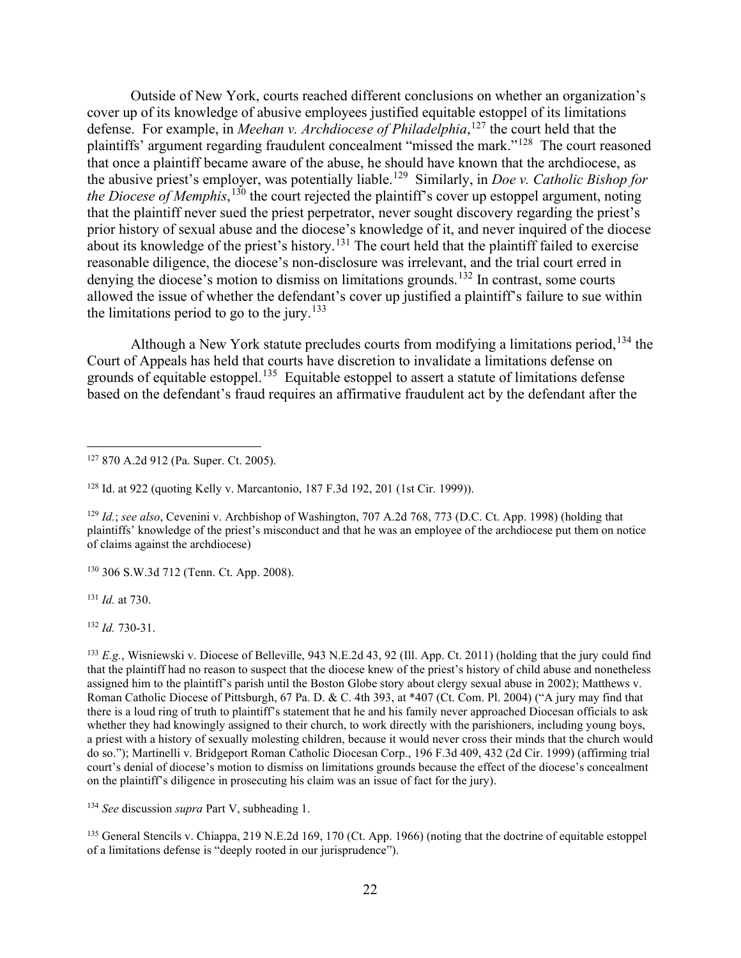Outside of New York, courts reached different conclusions on whether an organization's cover up of its knowledge of abusive employees justified equitable estoppel of its limitations defense. For example, in *Meehan v. Archdiocese of Philadelphia*, [127](#page-21-0) the court held that the plaintiffs' argument regarding fraudulent concealment "missed the mark."[128](#page-21-1) The court reasoned that once a plaintiff became aware of the abuse, he should have known that the archdiocese, as the abusive priest's employer, was potentially liable.[129](#page-21-2) Similarly, in *Doe v. Catholic Bishop for the Diocese of Memphis*, [130](#page-21-3) the court rejected the plaintiff's cover up estoppel argument, noting that the plaintiff never sued the priest perpetrator, never sought discovery regarding the priest's prior history of sexual abuse and the diocese's knowledge of it, and never inquired of the diocese about its knowledge of the priest's history.<sup>[131](#page-21-4)</sup> The court held that the plaintiff failed to exercise reasonable diligence, the diocese's non-disclosure was irrelevant, and the trial court erred in denying the diocese's motion to dismiss on limitations grounds.<sup>[132](#page-21-5)</sup> In contrast, some courts allowed the issue of whether the defendant's cover up justified a plaintiff's failure to sue within the limitations period to go to the jury.<sup>[133](#page-21-6)</sup>

Although a New York statute precludes courts from modifying a limitations period, <sup>[134](#page-21-7)</sup> the Court of Appeals has held that courts have discretion to invalidate a limitations defense on grounds of equitable estoppel.<sup>[135](#page-21-8)</sup> Equitable estoppel to assert a statute of limitations defense based on the defendant's fraud requires an affirmative fraudulent act by the defendant after the

<span id="page-21-3"></span><sup>130</sup> 306 S.W.3d 712 (Tenn. Ct. App. 2008).

<span id="page-21-4"></span><sup>131</sup> *Id.* at 730.

<span id="page-21-5"></span><sup>132</sup> *Id.* 730-31.

<span id="page-21-6"></span> $^{133}$  *E.g.*, Wisniewski v. Diocese of Belleville, 943 N.E.2d 43, 92 (Ill. App. Ct. 2011) (holding that the jury could find that the plaintiff had no reason to suspect that the diocese knew of the priest's history of child abuse and nonetheless assigned him to the plaintiff's parish until the Boston Globe story about clergy sexual abuse in 2002); Matthews v. Roman Catholic Diocese of Pittsburgh, 67 Pa. D. & C. 4th 393, at \*407 (Ct. Com. Pl. 2004) ("A jury may find that there is a loud ring of truth to plaintiff's statement that he and his family never approached Diocesan officials to ask whether they had knowingly assigned to their church, to work directly with the parishioners, including young boys, a priest with a history of sexually molesting children, because it would never cross their minds that the church would do so."); Martinelli v. Bridgeport Roman Catholic Diocesan Corp., 196 F.3d 409, 432 (2d Cir. 1999) (affirming trial court's denial of diocese's motion to dismiss on limitations grounds because the effect of the diocese's concealment on the plaintiff's diligence in prosecuting his claim was an issue of fact for the jury).

<span id="page-21-7"></span><sup>134</sup> *See* discussion *supra* Part V, subheading 1.

<span id="page-21-8"></span><sup>135</sup> General Stencils v. Chiappa, 219 N.E.2d 169, 170 (Ct. App. 1966) (noting that the doctrine of equitable estoppel of a limitations defense is "deeply rooted in our jurisprudence").

<span id="page-21-0"></span><sup>127</sup> 870 A.2d 912 (Pa. Super. Ct. 2005).

<span id="page-21-1"></span><sup>128</sup> Id. at 922 (quoting Kelly v. Marcantonio, 187 F.3d 192, 201 (1st Cir. 1999)).

<span id="page-21-2"></span><sup>129</sup> *Id.*; *see also*, Cevenini v. Archbishop of Washington, 707 A.2d 768, 773 (D.C. Ct. App. 1998) (holding that plaintiffs' knowledge of the priest's misconduct and that he was an employee of the archdiocese put them on notice of claims against the archdiocese)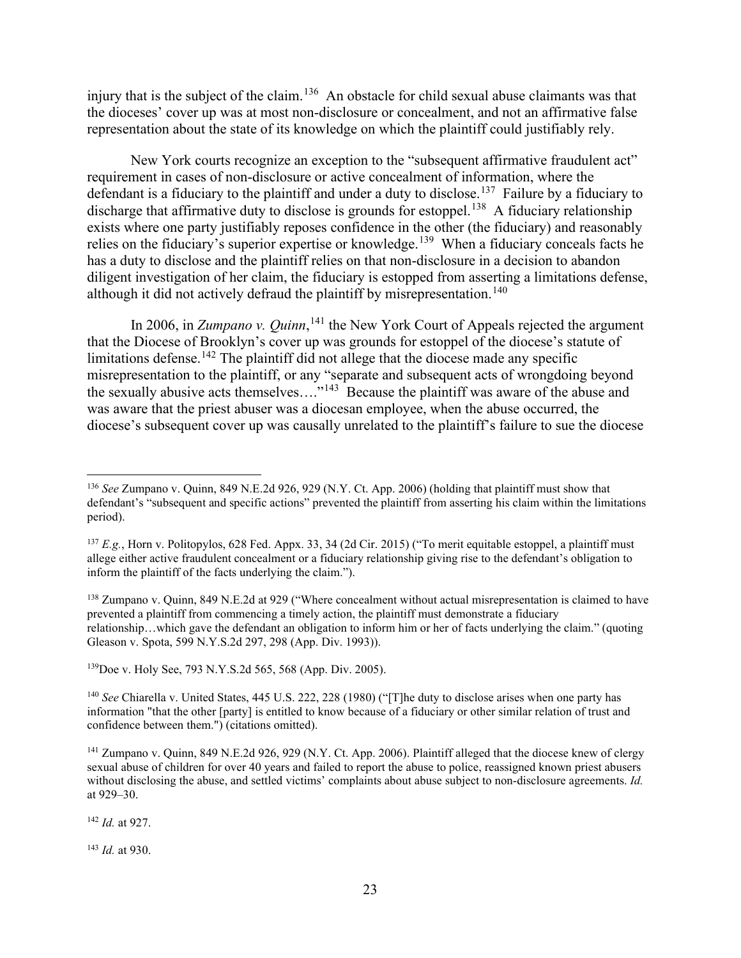injury that is the subject of the claim.<sup>[136](#page-22-0)</sup> An obstacle for child sexual abuse claimants was that the dioceses' cover up was at most non-disclosure or concealment, and not an affirmative false representation about the state of its knowledge on which the plaintiff could justifiably rely.

New York courts recognize an exception to the "subsequent affirmative fraudulent act" requirement in cases of non-disclosure or active concealment of information, where the defendant is a fiduciary to the plaintiff and under a duty to disclose.<sup>137</sup> Failure by a fiduciary to discharge that affirmative duty to disclose is grounds for estoppel.<sup>[138](#page-22-2)</sup> A fiduciary relationship exists where one party justifiably reposes confidence in the other (the fiduciary) and reasonably relies on the fiduciary's superior expertise or knowledge.<sup>139</sup> When a fiduciary conceals facts he has a duty to disclose and the plaintiff relies on that non-disclosure in a decision to abandon diligent investigation of her claim, the fiduciary is estopped from asserting a limitations defense, although it did not actively defraud the plaintiff by misrepresentation.<sup>[140](#page-22-4)</sup>

In 2006, in *Zumpano v. Quinn*, <sup>[141](#page-22-5)</sup> the New York Court of Appeals rejected the argument that the Diocese of Brooklyn's cover up was grounds for estoppel of the diocese's statute of limitations defense.<sup>[142](#page-22-6)</sup> The plaintiff did not allege that the diocese made any specific misrepresentation to the plaintiff, or any "separate and subsequent acts of wrongdoing beyond the sexually abusive acts themselves...."<sup>[143](#page-22-7)</sup> Because the plaintiff was aware of the abuse and was aware that the priest abuser was a diocesan employee, when the abuse occurred, the diocese's subsequent cover up was causally unrelated to the plaintiff's failure to sue the diocese

<span id="page-22-2"></span><sup>138</sup> Zumpano v. Quinn, 849 N.E.2d at 929 ("Where concealment without actual misrepresentation is claimed to have prevented a plaintiff from commencing a timely action, the plaintiff must demonstrate a fiduciary relationship…which gave the defendant an obligation to inform him or her of facts underlying the claim." (quoting Gleason v. Spota, 599 N.Y.S.2d 297, 298 (App. Div. 1993)).

<span id="page-22-3"></span>139Doe v. Holy See, 793 N.Y.S.2d 565, 568 (App. Div. 2005).

<span id="page-22-6"></span><sup>142</sup> *Id.* at 927.

<span id="page-22-7"></span><sup>143</sup> *Id.* at 930.

<span id="page-22-0"></span><sup>136</sup> *See* Zumpano v. Quinn, 849 N.E.2d 926, 929 (N.Y. Ct. App. 2006) (holding that plaintiff must show that defendant's "subsequent and specific actions" prevented the plaintiff from asserting his claim within the limitations period).

<span id="page-22-1"></span><sup>137</sup> *E.g.*, Horn v. Politopylos, 628 Fed. Appx. 33, 34 (2d Cir. 2015) ("To merit equitable estoppel, a plaintiff must allege either active fraudulent concealment or a fiduciary relationship giving rise to the defendant's obligation to inform the plaintiff of the facts underlying the claim.").

<span id="page-22-4"></span><sup>&</sup>lt;sup>140</sup> *See* Chiarella v. United States, 445 U.S. 222, 228 (1980) ("[T]he duty to disclose arises when one party has information "that the other [party] is entitled to know because of a fiduciary or other similar relation of trust and confidence between them.") (citations omitted).

<span id="page-22-5"></span><sup>&</sup>lt;sup>141</sup> Zumpano v. Quinn, 849 N.E.2d 926, 929 (N.Y. Ct. App. 2006). Plaintiff alleged that the diocese knew of clergy sexual abuse of children for over 40 years and failed to report the abuse to police, reassigned known priest abusers without disclosing the abuse, and settled victims' complaints about abuse subject to non-disclosure agreements. *Id.* at 929–30.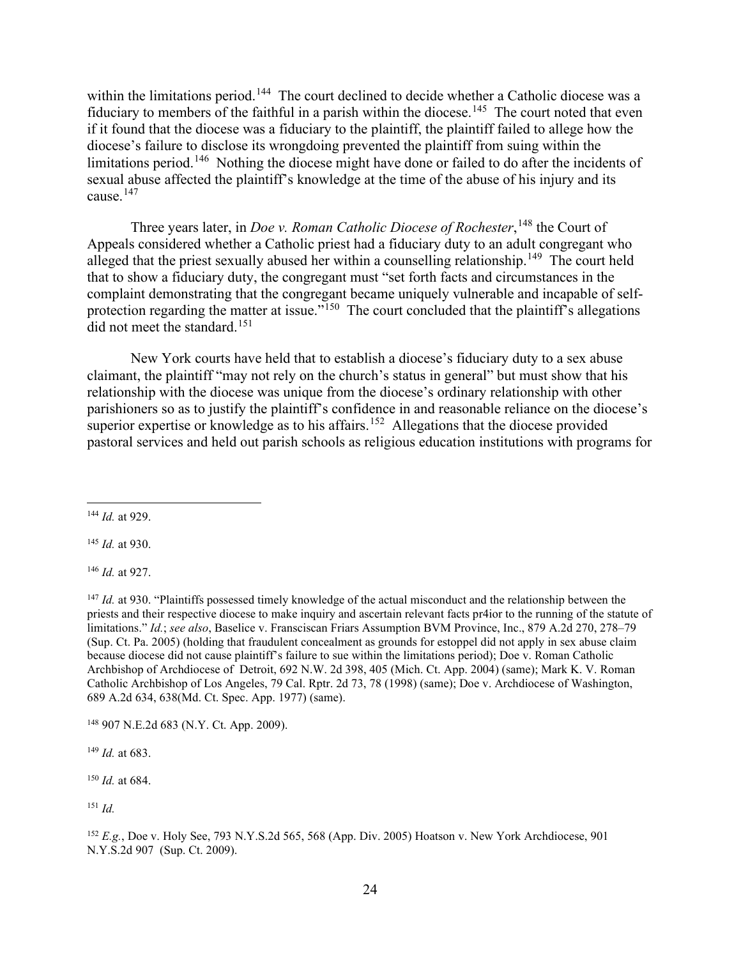within the limitations period.<sup>[144](#page-23-0)</sup> The court declined to decide whether a Catholic diocese was a fiduciary to members of the faithful in a parish within the diocese.<sup>145</sup> The court noted that even if it found that the diocese was a fiduciary to the plaintiff, the plaintiff failed to allege how the diocese's failure to disclose its wrongdoing prevented the plaintiff from suing within the limitations period.<sup>146</sup> Nothing the diocese might have done or failed to do after the incidents of sexual abuse affected the plaintiff's knowledge at the time of the abuse of his injury and its cause. [147](#page-23-3)

Three years later, in *Doe v. Roman Catholic Diocese of Rochester*, [148](#page-23-4) the Court of Appeals considered whether a Catholic priest had a fiduciary duty to an adult congregant who alleged that the priest sexually abused her within a counselling relationship.<sup>[149](#page-23-5)</sup> The court held that to show a fiduciary duty, the congregant must "set forth facts and circumstances in the complaint demonstrating that the congregant became uniquely vulnerable and incapable of selfprotection regarding the matter at issue."<sup>150</sup> The court concluded that the plaintiff's allegations did not meet the standard.<sup>[151](#page-23-7)</sup>

New York courts have held that to establish a diocese's fiduciary duty to a sex abuse claimant, the plaintiff "may not rely on the church's status in general" but must show that his relationship with the diocese was unique from the diocese's ordinary relationship with other parishioners so as to justify the plaintiff's confidence in and reasonable reliance on the diocese's superior expertise or knowledge as to his affairs.<sup>[152](#page-23-8)</sup> Allegations that the diocese provided pastoral services and held out parish schools as religious education institutions with programs for

<span id="page-23-1"></span><sup>145</sup> *Id.* at 930.

<span id="page-23-2"></span><sup>146</sup> *Id.* at 927.

<span id="page-23-3"></span><sup>147</sup> *Id.* at 930. "Plaintiffs possessed timely knowledge of the actual misconduct and the relationship between the priests and their respective diocese to make inquiry and ascertain relevant facts pr4ior to the running of the statute of limitations." *Id.*; *see also*, Baselice v. Fransciscan Friars Assumption BVM Province, Inc., 879 A.2d 270, 278–79 (Sup. Ct. Pa. 2005) (holding that fraudulent concealment as grounds for estoppel did not apply in sex abuse claim because diocese did not cause plaintiff's failure to sue within the limitations period); Doe v. Roman Catholic Archbishop of Archdiocese of Detroit, 692 N.W. 2d 398, 405 (Mich. Ct. App. 2004) (same); Mark K. V. Roman Catholic Archbishop of Los Angeles, 79 Cal. Rptr. 2d 73, 78 (1998) (same); Doe v. Archdiocese of Washington, 689 A.2d 634, 638(Md. Ct. Spec. App. 1977) (same).

<span id="page-23-4"></span><sup>148</sup> 907 N.E.2d 683 (N.Y. Ct. App. 2009).

<span id="page-23-5"></span><sup>149</sup> *Id.* at 683.

<span id="page-23-6"></span><sup>150</sup> *Id.* at 684.

<span id="page-23-7"></span><sup>151</sup> *Id.*

<span id="page-23-8"></span><sup>152</sup> *E.g.*, Doe v. Holy See, 793 N.Y.S.2d 565, 568 (App. Div. 2005) Hoatson v. New York Archdiocese, 901 N.Y.S.2d 907 (Sup. Ct. 2009).

<span id="page-23-0"></span><sup>144</sup> *Id.* at 929.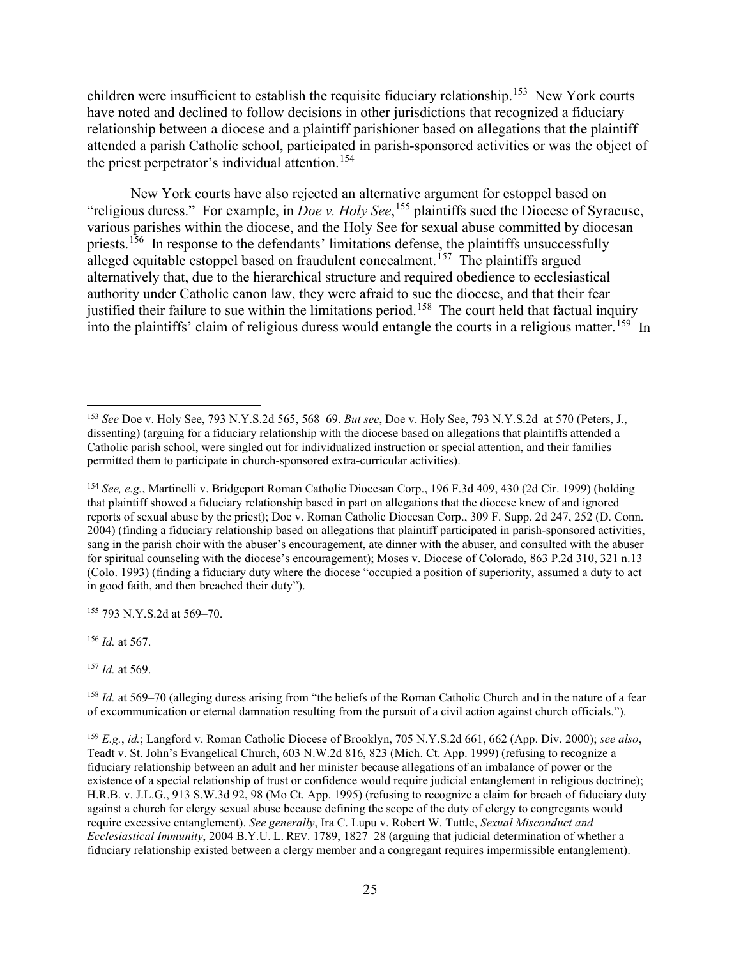children were insufficient to establish the requisite fiduciary relationship.<sup>[153](#page-24-0)</sup> New York courts have noted and declined to follow decisions in other jurisdictions that recognized a fiduciary relationship between a diocese and a plaintiff parishioner based on allegations that the plaintiff attended a parish Catholic school, participated in parish-sponsored activities or was the object of the priest perpetrator's individual attention.<sup>[154](#page-24-1)</sup>

New York courts have also rejected an alternative argument for estoppel based on "religious duress." For example, in *Doe v. Holy See*, [155](#page-24-2) plaintiffs sued the Diocese of Syracuse, various parishes within the diocese, and the Holy See for sexual abuse committed by diocesan priests.<sup>[156](#page-24-3)</sup> In response to the defendants' limitations defense, the plaintiffs unsuccessfully alleged equitable estoppel based on fraudulent concealment.<sup>157</sup> The plaintiffs argued alternatively that, due to the hierarchical structure and required obedience to ecclesiastical authority under Catholic canon law, they were afraid to sue the diocese, and that their fear justified their failure to sue within the limitations period.<sup>[158](#page-24-5)</sup> The court held that factual inquiry into the plaintiffs' claim of religious duress would entangle the courts in a religious matter.<sup>159</sup> In

<span id="page-24-2"></span><sup>155</sup> 793 N.Y.S.2d at 569–70.

<span id="page-24-3"></span><sup>156</sup> *Id.* at 567.

<span id="page-24-4"></span><sup>157</sup> *Id.* at 569.

<span id="page-24-0"></span><sup>153</sup> *See* Doe v. Holy See, 793 N.Y.S.2d 565, 568–69. *But see*, Doe v. Holy See, 793 N.Y.S.2d at 570 (Peters, J., dissenting) (arguing for a fiduciary relationship with the diocese based on allegations that plaintiffs attended a Catholic parish school, were singled out for individualized instruction or special attention, and their families permitted them to participate in church-sponsored extra-curricular activities).

<span id="page-24-1"></span><sup>154</sup> *See, e.g.*, Martinelli v. Bridgeport Roman Catholic Diocesan Corp., 196 F.3d 409, 430 (2d Cir. 1999) (holding that plaintiff showed a fiduciary relationship based in part on allegations that the diocese knew of and ignored reports of sexual abuse by the priest); Doe v. Roman Catholic Diocesan Corp., 309 F. Supp. 2d 247, 252 (D. Conn. 2004) (finding a fiduciary relationship based on allegations that plaintiff participated in parish-sponsored activities, sang in the parish choir with the abuser's encouragement, ate dinner with the abuser, and consulted with the abuser for spiritual counseling with the diocese's encouragement); Moses v. Diocese of Colorado, 863 P.2d 310, 321 n.13 (Colo. 1993) (finding a fiduciary duty where the diocese "occupied a position of superiority, assumed a duty to act in good faith, and then breached their duty").

<span id="page-24-5"></span><sup>158</sup> *Id.* at 569–70 (alleging duress arising from "the beliefs of the Roman Catholic Church and in the nature of a fear of excommunication or eternal damnation resulting from the pursuit of a civil action against church officials.").

<span id="page-24-6"></span><sup>159</sup> *E.g.*, *id.*; Langford v. Roman Catholic Diocese of Brooklyn, 705 N.Y.S.2d 661, 662 (App. Div. 2000); *see also*, Teadt v. St. John's Evangelical Church, 603 N.W.2d 816, 823 (Mich. Ct. App. 1999) (refusing to recognize a fiduciary relationship between an adult and her minister because allegations of an imbalance of power or the existence of a special relationship of trust or confidence would require judicial entanglement in religious doctrine); H.R.B. v. J.L.G., 913 S.W.3d 92, 98 (Mo Ct. App. 1995) (refusing to recognize a claim for breach of fiduciary duty against a church for clergy sexual abuse because defining the scope of the duty of clergy to congregants would require excessive entanglement). *See generally*, Ira C. Lupu v. Robert W. Tuttle, *Sexual Misconduct and Ecclesiastical Immunity*, 2004 B.Y.U. L. REV. 1789, 1827–28 (arguing that judicial determination of whether a fiduciary relationship existed between a clergy member and a congregant requires impermissible entanglement).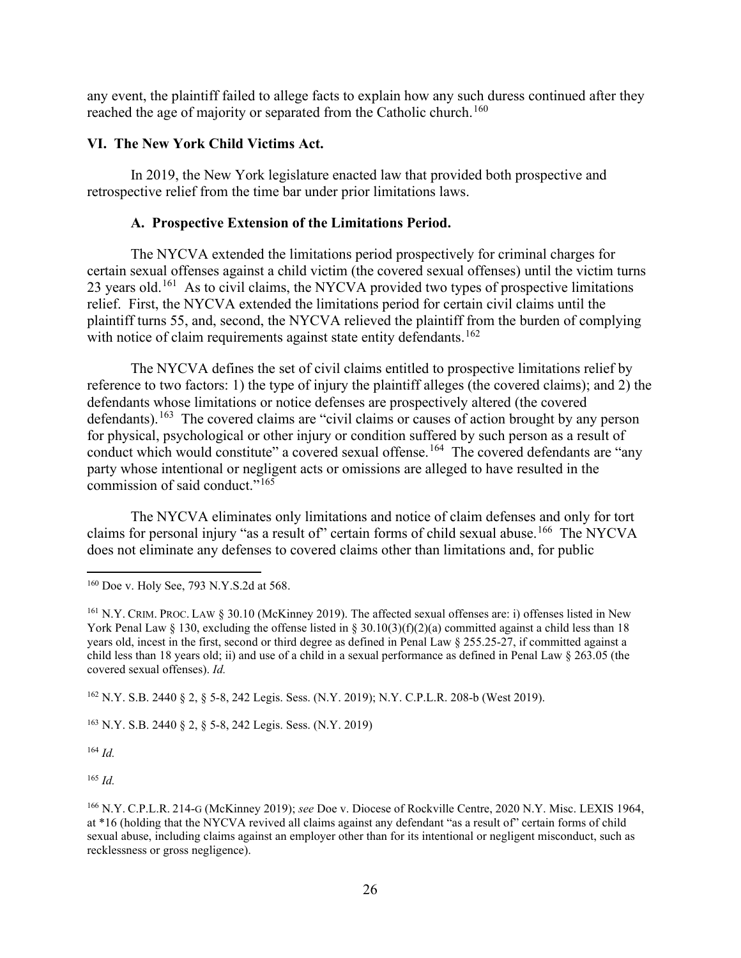any event, the plaintiff failed to allege facts to explain how any such duress continued after they reached the age of majority or separated from the Catholic church.<sup>[160](#page-25-0)</sup>

### **VI. The New York Child Victims Act.**

In 2019, the New York legislature enacted law that provided both prospective and retrospective relief from the time bar under prior limitations laws.

#### **A. Prospective Extension of the Limitations Period.**

The NYCVA extended the limitations period prospectively for criminal charges for certain sexual offenses against a child victim (the covered sexual offenses) until the victim turns 23 years old.<sup>[161](#page-25-1)</sup> As to civil claims, the NYCVA provided two types of prospective limitations relief. First, the NYCVA extended the limitations period for certain civil claims until the plaintiff turns 55, and, second, the NYCVA relieved the plaintiff from the burden of complying with notice of claim requirements against state entity defendants.<sup>[162](#page-25-2)</sup>

The NYCVA defines the set of civil claims entitled to prospective limitations relief by reference to two factors: 1) the type of injury the plaintiff alleges (the covered claims); and 2) the defendants whose limitations or notice defenses are prospectively altered (the covered defendants).<sup>163</sup> The covered claims are "civil claims or causes of action brought by any person for physical, psychological or other injury or condition suffered by such person as a result of conduct which would constitute" a covered sexual offense.<sup>[164](#page-25-4)</sup> The covered defendants are "any party whose intentional or negligent acts or omissions are alleged to have resulted in the commission of said conduct."<sup>[165](#page-25-5)</sup>

The NYCVA eliminates only limitations and notice of claim defenses and only for tort claims for personal injury "as a result of" certain forms of child sexual abuse.<sup>166</sup> The NYCVA does not eliminate any defenses to covered claims other than limitations and, for public

<span id="page-25-2"></span><sup>162</sup> N.Y. S.B. 2440 § 2, § 5-8, 242 Legis. Sess. (N.Y. 2019); N.Y. C.P.L.R. 208-b (West 2019).

<span id="page-25-3"></span><sup>163</sup> N.Y. S.B. 2440 § 2, § 5-8, 242 Legis. Sess. (N.Y. 2019)

<span id="page-25-4"></span><sup>164</sup> *Id.*

<span id="page-25-5"></span><sup>165</sup> *Id.*

<span id="page-25-0"></span><sup>160</sup> Doe v. Holy See, 793 N.Y.S.2d at 568.

<span id="page-25-1"></span><sup>161</sup> N.Y. CRIM. PROC. LAW § 30.10 (McKinney 2019). The affected sexual offenses are: i) offenses listed in New York Penal Law § 130, excluding the offense listed in § 30.10(3)(f)(2)(a) committed against a child less than 18 years old, incest in the first, second or third degree as defined in Penal Law § 255.25-27, if committed against a child less than 18 years old; ii) and use of a child in a sexual performance as defined in Penal Law § 263.05 (the covered sexual offenses). *Id.*

<span id="page-25-6"></span><sup>166</sup> N.Y. C.P.L.R. 214-G (McKinney 2019); *see* Doe v. Diocese of Rockville Centre, 2020 N.Y. Misc. LEXIS 1964, at \*16 (holding that the NYCVA revived all claims against any defendant "as a result of" certain forms of child sexual abuse, including claims against an employer other than for its intentional or negligent misconduct, such as recklessness or gross negligence).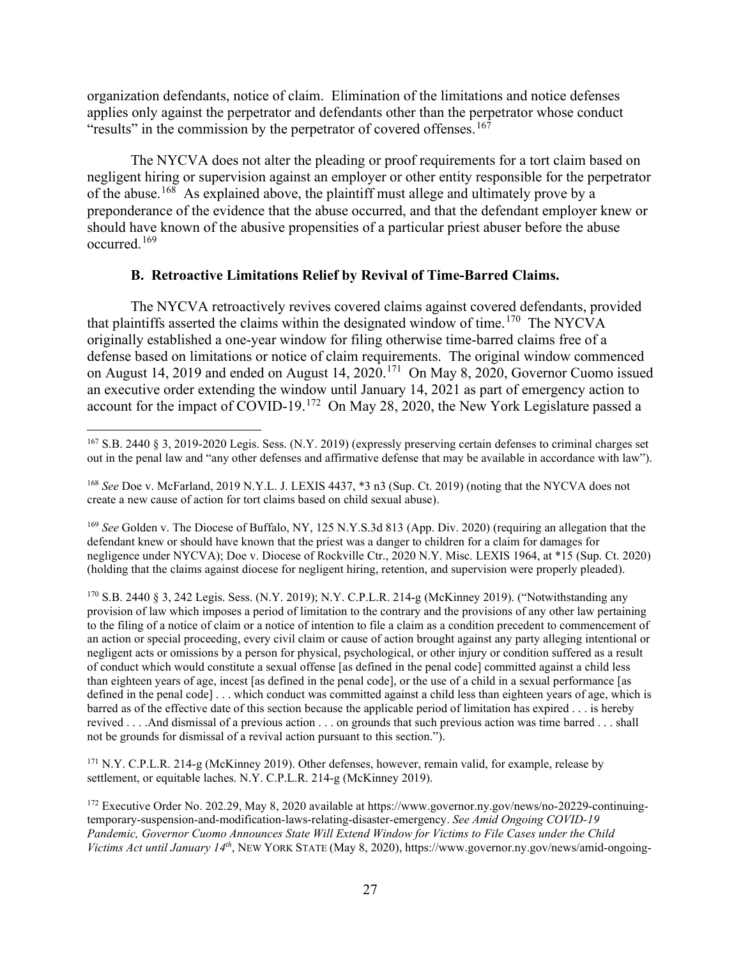organization defendants, notice of claim. Elimination of the limitations and notice defenses applies only against the perpetrator and defendants other than the perpetrator whose conduct "results" in the commission by the perpetrator of covered offenses.<sup>[167](#page-26-0)</sup>

The NYCVA does not alter the pleading or proof requirements for a tort claim based on negligent hiring or supervision against an employer or other entity responsible for the perpetrator of the abuse.<sup>168</sup> As explained above, the plaintiff must allege and ultimately prove by a preponderance of the evidence that the abuse occurred, and that the defendant employer knew or should have known of the abusive propensities of a particular priest abuser before the abuse occurred.[169](#page-26-2)

## **B. Retroactive Limitations Relief by Revival of Time-Barred Claims.**

The NYCVA retroactively revives covered claims against covered defendants, provided that plaintiffs asserted the claims within the designated window of time.<sup>[170](#page-26-3)</sup> The NYCVA originally established a one-year window for filing otherwise time-barred claims free of a defense based on limitations or notice of claim requirements. The original window commenced on August 14, 2019 and ended on August 14, 2020.<sup>[171](#page-26-4)</sup> On May 8, 2020, Governor Cuomo issued an executive order extending the window until January 14, 2021 as part of emergency action to account for the impact of COVID-19.<sup>[172](#page-26-5)</sup> On May 28, 2020, the New York Legislature passed a

<span id="page-26-2"></span><sup>169</sup> *See* Golden v. The Diocese of Buffalo, NY, 125 N.Y.S.3d 813 (App. Div. 2020) (requiring an allegation that the defendant knew or should have known that the priest was a danger to children for a claim for damages for negligence under NYCVA); Doe v. Diocese of Rockville Ctr., 2020 N.Y. Misc. LEXIS 1964, at \*15 (Sup. Ct. 2020) (holding that the claims against diocese for negligent hiring, retention, and supervision were properly pleaded).

<span id="page-26-3"></span><sup>170</sup> S.B. 2440 § 3, 242 Legis. Sess. (N.Y. 2019); N.Y. C.P.L.R. 214-g (McKinney 2019). ("Notwithstanding any provision of law which imposes a period of limitation to the contrary and the provisions of any other law pertaining to the filing of a notice of claim or a notice of intention to file a claim as a condition precedent to commencement of an action or special proceeding, every civil claim or cause of action brought against any party alleging intentional or negligent acts or omissions by a person for physical, psychological, or other injury or condition suffered as a result of conduct which would constitute a sexual offense [as defined in the penal code] committed against a child less than eighteen years of age, incest [as defined in the penal code], or the use of a child in a sexual performance [as defined in the penal code] . . . which conduct was committed against a child less than eighteen years of age, which is barred as of the effective date of this section because the applicable period of limitation has expired . . . is hereby revived . . . .And dismissal of a previous action . . . on grounds that such previous action was time barred . . . shall not be grounds for dismissal of a revival action pursuant to this section.").

<span id="page-26-4"></span><sup>171</sup> N.Y. C.P.L.R. 214-g (McKinney 2019). Other defenses, however, remain valid, for example, release by settlement, or equitable laches. N.Y. C.P.L.R. 214-g (McKinney 2019).

<span id="page-26-0"></span><sup>167</sup> S.B. 2440 § 3, 2019-2020 Legis. Sess. (N.Y. 2019) (expressly preserving certain defenses to criminal charges set out in the penal law and "any other defenses and affirmative defense that may be available in accordance with law").

<span id="page-26-1"></span><sup>168</sup> *See* Doe v. McFarland, 2019 N.Y.L. J. LEXIS 4437, \*3 n3 (Sup. Ct. 2019) (noting that the NYCVA does not create a new cause of action for tort claims based on child sexual abuse).

<span id="page-26-5"></span><sup>172</sup> Executive Order No. 202.29, May 8, 2020 available at https://www.governor.ny.gov/news/no-20229-continuingtemporary-suspension-and-modification-laws-relating-disaster-emergency. *See Amid Ongoing COVID-19 Pandemic, Governor Cuomo Announces State Will Extend Window for Victims to File Cases under the Child Victims Act until January 14th*, NEW YORK STATE (May 8, 2020), https://www.governor.ny.gov/news/amid-ongoing-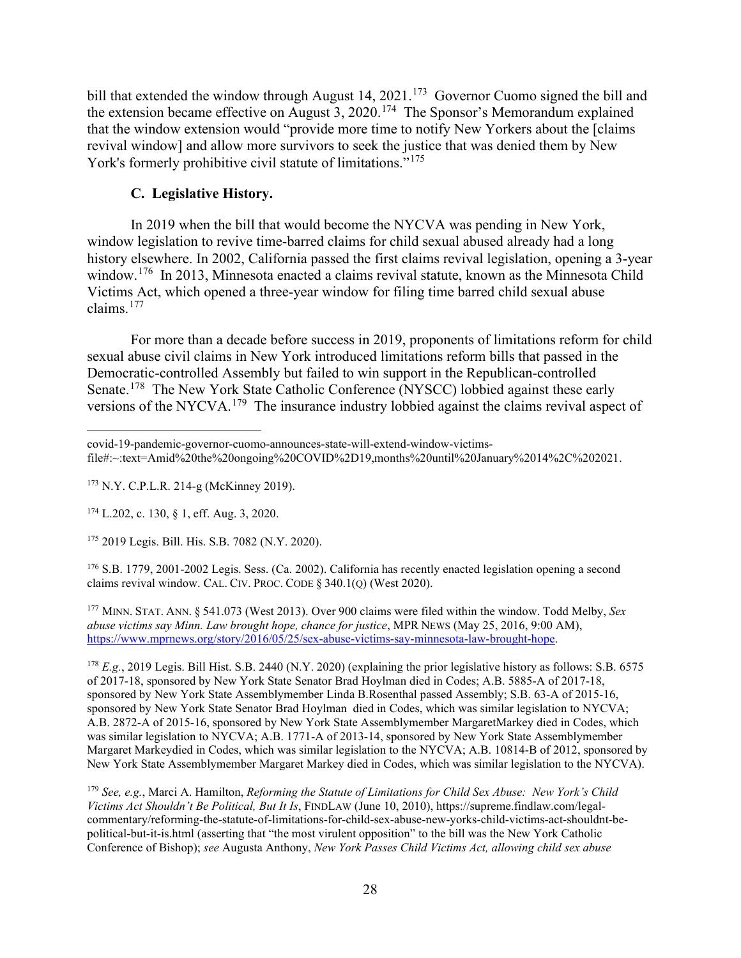bill that extended the window through August 14, 2021.<sup>[173](#page-27-0)</sup> Governor Cuomo signed the bill and the extension became effective on August 3, 2020.<sup>174</sup> The Sponsor's Memorandum explained that the window extension would "provide more time to notify New Yorkers about the [claims revival window] and allow more survivors to seek the justice that was denied them by New York's formerly prohibitive civil statute of limitations."<sup>[175](#page-27-2)</sup>

### **C. Legislative History.**

In 2019 when the bill that would become the NYCVA was pending in New York, window legislation to revive time-barred claims for child sexual abused already had a long history elsewhere. In 2002, California passed the first claims revival legislation, opening a 3-year window.<sup>[176](#page-27-3)</sup> In 2013, Minnesota enacted a claims revival statute, known as the Minnesota Child Victims Act, which opened a three-year window for filing time barred child sexual abuse claims.[177](#page-27-4)

For more than a decade before success in 2019, proponents of limitations reform for child sexual abuse civil claims in New York introduced limitations reform bills that passed in the Democratic-controlled Assembly but failed to win support in the Republican-controlled Senate.<sup>178</sup> The New York State Catholic Conference (NYSCC) lobbied against these early versions of the NYCVA.<sup>[179](#page-27-6)</sup> The insurance industry lobbied against the claims revival aspect of

<span id="page-27-2"></span><sup>175</sup> 2019 Legis. Bill. His. S.B. 7082 (N.Y. 2020).

<span id="page-27-3"></span><sup>176</sup> S.B. 1779, 2001-2002 Legis. Sess. (Ca. 2002). California has recently enacted legislation opening a second claims revival window. CAL. CIV. PROC. CODE § 340.1(Q) (West 2020).

<span id="page-27-4"></span><sup>177</sup> MINN. STAT. ANN. § 541.073 (West 2013). Over 900 claims were filed within the window. Todd Melby, *Sex abuse victims say Minn. Law brought hope, chance for justice*, MPR NEWS (May 25, 2016, 9:00 AM), [https://www.mprnews.org/story/2016/05/25/sex-abuse-victims-say-minnesota-law-brought-hope.](https://www.mprnews.org/story/2016/05/25/sex-abuse-victims-say-minnesota-law-brought-hope)

<span id="page-27-5"></span><sup>178</sup> *E.g.*, 2019 Legis. Bill Hist. S.B. 2440 (N.Y. 2020) (explaining the prior legislative history as follows: S.B. 6575 of 2017-18, sponsored by New York State Senator Brad Hoylman died in Codes; A.B. 5885-A of 2017-18, sponsored by New York State Assemblymember Linda B.Rosenthal passed Assembly; S.B. 63-A of 2015-16, sponsored by New York State Senator Brad Hoylman died in Codes, which was similar legislation to NYCVA; A.B. 2872-A of 2015-16, sponsored by New York State Assemblymember MargaretMarkey died in Codes, which was similar legislation to NYCVA; A.B. 1771-A of 2013-14, sponsored by New York State Assemblymember Margaret Markeydied in Codes, which was similar legislation to the NYCVA; A.B. 10814-B of 2012, sponsored by New York State Assemblymember Margaret Markey died in Codes, which was similar legislation to the NYCVA).

covid-19-pandemic-governor-cuomo-announces-state-will-extend-window-victimsfile#:~:text=Amid%20the%20ongoing%20COVID%2D19,months%20until%20January%2014%2C%202021.

<span id="page-27-0"></span><sup>173</sup> N.Y. C.P.L.R. 214-g (McKinney 2019).

<span id="page-27-1"></span><sup>174</sup> L.202, c. 130, § 1, eff. Aug. 3, 2020.

<span id="page-27-6"></span><sup>179</sup> *See, e.g.*, Marci A. Hamilton, *Reforming the Statute of Limitations for Child Sex Abuse: New York's Child Victims Act Shouldn't Be Political, But It Is*, FINDLAW (June 10, 2010), https://supreme.findlaw.com/legalcommentary/reforming-the-statute-of-limitations-for-child-sex-abuse-new-yorks-child-victims-act-shouldnt-bepolitical-but-it-is.html (asserting that "the most virulent opposition" to the bill was the New York Catholic Conference of Bishop); *see* Augusta Anthony, *New York Passes Child Victims Act, allowing child sex abuse*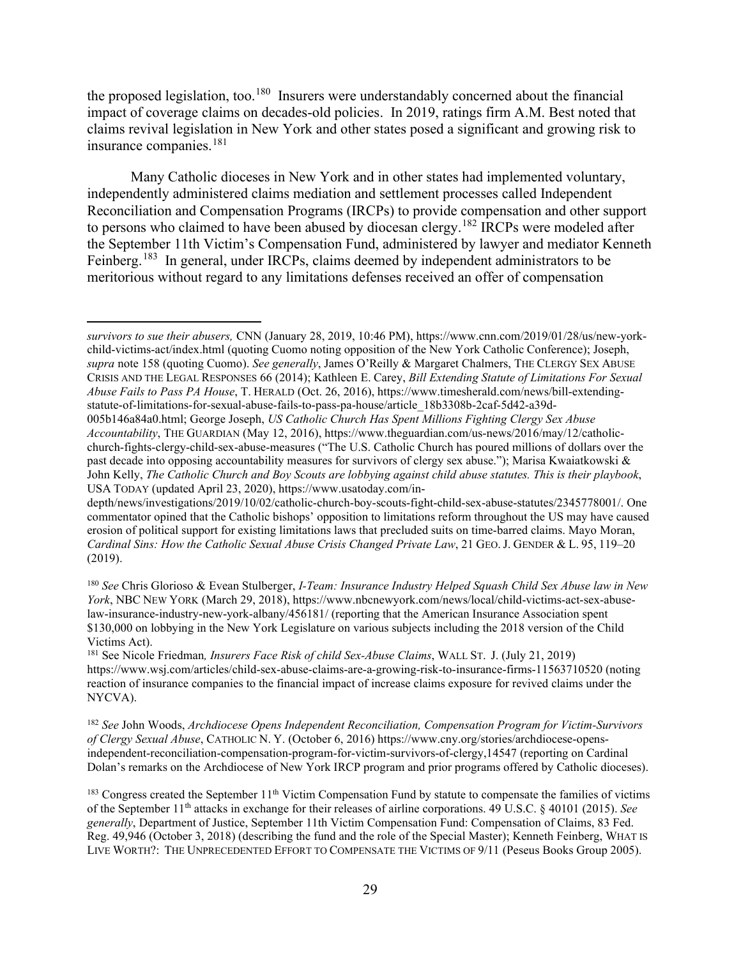the proposed legislation, too.<sup>180</sup> Insurers were understandably concerned about the financial impact of coverage claims on decades-old policies. In 2019, ratings firm A.M. Best noted that claims revival legislation in New York and other states posed a significant and growing risk to insurance companies.[181](#page-28-1)

Many Catholic dioceses in New York and in other states had implemented voluntary, independently administered claims mediation and settlement processes called Independent Reconciliation and Compensation Programs (IRCPs) to provide compensation and other support to persons who claimed to have been abused by diocesan clergy.<sup>[182](#page-28-2)</sup> IRCPs were modeled after the September 11th Victim's Compensation Fund, administered by lawyer and mediator Kenneth Feinberg.<sup>[183](#page-28-3)</sup> In general, under IRCPs, claims deemed by independent administrators to be meritorious without regard to any limitations defenses received an offer of compensation

*survivors to sue their abusers,* CNN (January 28, 2019, 10:46 PM), https://www.cnn.com/2019/01/28/us/new-yorkchild-victims-act/index.html (quoting Cuomo noting opposition of the New York Catholic Conference); Joseph, *supra* note 158 (quoting Cuomo). *See generally*, James O'Reilly & Margaret Chalmers, THE CLERGY SEX ABUSE CRISIS AND THE LEGAL RESPONSES 66 (2014); Kathleen E. Carey, *Bill Extending Statute of Limitations For Sexual Abuse Fails to Pass PA House*, T. HERALD (Oct. 26, 2016), https://www.timesherald.com/news/bill-extendingstatute-of-limitations-for-sexual-abuse-fails-to-pass-pa-house/article\_18b3308b-2caf-5d42-a39d-

<sup>005</sup>b146a84a0.html; George Joseph, *US Catholic Church Has Spent Millions Fighting Clergy Sex Abuse Accountability*, THE GUARDIAN (May 12, 2016), https://www.theguardian.com/us-news/2016/may/12/catholicchurch-fights-clergy-child-sex-abuse-measures ("The U.S. Catholic Church has poured millions of dollars over the past decade into opposing accountability measures for survivors of clergy sex abuse."); Marisa Kwaiatkowski & John Kelly, *The Catholic Church and Boy Scouts are lobbying against child abuse statutes. This is their playbook*, USA TODAY (updated April 23, 2020), https://www.usatoday.com/in-

depth/news/investigations/2019/10/02/catholic-church-boy-scouts-fight-child-sex-abuse-statutes/2345778001/. One commentator opined that the Catholic bishops' opposition to limitations reform throughout the US may have caused erosion of political support for existing limitations laws that precluded suits on time-barred claims. Mayo Moran, *Cardinal Sins: How the Catholic Sexual Abuse Crisis Changed Private Law*, 21 GEO. J. GENDER & L. 95, 119–20 (2019).

<span id="page-28-0"></span><sup>180</sup> *See* Chris Glorioso & Evean Stulberger, *I-Team: Insurance Industry Helped Squash Child Sex Abuse law in New York*, NBC NEW YORK (March 29, 2018), https://www.nbcnewyork.com/news/local/child-victims-act-sex-abuselaw-insurance-industry-new-york-albany/456181/ (reporting that the American Insurance Association spent \$130,000 on lobbying in the New York Legislature on various subjects including the 2018 version of the Child Victims Act).

<span id="page-28-1"></span><sup>181</sup> See Nicole Friedman*, Insurers Face Risk of child Sex-Abuse Claims*, WALL ST. J. (July 21, 2019) https://www.wsj.com/articles/child-sex-abuse-claims-are-a-growing-risk-to-insurance-firms-11563710520 (noting reaction of insurance companies to the financial impact of increase claims exposure for revived claims under the NYCVA).

<span id="page-28-2"></span><sup>182</sup> *See* John Woods, *Archdiocese Opens Independent Reconciliation, Compensation Program for Victim-Survivors of Clergy Sexual Abuse*, CATHOLIC N. Y. (October 6, 2016) https://www.cny.org/stories/archdiocese-opensindependent-reconciliation-compensation-program-for-victim-survivors-of-clergy,14547 (reporting on Cardinal Dolan's remarks on the Archdiocese of New York IRCP program and prior programs offered by Catholic dioceses).

<span id="page-28-3"></span> $183$  Congress created the September  $11<sup>th</sup>$  Victim Compensation Fund by statute to compensate the families of victims of the September 11th attacks in exchange for their releases of airline corporations. 49 U.S.C. § 40101 (2015). *See generally*, Department of Justice, September 11th Victim Compensation Fund: Compensation of Claims, 83 Fed. Reg. 49,946 (October 3, 2018) (describing the fund and the role of the Special Master); Kenneth Feinberg, WHAT IS LIVE WORTH?: THE UNPRECEDENTED EFFORT TO COMPENSATE THE VICTIMS OF 9/11 (Peseus Books Group 2005).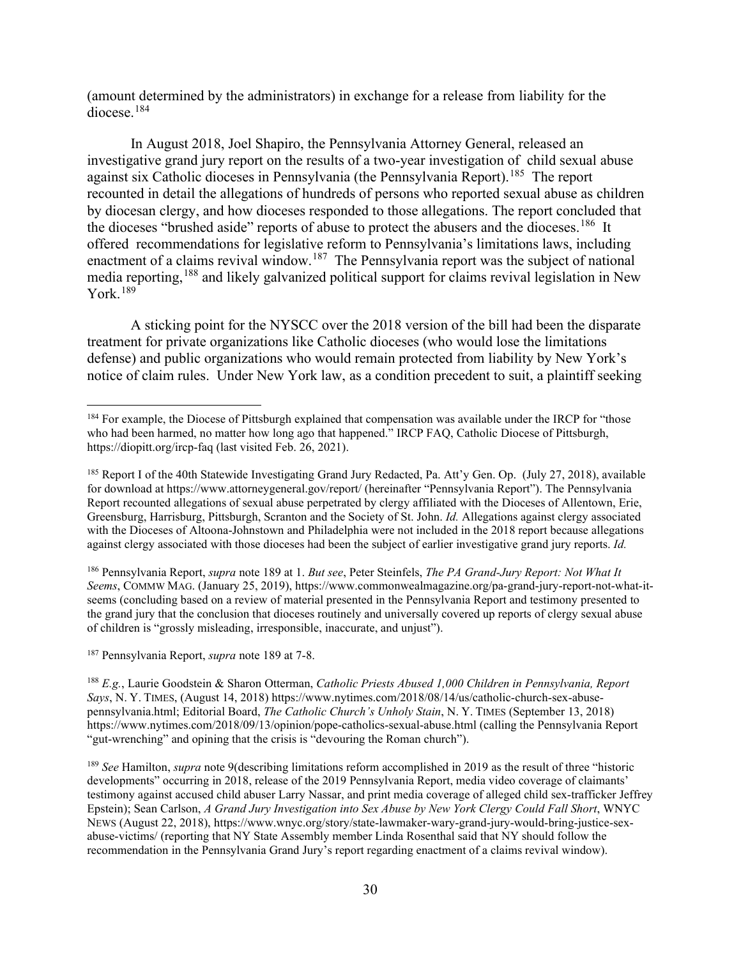(amount determined by the administrators) in exchange for a release from liability for the diocese. [184](#page-29-0) 

In August 2018, Joel Shapiro, the Pennsylvania Attorney General, released an investigative grand jury report on the results of a two-year investigation of child sexual abuse against six Catholic dioceses in Pennsylvania (the Pennsylvania Report).<sup>185</sup> The report recounted in detail the allegations of hundreds of persons who reported sexual abuse as children by diocesan clergy, and how dioceses responded to those allegations. The report concluded that the dioceses "brushed aside" reports of abuse to protect the abusers and the dioceses.<sup>[186](#page-29-2)</sup> It offered recommendations for legislative reform to Pennsylvania's limitations laws, including enactment of a claims revival window.<sup>[187](#page-29-3)</sup> The Pennsylvania report was the subject of national media reporting,[188](#page-29-4) and likely galvanized political support for claims revival legislation in New York. $189$ 

A sticking point for the NYSCC over the 2018 version of the bill had been the disparate treatment for private organizations like Catholic dioceses (who would lose the limitations defense) and public organizations who would remain protected from liability by New York's notice of claim rules. Under New York law, as a condition precedent to suit, a plaintiff seeking

<span id="page-29-2"></span><sup>186</sup> Pennsylvania Report, *supra* note 189 at 1. *But see*, Peter Steinfels, *The PA Grand-Jury Report: Not What It Seems*, COMMW MAG. (January 25, 2019), https://www.commonwealmagazine.org/pa-grand-jury-report-not-what-itseems (concluding based on a review of material presented in the Pennsylvania Report and testimony presented to the grand jury that the conclusion that dioceses routinely and universally covered up reports of clergy sexual abuse of children is "grossly misleading, irresponsible, inaccurate, and unjust").

<span id="page-29-3"></span><sup>187</sup> Pennsylvania Report, *supra* note 189 at 7-8.

<span id="page-29-4"></span><sup>188</sup> *E.g.*, Laurie Goodstein & Sharon Otterman, *Catholic Priests Abused 1,000 Children in Pennsylvania, Report Says*, N. Y. TIMES, (August 14, 2018) https://www.nytimes.com/2018/08/14/us/catholic-church-sex-abusepennsylvania.html; Editorial Board, *The Catholic Church's Unholy Stain*, N. Y. TIMES (September 13, 2018) https://www.nytimes.com/2018/09/13/opinion/pope-catholics-sexual-abuse.html (calling the Pennsylvania Report "gut-wrenching" and opining that the crisis is "devouring the Roman church").

<span id="page-29-5"></span><sup>189</sup> *See* Hamilton, *supra* note 9(describing limitations reform accomplished in 2019 as the result of three "historic developments" occurring in 2018, release of the 2019 Pennsylvania Report, media video coverage of claimants' testimony against accused child abuser Larry Nassar, and print media coverage of alleged child sex-trafficker Jeffrey Epstein); Sean Carlson, *A Grand Jury Investigation into Sex Abuse by New York Clergy Could Fall Short*, WNYC NEWS (August 22, 2018), https://www.wnyc.org/story/state-lawmaker-wary-grand-jury-would-bring-justice-sexabuse-victims/ (reporting that NY State Assembly member Linda Rosenthal said that NY should follow the recommendation in the Pennsylvania Grand Jury's report regarding enactment of a claims revival window).

<span id="page-29-0"></span><sup>&</sup>lt;sup>184</sup> For example, the Diocese of Pittsburgh explained that compensation was available under the IRCP for "those who had been harmed, no matter how long ago that happened." IRCP FAQ, Catholic Diocese of Pittsburgh, https://diopitt.org/ircp-faq (last visited Feb. 26, 2021).

<span id="page-29-1"></span><sup>&</sup>lt;sup>185</sup> Report I of the 40th Statewide Investigating Grand Jury Redacted, Pa. Att'y Gen. Op. (July 27, 2018), available for download at https://www.attorneygeneral.gov/report/ (hereinafter "Pennsylvania Report"). The Pennsylvania Report recounted allegations of sexual abuse perpetrated by clergy affiliated with the Dioceses of Allentown, Erie, Greensburg, Harrisburg, Pittsburgh, Scranton and the Society of St. John. *Id.* Allegations against clergy associated with the Dioceses of Altoona-Johnstown and Philadelphia were not included in the 2018 report because allegations against clergy associated with those dioceses had been the subject of earlier investigative grand jury reports. *Id.*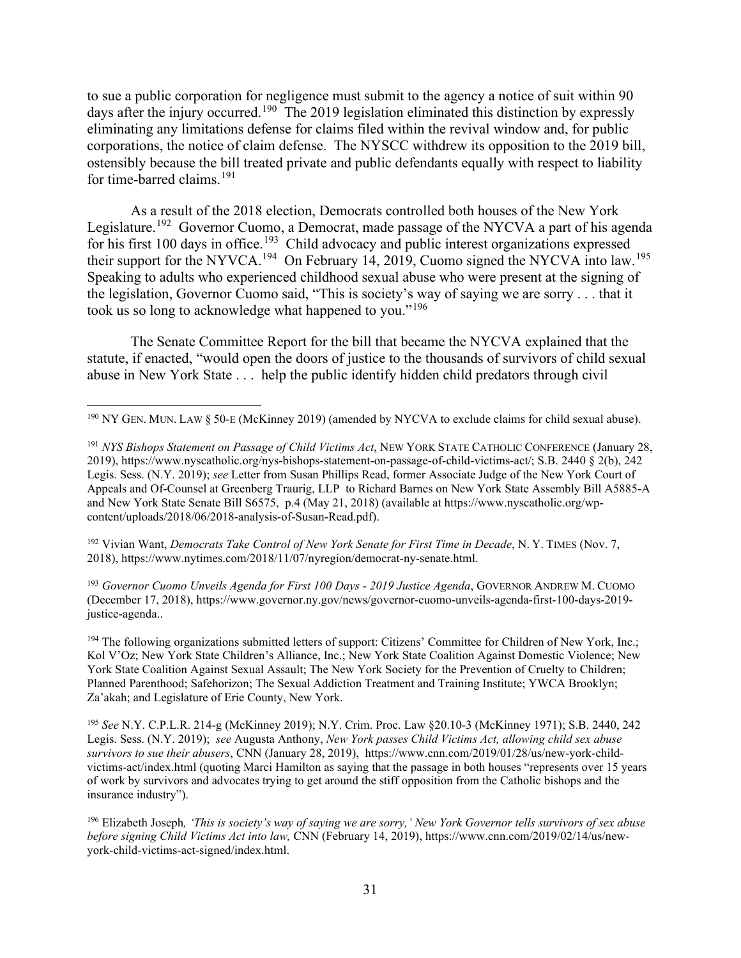to sue a public corporation for negligence must submit to the agency a notice of suit within 90 days after the injury occurred.<sup>190</sup> The 2019 legislation eliminated this distinction by expressly eliminating any limitations defense for claims filed within the revival window and, for public corporations, the notice of claim defense. The NYSCC withdrew its opposition to the 2019 bill, ostensibly because the bill treated private and public defendants equally with respect to liability for time-barred claims.<sup>[191](#page-30-1)</sup>

As a result of the 2018 election, Democrats controlled both houses of the New York Legislature.<sup>192</sup> Governor Cuomo, a Democrat, made passage of the NYCVA a part of his agenda for his first 100 days in office.<sup>[193](#page-30-3)</sup> Child advocacy and public interest organizations expressed their support for the NYVCA.<sup>[194](#page-30-4)</sup> On February 14, 2019, Cuomo signed the NYCVA into law.<sup>195</sup> Speaking to adults who experienced childhood sexual abuse who were present at the signing of the legislation, Governor Cuomo said, "This is society's way of saying we are sorry . . . that it took us so long to acknowledge what happened to you."<sup>[196](#page-30-6)</sup>

The Senate Committee Report for the bill that became the NYCVA explained that the statute, if enacted, "would open the doors of justice to the thousands of survivors of child sexual abuse in New York State . . . help the public identify hidden child predators through civil

<span id="page-30-2"></span><sup>192</sup> Vivian Want, *Democrats Take Control of New York Senate for First Time in Decade*, N. Y. TIMES (Nov. 7, 2018), https://www.nytimes.com/2018/11/07/nyregion/democrat-ny-senate.html.

<span id="page-30-3"></span><sup>193</sup> *Governor Cuomo Unveils Agenda for First 100 Days - 2019 Justice Agenda*, GOVERNOR ANDREW M. CUOMO (December 17, 2018), https://www.governor.ny.gov/news/governor-cuomo-unveils-agenda-first-100-days-2019 justice-agenda..

<span id="page-30-4"></span><sup>194</sup> The following organizations submitted letters of support: Citizens' Committee for Children of New York, Inc.; Kol V'Oz; New York State Children's Alliance, Inc.; New York State Coalition Against Domestic Violence; New York State Coalition Against Sexual Assault; The New York Society for the Prevention of Cruelty to Children; Planned Parenthood; Safehorizon; The Sexual Addiction Treatment and Training Institute; YWCA Brooklyn; Za'akah; and Legislature of Erie County, New York.

<span id="page-30-5"></span><sup>195</sup> *See* N.Y. C.P.L.R. 214-g (McKinney 2019); N.Y. Crim. Proc. Law §20.10-3 (McKinney 1971); S.B. 2440, 242 Legis. Sess. (N.Y. 2019); *see* Augusta Anthony, *New York passes Child Victims Act, allowing child sex abuse survivors to sue their abusers*, CNN (January 28, 2019), https://www.cnn.com/2019/01/28/us/new-york-childvictims-act/index.html (quoting Marci Hamilton as saying that the passage in both houses "represents over 15 years of work by survivors and advocates trying to get around the stiff opposition from the Catholic bishops and the insurance industry").

<span id="page-30-0"></span><sup>190</sup> NY GEN. MUN. LAW § 50-E (McKinney 2019) (amended by NYCVA to exclude claims for child sexual abuse).

<span id="page-30-1"></span><sup>191</sup> *NYS Bishops Statement on Passage of Child Victims Act*, NEW YORK STATE CATHOLIC CONFERENCE (January 28, 2019), https://www.nyscatholic.org/nys-bishops-statement-on-passage-of-child-victims-act/; S.B. 2440 § 2(b), 242 Legis. Sess. (N.Y. 2019); *see* Letter from Susan Phillips Read, former Associate Judge of the New York Court of Appeals and Of-Counsel at Greenberg Traurig, LLP to Richard Barnes on New York State Assembly Bill A5885-A and New York State Senate Bill S6575, p.4 (May 21, 2018) (available at https://www.nyscatholic.org/wpcontent/uploads/2018/06/2018-analysis-of-Susan-Read.pdf).

<span id="page-30-6"></span><sup>196</sup> Elizabeth Joseph*, 'This is society's way of saying we are sorry,' New York Governor tells survivors of sex abuse before signing Child Victims Act into law,* CNN (February 14, 2019), https://www.cnn.com/2019/02/14/us/newyork-child-victims-act-signed/index.html.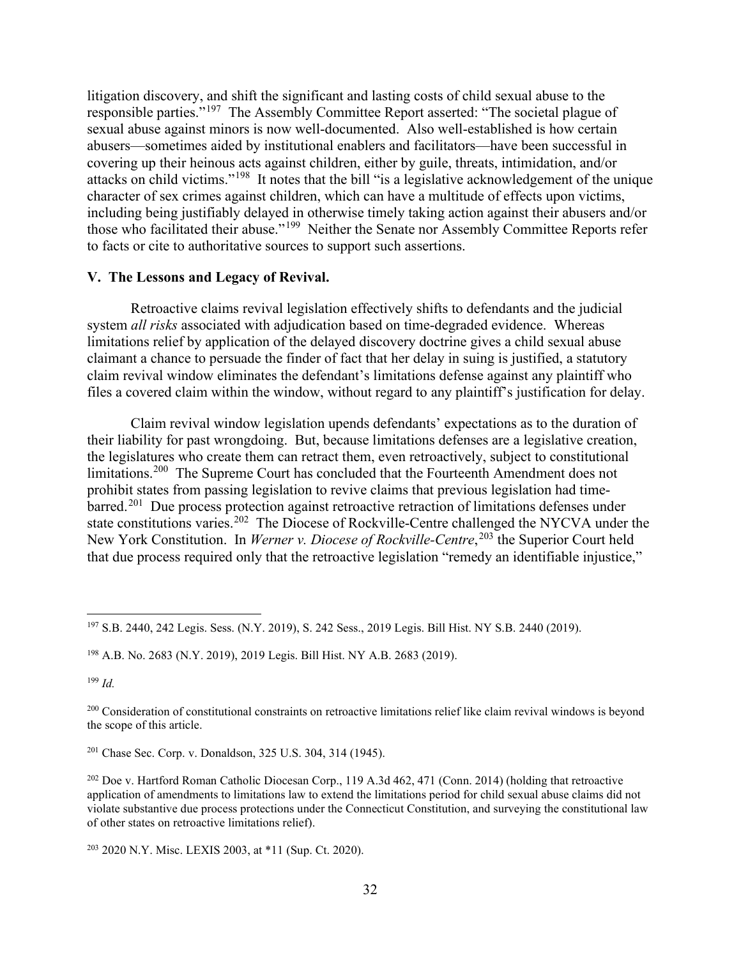litigation discovery, and shift the significant and lasting costs of child sexual abuse to the responsible parties."[197](#page-31-0) The Assembly Committee Report asserted: "The societal plague of sexual abuse against minors is now well-documented. Also well-established is how certain abusers—sometimes aided by institutional enablers and facilitators—have been successful in covering up their heinous acts against children, either by guile, threats, intimidation, and/or attacks on child victims."[198](#page-31-1) It notes that the bill "is a legislative acknowledgement of the unique character of sex crimes against children, which can have a multitude of effects upon victims, including being justifiably delayed in otherwise timely taking action against their abusers and/or those who facilitated their abuse."[199](#page-31-2) Neither the Senate nor Assembly Committee Reports refer to facts or cite to authoritative sources to support such assertions.

## **V. The Lessons and Legacy of Revival.**

Retroactive claims revival legislation effectively shifts to defendants and the judicial system *all risks* associated with adjudication based on time-degraded evidence. Whereas limitations relief by application of the delayed discovery doctrine gives a child sexual abuse claimant a chance to persuade the finder of fact that her delay in suing is justified, a statutory claim revival window eliminates the defendant's limitations defense against any plaintiff who files a covered claim within the window, without regard to any plaintiff's justification for delay.

Claim revival window legislation upends defendants' expectations as to the duration of their liability for past wrongdoing. But, because limitations defenses are a legislative creation, the legislatures who create them can retract them, even retroactively, subject to constitutional limitations.<sup>[200](#page-31-3)</sup> The Supreme Court has concluded that the Fourteenth Amendment does not prohibit states from passing legislation to revive claims that previous legislation had time-barred.<sup>[201](#page-31-4)</sup> Due process protection against retroactive retraction of limitations defenses under state constitutions varies.<sup>202</sup> The Diocese of Rockville-Centre challenged the NYCVA under the New York Constitution. In *Werner v. Diocese of Rockville-Centre*, [203](#page-31-6) the Superior Court held that due process required only that the retroactive legislation "remedy an identifiable injustice,"

<span id="page-31-2"></span><sup>199</sup> *Id.*

<span id="page-31-0"></span><sup>197</sup> S.B. 2440, 242 Legis. Sess. (N.Y. 2019), S. 242 Sess., 2019 Legis. Bill Hist. NY S.B. 2440 (2019).

<span id="page-31-1"></span><sup>198</sup> A.B. No. 2683 (N.Y. 2019), 2019 Legis. Bill Hist. NY A.B. 2683 (2019).

<span id="page-31-3"></span><sup>&</sup>lt;sup>200</sup> Consideration of constitutional constraints on retroactive limitations relief like claim revival windows is beyond the scope of this article.

<span id="page-31-4"></span><sup>201</sup> Chase Sec. Corp. v. Donaldson, 325 U.S. 304, 314 (1945).

<span id="page-31-5"></span><sup>202</sup> Doe v. Hartford Roman Catholic Diocesan Corp., 119 A.3d 462, 471 (Conn. 2014) (holding that retroactive application of amendments to limitations law to extend the limitations period for child sexual abuse claims did not violate substantive due process protections under the Connecticut Constitution, and surveying the constitutional law of other states on retroactive limitations relief).

<span id="page-31-6"></span><sup>203</sup> 2020 N.Y. Misc. LEXIS 2003, at \*11 (Sup. Ct. 2020).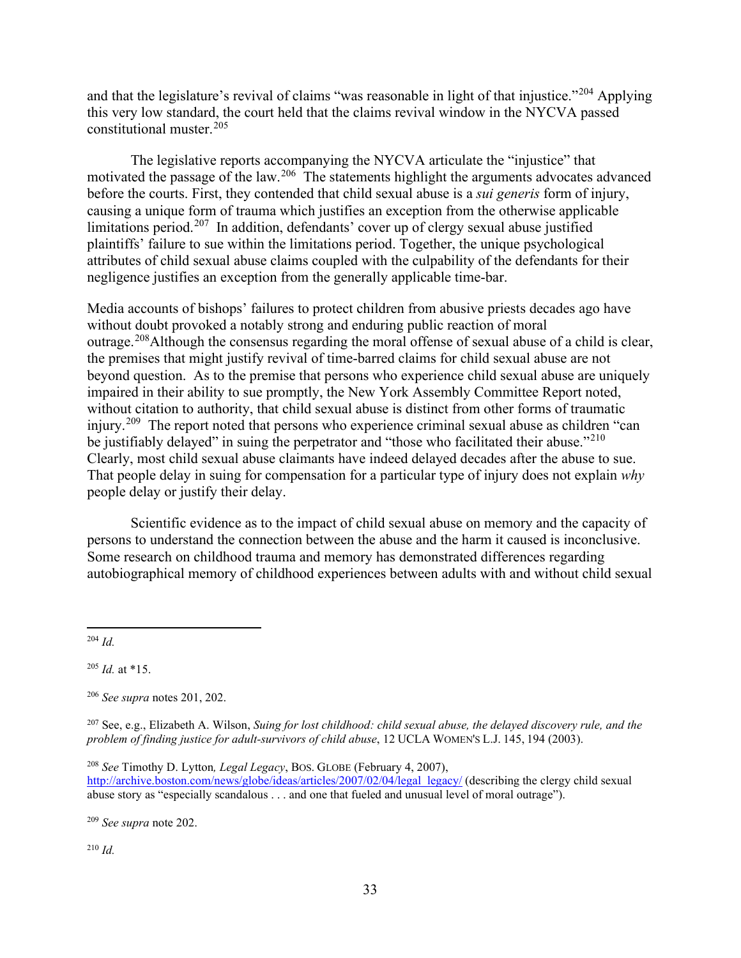and that the legislature's revival of claims "was reasonable in light of that injustice."<sup>[204](#page-32-0)</sup> Applying this very low standard, the court held that the claims revival window in the NYCVA passed constitutional muster.[205](#page-32-1) 

The legislative reports accompanying the NYCVA articulate the "injustice" that motivated the passage of the law.<sup>206</sup> The statements highlight the arguments advocates advanced before the courts. First, they contended that child sexual abuse is a *sui generis* form of injury, causing a unique form of trauma which justifies an exception from the otherwise applicable limitations period.[207](#page-32-3) In addition, defendants' cover up of clergy sexual abuse justified plaintiffs' failure to sue within the limitations period. Together, the unique psychological attributes of child sexual abuse claims coupled with the culpability of the defendants for their negligence justifies an exception from the generally applicable time-bar.

Media accounts of bishops' failures to protect children from abusive priests decades ago have without doubt provoked a notably strong and enduring public reaction of moral outrage.[208A](#page-32-4)lthough the consensus regarding the moral offense of sexual abuse of a child is clear, the premises that might justify revival of time-barred claims for child sexual abuse are not beyond question. As to the premise that persons who experience child sexual abuse are uniquely impaired in their ability to sue promptly, the New York Assembly Committee Report noted, without citation to authority, that child sexual abuse is distinct from other forms of traumatic injury.<sup>[209](#page-32-5)</sup> The report noted that persons who experience criminal sexual abuse as children "can be justifiably delayed" in suing the perpetrator and "those who facilitated their abuse."<sup>[210](#page-32-6)</sup> Clearly, most child sexual abuse claimants have indeed delayed decades after the abuse to sue. That people delay in suing for compensation for a particular type of injury does not explain *why*  people delay or justify their delay.

Scientific evidence as to the impact of child sexual abuse on memory and the capacity of persons to understand the connection between the abuse and the harm it caused is inconclusive. Some research on childhood trauma and memory has demonstrated differences regarding autobiographical memory of childhood experiences between adults with and without child sexual

<span id="page-32-0"></span><sup>204</sup> *Id.*

<span id="page-32-1"></span> $^{205}$  *Id.* at \*15.

<span id="page-32-2"></span><sup>206</sup> *See supra* notes 201, 202.

<span id="page-32-3"></span><sup>207</sup> See, e.g., Elizabeth A. Wilson, *Suing for lost childhood: child sexual abuse, the delayed discovery rule, and the problem of finding justice for adult-survivors of child abuse*, 12 UCLA WOMEN'S L.J. 145, 194 (2003).

<span id="page-32-4"></span><sup>208</sup> *See* Timothy D. Lytton*, Legal Legacy*, BOS. GLOBE (February 4, 2007), [http://archive.boston.com/news/globe/ideas/articles/2007/02/04/legal\\_legacy/](http://archive.boston.com/news/globe/ideas/articles/2007/02/04/legal_legacy/) (describing the clergy child sexual abuse story as "especially scandalous . . . and one that fueled and unusual level of moral outrage").

<span id="page-32-5"></span><sup>209</sup> *See supra* note 202.

<span id="page-32-6"></span><sup>210</sup> *Id.*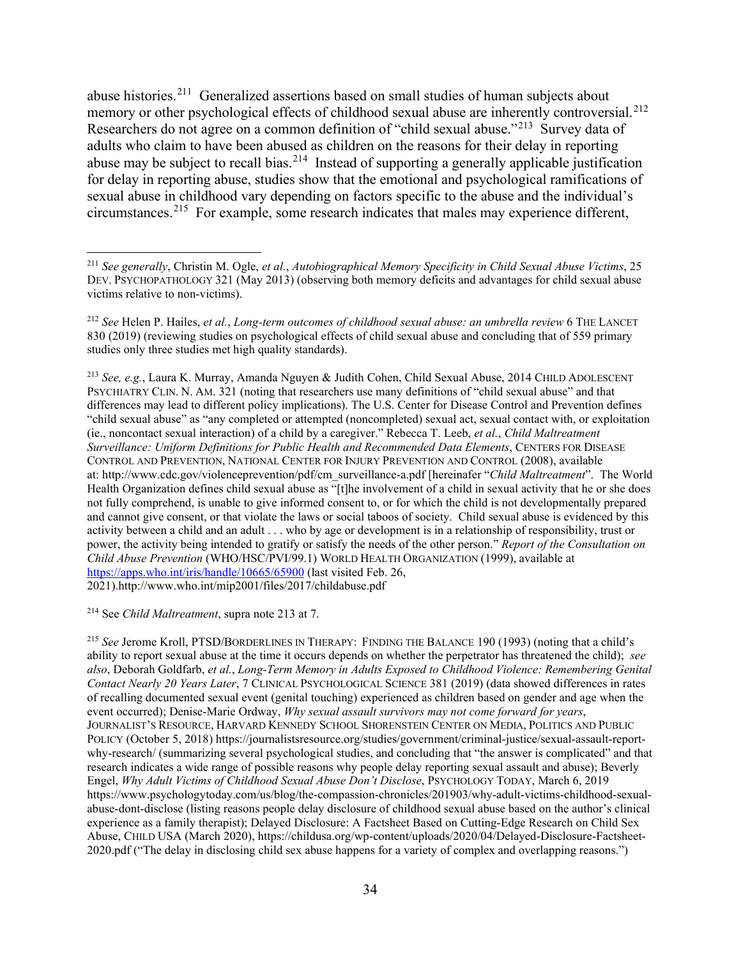abuse histories.[211](#page-33-0) Generalized assertions based on small studies of human subjects about memory or other psychological effects of childhood sexual abuse are inherently controversial.<sup>[212](#page-33-1)</sup> Researchers do not agree on a common definition of "child sexual abuse."<sup>213</sup> Survey data of adults who claim to have been abused as children on the reasons for their delay in reporting abuse may be subject to recall bias.<sup>[214](#page-33-3)</sup> Instead of supporting a generally applicable justification for delay in reporting abuse, studies show that the emotional and psychological ramifications of sexual abuse in childhood vary depending on factors specific to the abuse and the individual's circumstances.[215](#page-33-4) For example, some research indicates that males may experience different,

<span id="page-33-2"></span><sup>213</sup> *See, e.g.*, Laura K. Murray, Amanda Nguyen & Judith Cohen, Child Sexual Abuse, 2014 CHILD ADOLESCENT PSYCHIATRY CLIN. N. AM. 321 (noting that researchers use many definitions of "child sexual abuse" and that differences may lead to different policy implications). The U.S. Center for Disease Control and Prevention defines "child sexual abuse" as "any completed or attempted (noncompleted) sexual act, sexual contact with, or exploitation (ie., noncontact sexual interaction) of a child by a caregiver." Rebecca T. Leeb, *et al.*, *Child Maltreatment Surveillance: Uniform Definitions for Public Health and Recommended Data Elements*, CENTERS FOR DISEASE CONTROL AND PREVENTION, NATIONAL CENTER FOR INJURY PREVENTION AND CONTROL (2008), available at: http://www.cdc.gov/violenceprevention/pdf/cm\_surveillance-a.pdf [hereinafer "*Child Maltreatment*". The World Health Organization defines child sexual abuse as "[t]he involvement of a child in sexual activity that he or she does not fully comprehend, is unable to give informed consent to, or for which the child is not developmentally prepared and cannot give consent, or that violate the laws or social taboos of society. Child sexual abuse is evidenced by this activity between a child and an adult . . . who by age or development is in a relationship of responsibility, trust or power, the activity being intended to gratify or satisfy the needs of the other person." *Report of the Consultation on Child Abuse Prevention* (WHO/HSC/PVI/99.1) WORLD HEALTH ORGANIZATION (1999), available at <https://apps.who.int/iris/handle/10665/65900> (last visited Feb. 26, 2021).http://www.who.int/mip2001/files/2017/childabuse.pdf

<span id="page-33-3"></span><sup>214</sup> See *Child Maltreatment*, supra note 213 at 7.

<span id="page-33-4"></span><sup>215</sup> *See* Jerome Kroll, PTSD/BORDERLINES IN THERAPY: FINDING THE BALANCE 190 (1993) (noting that a child's ability to report sexual abuse at the time it occurs depends on whether the perpetrator has threatened the child); *see also*, Deborah Goldfarb, *et al.*, *Long-Term Memory in Adults Exposed to Childhood Violence: Remembering Genital Contact Nearly 20 Years Later*, 7 CLINICAL PSYCHOLOGICAL SCIENCE 381 (2019) (data showed differences in rates of recalling documented sexual event (genital touching) experienced as children based on gender and age when the event occurred); Denise-Marie Ordway, *Why sexual assault survivors may not come forward for years*, JOURNALIST'S RESOURCE, HARVARD KENNEDY SCHOOL SHORENSTEIN CENTER ON MEDIA, POLITICS AND PUBLIC POLICY (October 5, 2018) https://journalistsresource.org/studies/government/criminal-justice/sexual-assault-reportwhy-research/ (summarizing several psychological studies, and concluding that "the answer is complicated" and that research indicates a wide range of possible reasons why people delay reporting sexual assault and abuse); Beverly Engel, *Why Adult Victims of Childhood Sexual Abuse Don't Disclose*, PSYCHOLOGY TODAY, March 6, 2019 https://www.psychologytoday.com/us/blog/the-compassion-chronicles/201903/why-adult-victims-childhood-sexualabuse-dont-disclose (listing reasons people delay disclosure of childhood sexual abuse based on the author's clinical experience as a family therapist); Delayed Disclosure: A Factsheet Based on Cutting-Edge Research on Child Sex Abuse, CHILD USA (March 2020), https://childusa.org/wp-content/uploads/2020/04/Delayed-Disclosure-Factsheet-2020.pdf ("The delay in disclosing child sex abuse happens for a variety of complex and overlapping reasons.")

<span id="page-33-0"></span><sup>211</sup> *See generally*, Christin M. Ogle, *et al.*, *Autobiographical Memory Specificity in Child Sexual Abuse Victims*, 25 DEV. PSYCHOPATHOLOGY 321 (May 2013) (observing both memory deficits and advantages for child sexual abuse victims relative to non-victims).

<span id="page-33-1"></span><sup>212</sup> *See* Helen P. Hailes, *et al.*, *Long-term outcomes of childhood sexual abuse: an umbrella review* 6 THE LANCET 830 (2019) (reviewing studies on psychological effects of child sexual abuse and concluding that of 559 primary studies only three studies met high quality standards).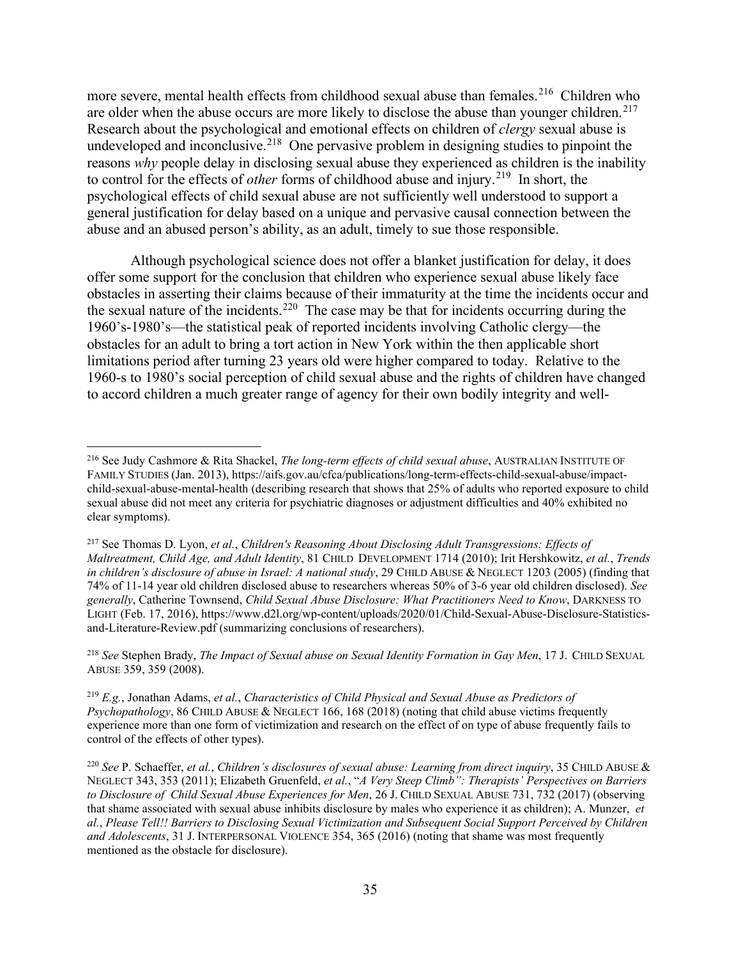more severe, mental health effects from childhood sexual abuse than females.<sup>[216](#page-34-0)</sup> Children who are older when the abuse occurs are more likely to disclose the abuse than younger children.<sup>[217](#page-34-1)</sup> Research about the psychological and emotional effects on children of *clergy* sexual abuse is undeveloped and inconclusive.<sup>[218](#page-34-2)</sup> One pervasive problem in designing studies to pinpoint the reasons *why* people delay in disclosing sexual abuse they experienced as children is the inability to control for the effects of *other* forms of childhood abuse and injury.<sup>[219](#page-34-3)</sup> In short, the psychological effects of child sexual abuse are not sufficiently well understood to support a general justification for delay based on a unique and pervasive causal connection between the abuse and an abused person's ability, as an adult, timely to sue those responsible.

Although psychological science does not offer a blanket justification for delay, it does offer some support for the conclusion that children who experience sexual abuse likely face obstacles in asserting their claims because of their immaturity at the time the incidents occur and the sexual nature of the incidents.<sup>[220](#page-34-4)</sup> The case may be that for incidents occurring during the 1960's-1980's—the statistical peak of reported incidents involving Catholic clergy—the obstacles for an adult to bring a tort action in New York within the then applicable short limitations period after turning 23 years old were higher compared to today. Relative to the 1960-s to 1980's social perception of child sexual abuse and the rights of children have changed to accord children a much greater range of agency for their own bodily integrity and well-

<span id="page-34-2"></span><sup>218</sup> *See* Stephen Brady, *The Impact of Sexual abuse on Sexual Identity Formation in Gay Men*, 17 J. CHILD SEXUAL ABUSE 359, 359 (2008).

<span id="page-34-0"></span><sup>216</sup> See Judy Cashmore & Rita Shackel, *The long-term effects of child sexual abuse*, AUSTRALIAN INSTITUTE OF FAMILY STUDIES (Jan. 2013), https://aifs.gov.au/cfca/publications/long-term-effects-child-sexual-abuse/impactchild-sexual-abuse-mental-health (describing research that shows that 25% of adults who reported exposure to child sexual abuse did not meet any criteria for psychiatric diagnoses or adjustment difficulties and 40% exhibited no clear symptoms).

<span id="page-34-1"></span><sup>217</sup> See Thomas D. Lyon, *et al.*, *Children's Reasoning About Disclosing Adult Transgressions: Effects of Maltreatment, Child Age, and Adult Identity*, 81 CHILD DEVELOPMENT 1714 (2010); Irit Hershkowitz, *et al.*, *Trends in children's disclosure of abuse in Israel: A national study*, 29 CHILD ABUSE & NEGLECT 1203 (2005) (finding that 74% of 11-14 year old children disclosed abuse to researchers whereas 50% of 3-6 year old children disclosed). *See generally*, Catherine Townsend, *Child Sexual Abuse Disclosure: What Practitioners Need to Know*, DARKNESS TO LIGHT (Feb. 17, 2016), https://www.d2l.org/wp-content/uploads/2020/01/Child-Sexual-Abuse-Disclosure-Statisticsand-Literature-Review.pdf (summarizing conclusions of researchers).

<span id="page-34-3"></span><sup>219</sup> *E.g.*, Jonathan Adams, *et al.*, *Characteristics of Child Physical and Sexual Abuse as Predictors of Psychopathology*, 86 CHILD ABUSE & NEGLECT 166, 168 (2018) (noting that child abuse victims frequently experience more than one form of victimization and research on the effect of on type of abuse frequently fails to control of the effects of other types).

<span id="page-34-4"></span><sup>220</sup> *See* P. Schaeffer, *et al.*, *Children's disclosures of sexual abuse: Learning from direct inquiry*, 35 CHILD ABUSE & NEGLECT 343, 353 (2011); Elizabeth Gruenfeld, *et al.*, "*A Very Steep Climb": Therapists' Perspectives on Barriers to Disclosure of Child Sexual Abuse Experiences for Men*, 26 J. CHILD SEXUAL ABUSE 731, 732 (2017) (observing that shame associated with sexual abuse inhibits disclosure by males who experience it as children); A. Munzer, *et al.*, *Please Tell!! Barriers to Disclosing Sexual Victimization and Subsequent Social Support Perceived by Children and Adolescents*, 31 J. INTERPERSONAL VIOLENCE 354, 365 (2016) (noting that shame was most frequently mentioned as the obstacle for disclosure).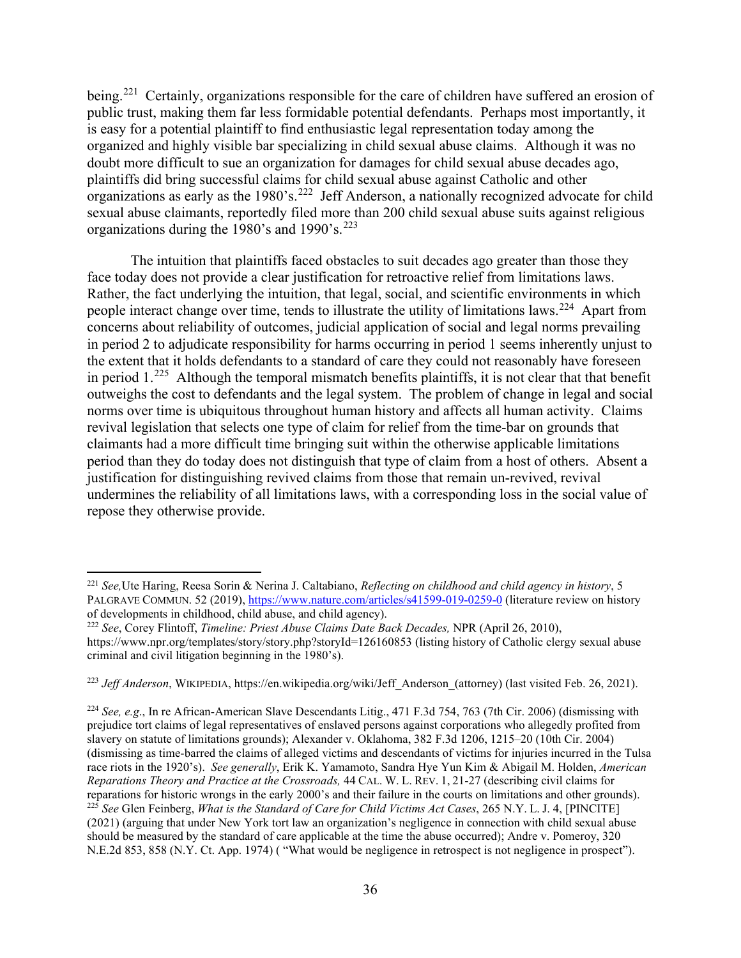being.<sup>[221](#page-35-0)</sup> Certainly, organizations responsible for the care of children have suffered an erosion of public trust, making them far less formidable potential defendants. Perhaps most importantly, it is easy for a potential plaintiff to find enthusiastic legal representation today among the organized and highly visible bar specializing in child sexual abuse claims. Although it was no doubt more difficult to sue an organization for damages for child sexual abuse decades ago, plaintiffs did bring successful claims for child sexual abuse against Catholic and other organizations as early as the 1980's.<sup>222</sup> Jeff Anderson, a nationally recognized advocate for child sexual abuse claimants, reportedly filed more than 200 child sexual abuse suits against religious organizations during the 1980's and 1990's.<sup>[223](#page-35-2)</sup>

The intuition that plaintiffs faced obstacles to suit decades ago greater than those they face today does not provide a clear justification for retroactive relief from limitations laws. Rather, the fact underlying the intuition, that legal, social, and scientific environments in which people interact change over time, tends to illustrate the utility of limitations laws.<sup>224</sup> Apart from concerns about reliability of outcomes, judicial application of social and legal norms prevailing in period 2 to adjudicate responsibility for harms occurring in period 1 seems inherently unjust to the extent that it holds defendants to a standard of care they could not reasonably have foreseen in period  $1.^{225}$  Although the temporal mismatch benefits plaintiffs, it is not clear that that benefit outweighs the cost to defendants and the legal system. The problem of change in legal and social norms over time is ubiquitous throughout human history and affects all human activity. Claims revival legislation that selects one type of claim for relief from the time-bar on grounds that claimants had a more difficult time bringing suit within the otherwise applicable limitations period than they do today does not distinguish that type of claim from a host of others. Absent a justification for distinguishing revived claims from those that remain un-revived, revival undermines the reliability of all limitations laws, with a corresponding loss in the social value of repose they otherwise provide.

<span id="page-35-0"></span><sup>221</sup> *See,*Ute Haring, Reesa Sorin & Nerina J. Caltabiano, *Reflecting on childhood and child agency in history*, 5 PALGRAVE COMMUN. 52 (2019),<https://www.nature.com/articles/s41599-019-0259-0> (literature review on history of developments in childhood, child abuse, and child agency).

<span id="page-35-1"></span><sup>222</sup> *See*, Corey Flintoff, *Timeline: Priest Abuse Claims Date Back Decades,* NPR (April 26, 2010), https://www.npr.org/templates/story/story.php?storyId=126160853 (listing history of Catholic clergy sexual abuse criminal and civil litigation beginning in the 1980's).

<span id="page-35-2"></span><sup>&</sup>lt;sup>223</sup> *Jeff Anderson*, WIKIPEDIA, https://en.wikipedia.org/wiki/Jeff\_Anderson\_(attorney) (last visited Feb. 26, 2021).

<span id="page-35-4"></span><span id="page-35-3"></span><sup>224</sup> *See, e.g*., In re African-American Slave Descendants Litig., 471 F.3d 754, 763 (7th Cir. 2006) (dismissing with prejudice tort claims of legal representatives of enslaved persons against corporations who allegedly profited from slavery on statute of limitations grounds); Alexander v. Oklahoma, 382 F.3d 1206, 1215–20 (10th Cir. 2004) (dismissing as time-barred the claims of alleged victims and descendants of victims for injuries incurred in the Tulsa race riots in the 1920's). *See generally*, Erik K. Yamamoto, Sandra Hye Yun Kim & Abigail M. Holden, *American Reparations Theory and Practice at the Crossroads,* 44 CAL. W. L. REV. 1, 21-27 (describing civil claims for reparations for historic wrongs in the early 2000's and their failure in the courts on limitations and other grounds). <sup>225</sup> *See* Glen Feinberg, *What is the Standard of Care for Child Victims Act Cases*, 265 N.Y. L. J. 4, [PINCITE] (2021) (arguing that under New York tort law an organization's negligence in connection with child sexual abuse should be measured by the standard of care applicable at the time the abuse occurred); Andre v. Pomeroy, 320 N.E.2d 853, 858 (N.Y. Ct. App. 1974) ( "What would be negligence in retrospect is not negligence in prospect").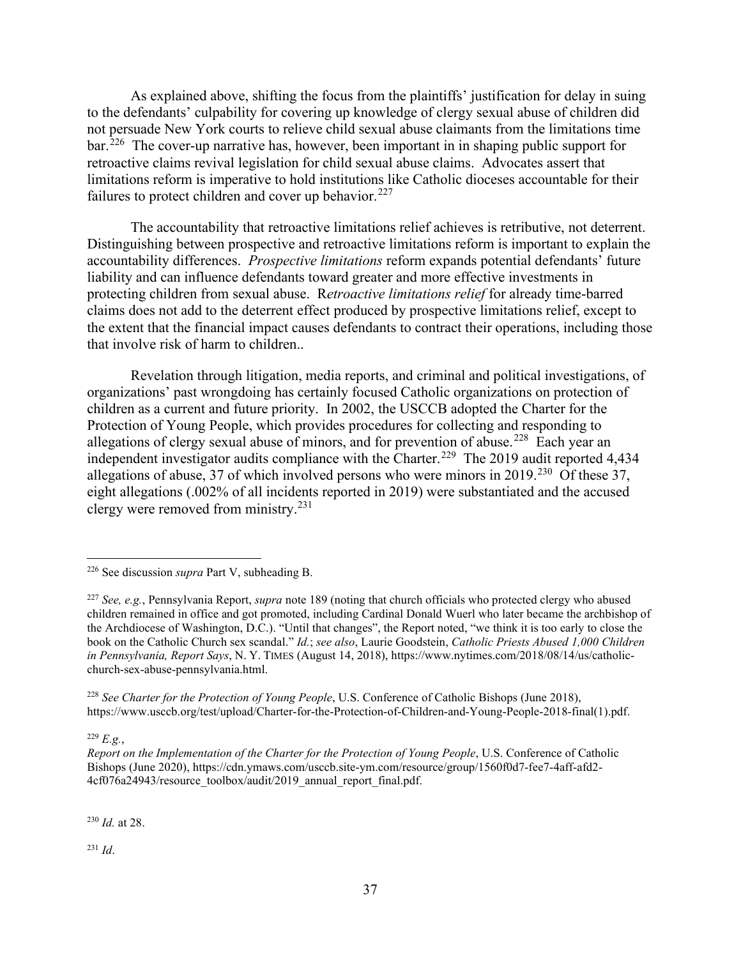As explained above, shifting the focus from the plaintiffs' justification for delay in suing to the defendants' culpability for covering up knowledge of clergy sexual abuse of children did not persuade New York courts to relieve child sexual abuse claimants from the limitations time bar.[226](#page-36-0) The cover-up narrative has, however, been important in in shaping public support for retroactive claims revival legislation for child sexual abuse claims. Advocates assert that limitations reform is imperative to hold institutions like Catholic dioceses accountable for their failures to protect children and cover up behavior.<sup>[227](#page-36-1)</sup>

The accountability that retroactive limitations relief achieves is retributive, not deterrent. Distinguishing between prospective and retroactive limitations reform is important to explain the accountability differences. *Prospective limitations* reform expands potential defendants' future liability and can influence defendants toward greater and more effective investments in protecting children from sexual abuse. R*etroactive limitations relief* for already time-barred claims does not add to the deterrent effect produced by prospective limitations relief, except to the extent that the financial impact causes defendants to contract their operations, including those that involve risk of harm to children..

Revelation through litigation, media reports, and criminal and political investigations, of organizations' past wrongdoing has certainly focused Catholic organizations on protection of children as a current and future priority. In 2002, the USCCB adopted the Charter for the Protection of Young People, which provides procedures for collecting and responding to allegations of clergy sexual abuse of minors, and for prevention of abuse.<sup>[228](#page-36-2)</sup> Each year an independent investigator audits compliance with the Charter.<sup>[229](#page-36-3)</sup> The 2019 audit reported 4,434 allegations of abuse, 37 of which involved persons who were minors in 2019.<sup>230</sup> Of these 37, eight allegations (.002% of all incidents reported in 2019) were substantiated and the accused clergy were removed from ministry.[231](#page-36-5)

<span id="page-36-2"></span><sup>228</sup> *See Charter for the Protection of Young People*, U.S. Conference of Catholic Bishops (June 2018), https://www.usccb.org/test/upload/Charter-for-the-Protection-of-Children-and-Young-People-2018-final(1).pdf.

<span id="page-36-3"></span><sup>229</sup> *E.g.*,

*Report on the Implementation of the Charter for the Protection of Young People*, U.S. Conference of Catholic Bishops (June 2020), https://cdn.ymaws.com/usccb.site-ym.com/resource/group/1560f0d7-fee7-4aff-afd2- 4cf076a24943/resource\_toolbox/audit/2019\_annual\_report\_final.pdf.

<span id="page-36-4"></span><sup>230</sup> *Id.* at 28.

<span id="page-36-5"></span><sup>231</sup> *Id*.

<span id="page-36-0"></span><sup>226</sup> See discussion *supra* Part V, subheading B.

<span id="page-36-1"></span><sup>227</sup> *See, e.g.*, Pennsylvania Report, *supra* note 189 (noting that church officials who protected clergy who abused children remained in office and got promoted, including Cardinal Donald Wuerl who later became the archbishop of the Archdiocese of Washington, D.C.). "Until that changes", the Report noted, "we think it is too early to close the book on the Catholic Church sex scandal." *Id.*; *see also*, Laurie Goodstein, *Catholic Priests Abused 1,000 Children in Pennsylvania, Report Says*, N. Y. TIMES (August 14, 2018), https://www.nytimes.com/2018/08/14/us/catholicchurch-sex-abuse-pennsylvania.html.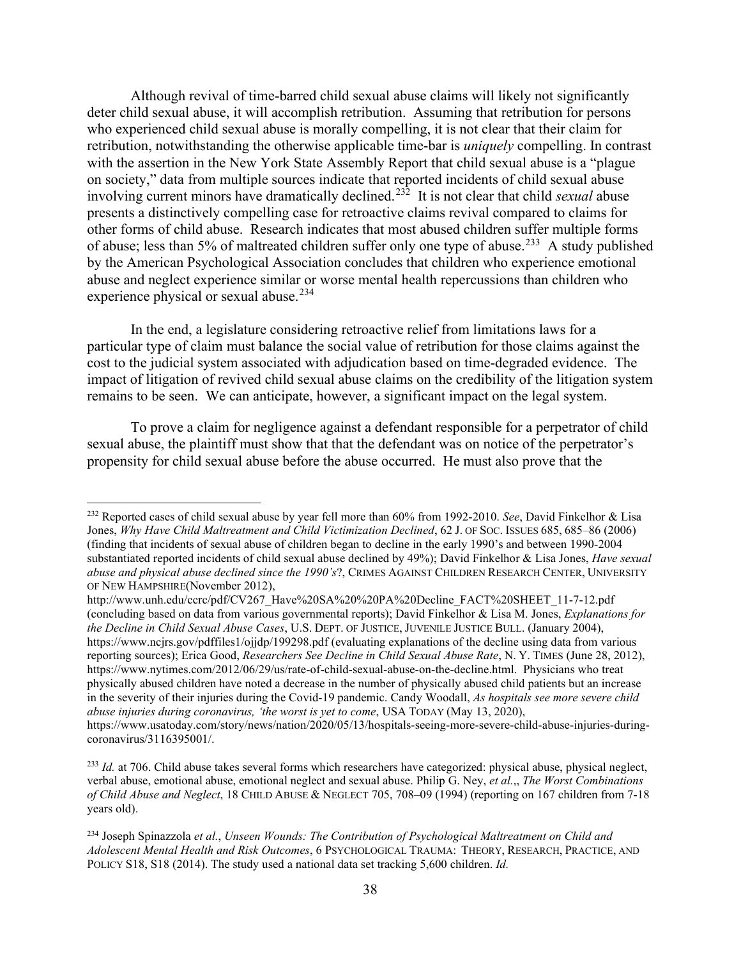Although revival of time-barred child sexual abuse claims will likely not significantly deter child sexual abuse, it will accomplish retribution. Assuming that retribution for persons who experienced child sexual abuse is morally compelling, it is not clear that their claim for retribution, notwithstanding the otherwise applicable time-bar is *uniquely* compelling. In contrast with the assertion in the New York State Assembly Report that child sexual abuse is a "plague on society," data from multiple sources indicate that reported incidents of child sexual abuse involving current minors have dramatically declined.[232](#page-37-0) It is not clear that child *sexual* abuse presents a distinctively compelling case for retroactive claims revival compared to claims for other forms of child abuse. Research indicates that most abused children suffer multiple forms of abuse; less than 5% of maltreated children suffer only one type of abuse.<sup>233</sup> A study published by the American Psychological Association concludes that children who experience emotional abuse and neglect experience similar or worse mental health repercussions than children who experience physical or sexual abuse.<sup>[234](#page-37-2)</sup>

In the end, a legislature considering retroactive relief from limitations laws for a particular type of claim must balance the social value of retribution for those claims against the cost to the judicial system associated with adjudication based on time-degraded evidence. The impact of litigation of revived child sexual abuse claims on the credibility of the litigation system remains to be seen. We can anticipate, however, a significant impact on the legal system.

To prove a claim for negligence against a defendant responsible for a perpetrator of child sexual abuse, the plaintiff must show that that the defendant was on notice of the perpetrator's propensity for child sexual abuse before the abuse occurred. He must also prove that the

<span id="page-37-0"></span><sup>232</sup> Reported cases of child sexual abuse by year fell more than 60% from 1992-2010. *See*, David Finkelhor & Lisa Jones, *Why Have Child Maltreatment and Child Victimization Declined*, 62 J. OF SOC. ISSUES 685, 685–86 (2006) (finding that incidents of sexual abuse of children began to decline in the early 1990's and between 1990-2004 substantiated reported incidents of child sexual abuse declined by 49%); David Finkelhor & Lisa Jones, *Have sexual abuse and physical abuse declined since the 1990's*?, CRIMES AGAINST CHILDREN RESEARCH CENTER, UNIVERSITY OF NEW HAMPSHIRE(November 2012),

http://www.unh.edu/ccrc/pdf/CV267\_Have%20SA%20%20PA%20Decline\_FACT%20SHEET\_11-7-12.pdf (concluding based on data from various governmental reports); David Finkelhor & Lisa M. Jones, *Explanations for the Decline in Child Sexual Abuse Cases*, U.S. DEPT. OF JUSTICE, JUVENILE JUSTICE BULL. (January 2004), https://www.ncjrs.gov/pdffiles1/ojjdp/199298.pdf (evaluating explanations of the decline using data from various reporting sources); Erica Good, *Researchers See Decline in Child Sexual Abuse Rate*, N. Y. TIMES (June 28, 2012), https://www.nytimes.com/2012/06/29/us/rate-of-child-sexual-abuse-on-the-decline.html. Physicians who treat physically abused children have noted a decrease in the number of physically abused child patients but an increase in the severity of their injuries during the Covid-19 pandemic. Candy Woodall, *As hospitals see more severe child abuse injuries during coronavirus, 'the worst is yet to come*, USA TODAY (May 13, 2020), https://www.usatoday.com/story/news/nation/2020/05/13/hospitals-seeing-more-severe-child-abuse-injuries-duringcoronavirus/3116395001/.

<span id="page-37-1"></span><sup>&</sup>lt;sup>233</sup> *Id.* at 706. Child abuse takes several forms which researchers have categorized: physical abuse, physical neglect, verbal abuse, emotional abuse, emotional neglect and sexual abuse. Philip G. Ney, *et al.*,, *The Worst Combinations of Child Abuse and Neglect*, 18 CHILD ABUSE & NEGLECT 705, 708–09 (1994) (reporting on 167 children from 7-18 years old).

<span id="page-37-2"></span><sup>234</sup> Joseph Spinazzola *et al.*, *Unseen Wounds: The Contribution of Psychological Maltreatment on Child and Adolescent Mental Health and Risk Outcomes*, 6 PSYCHOLOGICAL TRAUMA: THEORY, RESEARCH, PRACTICE, AND POLICY S18, S18 (2014). The study used a national data set tracking 5,600 children. *Id.*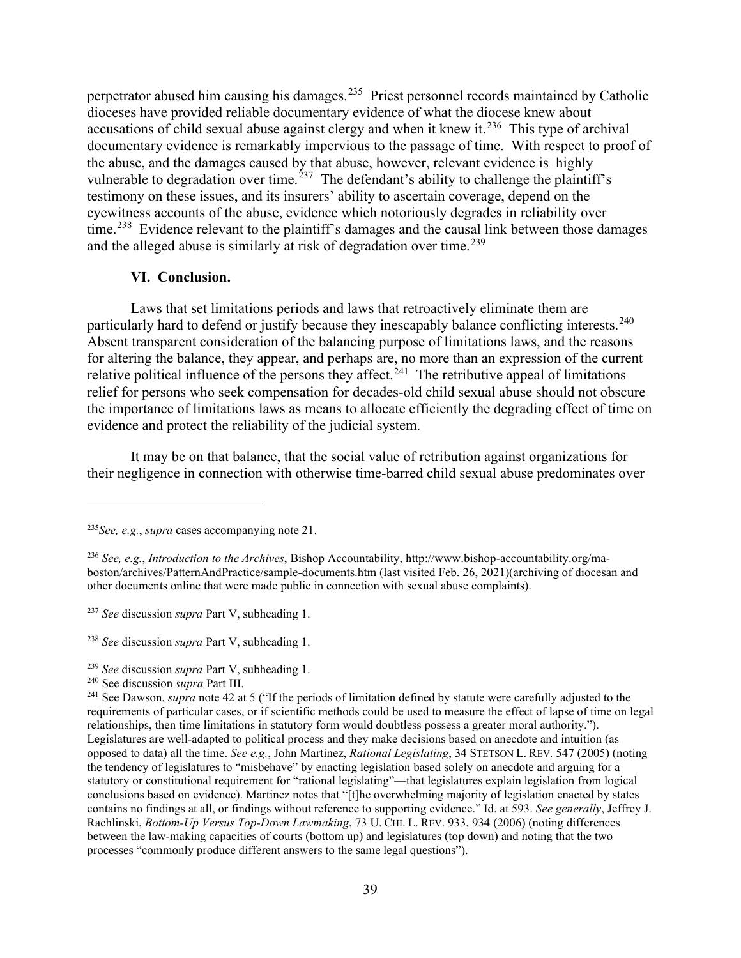perpetrator abused him causing his damages.<sup>[235](#page-38-0)</sup> Priest personnel records maintained by Catholic dioceses have provided reliable documentary evidence of what the diocese knew about accusations of child sexual abuse against clergy and when it knew it. $^{236}$  $^{236}$  $^{236}$  This type of archival documentary evidence is remarkably impervious to the passage of time. With respect to proof of the abuse, and the damages caused by that abuse, however, relevant evidence is highly vulnerable to degradation over time.<sup>[237](#page-38-2)</sup> The defendant's ability to challenge the plaintiff's testimony on these issues, and its insurers' ability to ascertain coverage, depend on the eyewitness accounts of the abuse, evidence which notoriously degrades in reliability over time.<sup>[238](#page-38-3)</sup> Evidence relevant to the plaintiff's damages and the causal link between those damages and the alleged abuse is similarly at risk of degradation over time.<sup>[239](#page-38-4)</sup>

#### **VI. Conclusion.**

Laws that set limitations periods and laws that retroactively eliminate them are particularly hard to defend or justify because they inescapably balance conflicting interests.<sup>[240](#page-38-5)</sup> Absent transparent consideration of the balancing purpose of limitations laws, and the reasons for altering the balance, they appear, and perhaps are, no more than an expression of the current relative political influence of the persons they affect.<sup>[241](#page-38-6)</sup> The retributive appeal of limitations relief for persons who seek compensation for decades-old child sexual abuse should not obscure the importance of limitations laws as means to allocate efficiently the degrading effect of time on evidence and protect the reliability of the judicial system.

It may be on that balance, that the social value of retribution against organizations for their negligence in connection with otherwise time-barred child sexual abuse predominates over

<span id="page-38-0"></span><sup>235</sup>*See, e.g.*, *supra* cases accompanying note 21.

<span id="page-38-1"></span><sup>236</sup> *See, e.g.*, *Introduction to the Archives*, Bishop Accountability, http://www.bishop-accountability.org/maboston/archives/PatternAndPractice/sample-documents.htm (last visited Feb. 26, 2021)(archiving of diocesan and other documents online that were made public in connection with sexual abuse complaints).

<span id="page-38-2"></span><sup>237</sup> *See* discussion *supra* Part V, subheading 1.

<span id="page-38-3"></span><sup>238</sup> *See* discussion *supra* Part V, subheading 1.

<span id="page-38-4"></span><sup>&</sup>lt;sup>239</sup> *See* discussion *supra* Part V, subheading 1.<br><sup>240</sup> See discussion *supra* Part III.

<span id="page-38-6"></span><span id="page-38-5"></span><sup>&</sup>lt;sup>241</sup> See Dawson, *supra* note 42 at 5 ("If the periods of limitation defined by statute were carefully adjusted to the requirements of particular cases, or if scientific methods could be used to measure the effect of lapse of time on legal relationships, then time limitations in statutory form would doubtless possess a greater moral authority."). Legislatures are well-adapted to political process and they make decisions based on anecdote and intuition (as opposed to data) all the time. *See e.g.*, John Martinez, *Rational Legislating*, 34 STETSON L. REV. 547 (2005) (noting the tendency of legislatures to "misbehave" by enacting legislation based solely on anecdote and arguing for a statutory or constitutional requirement for "rational legislating"—that legislatures explain legislation from logical conclusions based on evidence). Martinez notes that "[t]he overwhelming majority of legislation enacted by states contains no findings at all, or findings without reference to supporting evidence." Id. at 593. *See generally*, Jeffrey J. Rachlinski, *Bottom-Up Versus Top-Down Lawmaking*, 73 U. CHI. L. REV. 933, 934 (2006) (noting differences between the law-making capacities of courts (bottom up) and legislatures (top down) and noting that the two processes "commonly produce different answers to the same legal questions").